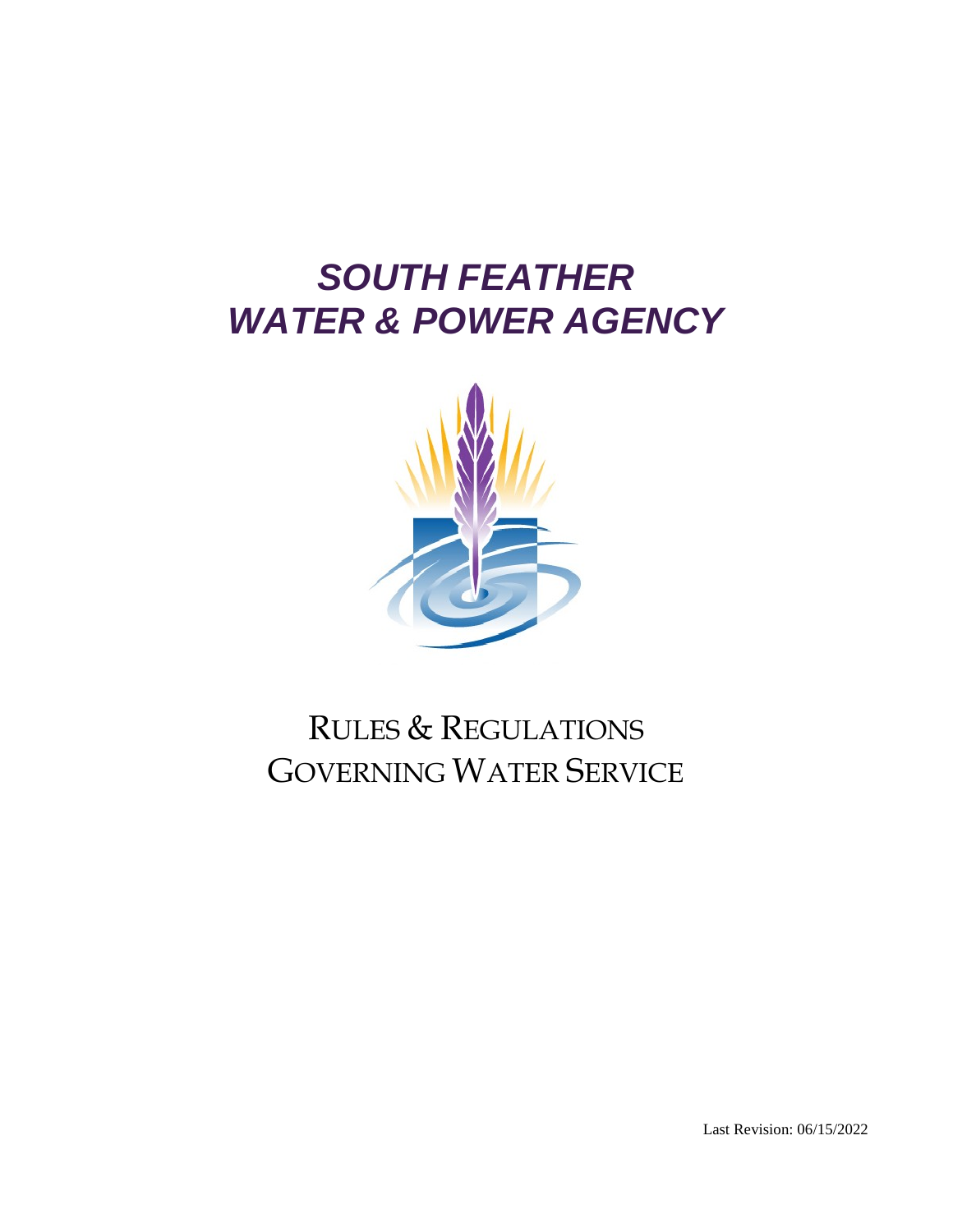# *SOUTH FEATHER WATER & POWER AGENCY*



## RULES & REGULATIONS GOVERNING WATER SERVICE

Last Revision: 06/15/2022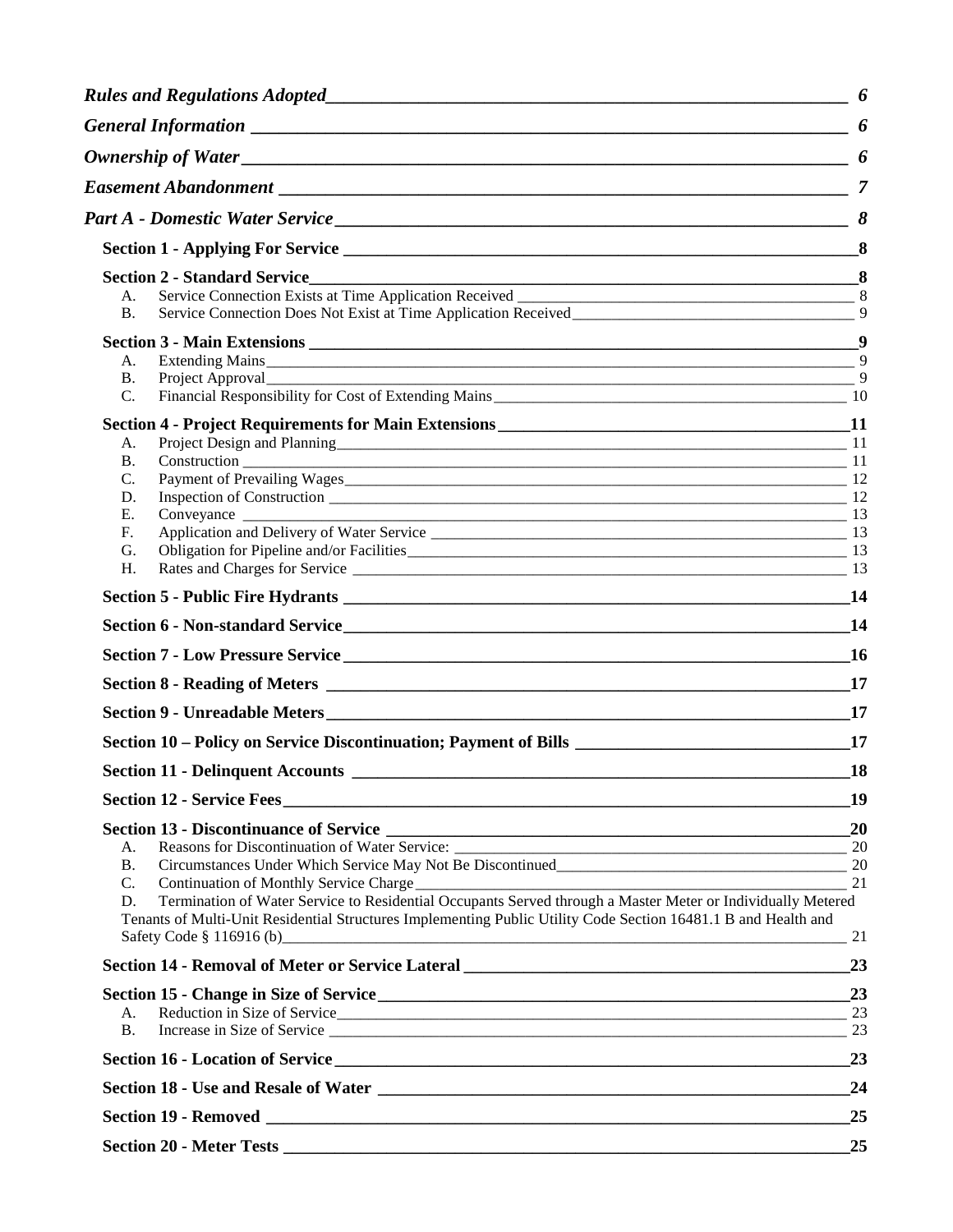|                      | <b>Section 2 - Standard Service</b>                                                                                                                   |                     |
|----------------------|-------------------------------------------------------------------------------------------------------------------------------------------------------|---------------------|
| А.<br><b>B.</b>      | Service Connection Does Not Exist at Time Application Received                                                                                        | $\mathbf{Q}$        |
|                      |                                                                                                                                                       |                     |
| A.<br><b>B.</b>      |                                                                                                                                                       | 9<br>$\overline{9}$ |
| C.                   |                                                                                                                                                       |                     |
|                      |                                                                                                                                                       |                     |
| A.                   |                                                                                                                                                       |                     |
| <b>B.</b>            |                                                                                                                                                       |                     |
| C.<br>D.             | Payment of Prevailing Wages                                                                                                                           |                     |
| Ε.                   |                                                                                                                                                       |                     |
| F <sub>r</sub>       |                                                                                                                                                       |                     |
| G.                   |                                                                                                                                                       |                     |
| H.                   |                                                                                                                                                       |                     |
|                      |                                                                                                                                                       |                     |
|                      |                                                                                                                                                       | 14                  |
|                      |                                                                                                                                                       |                     |
|                      |                                                                                                                                                       | 17                  |
|                      |                                                                                                                                                       |                     |
|                      |                                                                                                                                                       | 17                  |
|                      |                                                                                                                                                       |                     |
|                      |                                                                                                                                                       | 19                  |
|                      |                                                                                                                                                       | 20                  |
| A.                   |                                                                                                                                                       | 20                  |
| <b>B.</b>            |                                                                                                                                                       | 20                  |
| $\mathbf{C}$ .<br>D. | Continuation of Monthly Service Charge<br>Termination of Water Service to Residential Occupants Served through a Master Meter or Individually Metered | 21                  |
|                      | Tenants of Multi-Unit Residential Structures Implementing Public Utility Code Section 16481.1 B and Health and                                        |                     |
|                      | Safety Code § 116916 (b)                                                                                                                              | 21                  |
|                      |                                                                                                                                                       | 23                  |
|                      |                                                                                                                                                       | 23                  |
| А.<br><b>B.</b>      | Reduction in Size of Service                                                                                                                          | 23<br>23            |
|                      |                                                                                                                                                       | 23                  |
|                      |                                                                                                                                                       | 24                  |
|                      |                                                                                                                                                       | 25                  |
|                      |                                                                                                                                                       | 25                  |
|                      |                                                                                                                                                       |                     |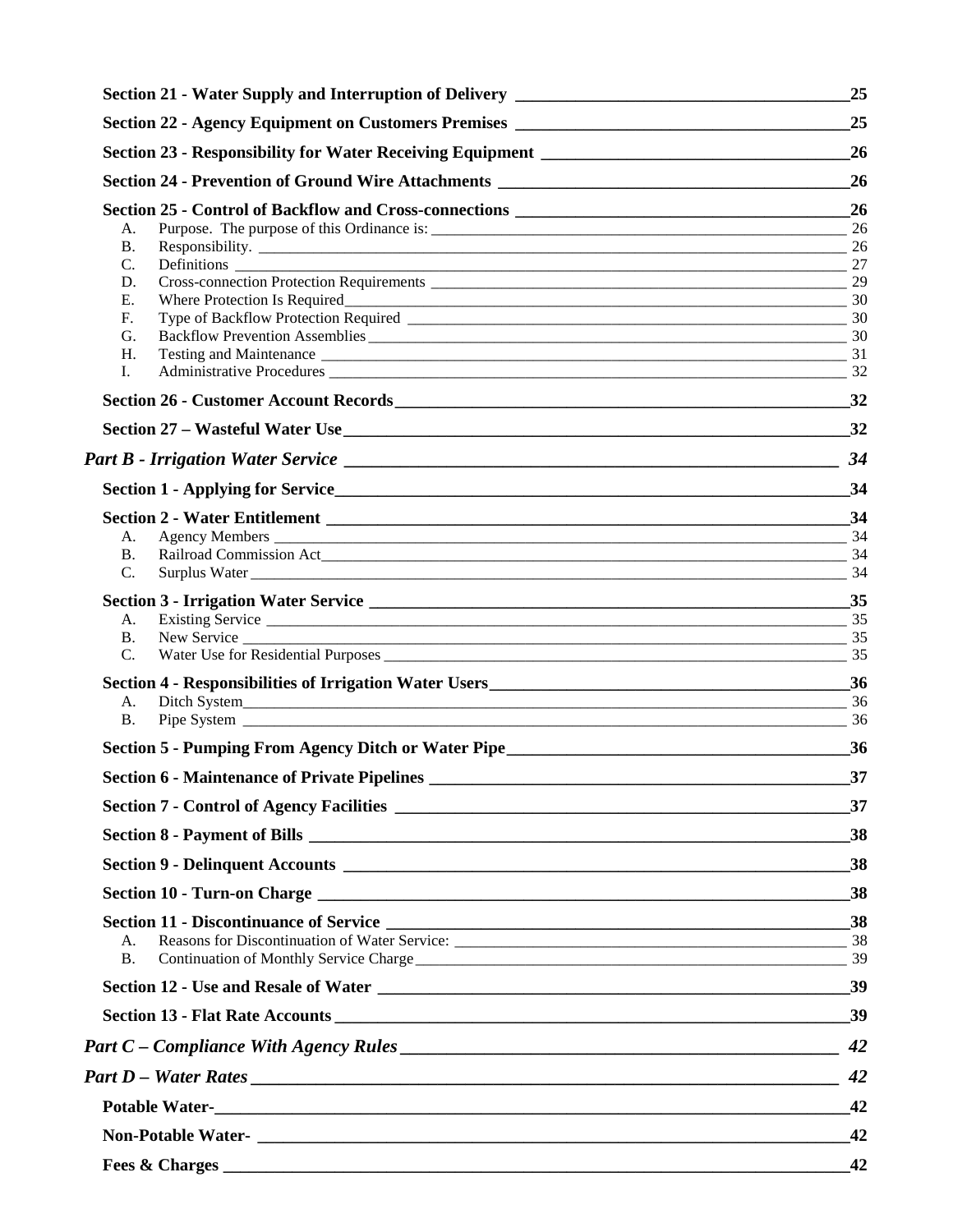| Section 21 - Water Supply and Interruption of Delivery __________________________ | 25 |
|-----------------------------------------------------------------------------------|----|
| Section 22 - Agency Equipment on Customers Premises _____________________________ | 25 |
| Section 23 - Responsibility for Water Receiving Equipment _______________________ | 26 |
| Section 24 - Prevention of Ground Wire Attachments ______________________________ | 26 |
|                                                                                   | 26 |
| A.                                                                                |    |
| <b>B.</b>                                                                         |    |
| C.                                                                                | 27 |
| D.                                                                                | 29 |
| Ε.                                                                                | 30 |
| F.<br>G.                                                                          | 30 |
| H.                                                                                | 31 |
| I.                                                                                | 32 |
|                                                                                   | 32 |
|                                                                                   |    |
|                                                                                   | 34 |
|                                                                                   | 34 |
|                                                                                   |    |
| A.                                                                                |    |
| <b>B.</b><br>C.                                                                   |    |
|                                                                                   |    |
| A.                                                                                |    |
| <b>B.</b><br>New Service<br>35                                                    |    |
| C.                                                                                |    |
|                                                                                   | 36 |
| A.                                                                                | 36 |
| <b>B.</b>                                                                         |    |
| Section 5 - Pumping From Agency Ditch or Water Pipe______________________________ | 36 |
| <b>Section 6 - Maintenance of Private Pipelines</b>                               | 37 |
|                                                                                   | 37 |
|                                                                                   |    |
|                                                                                   |    |
|                                                                                   |    |
|                                                                                   |    |
| А.                                                                                |    |
| <b>B.</b>                                                                         |    |
|                                                                                   | 39 |
|                                                                                   |    |
|                                                                                   | 42 |
|                                                                                   | 42 |
|                                                                                   | 42 |
|                                                                                   | 42 |
|                                                                                   | 42 |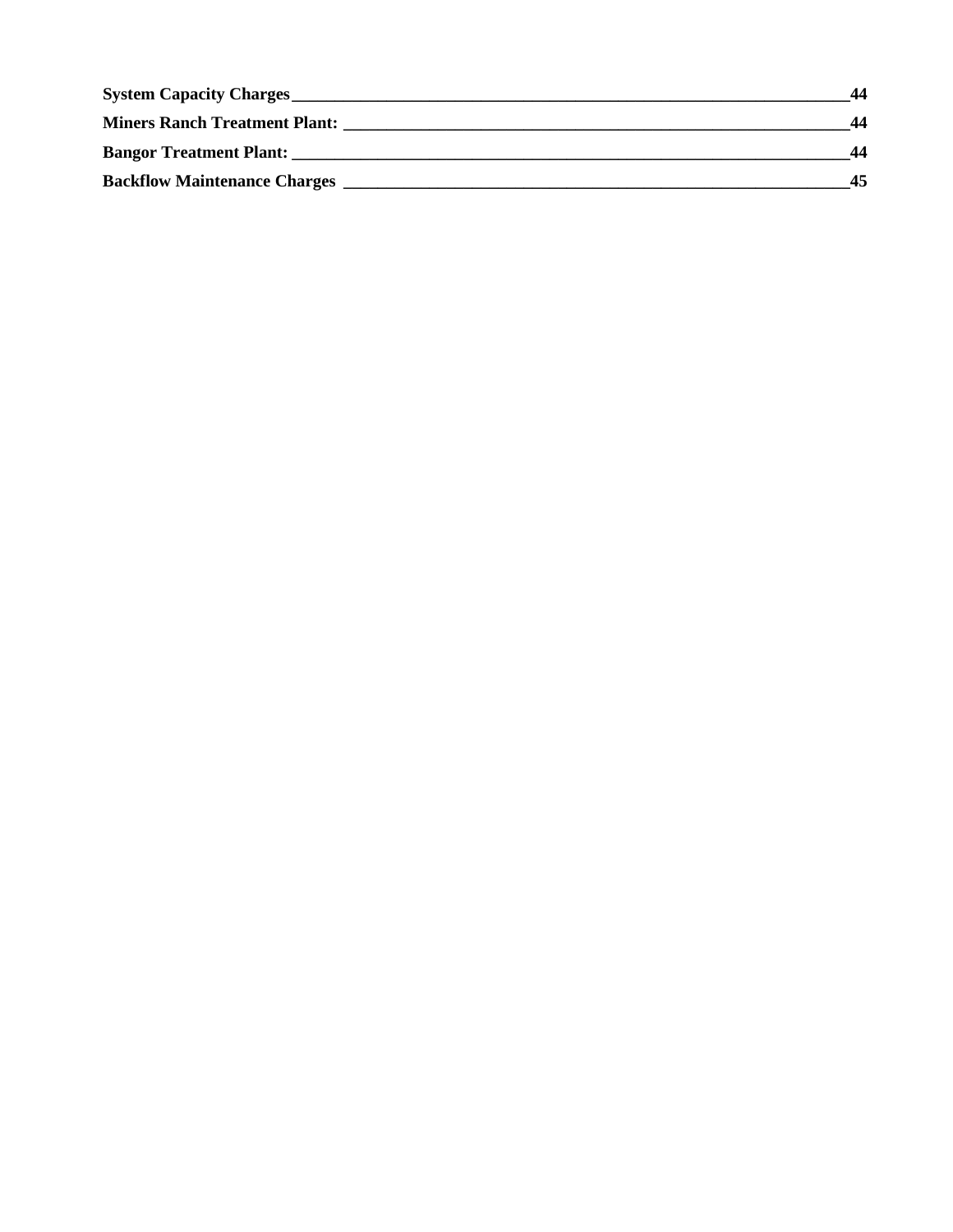| <b>System Capacity Charges</b>       |    |
|--------------------------------------|----|
| <b>Miners Ranch Treatment Plant:</b> | 44 |
| <b>Bangor Treatment Plant:</b>       | 44 |
| <b>Backflow Maintenance Charges</b>  | 45 |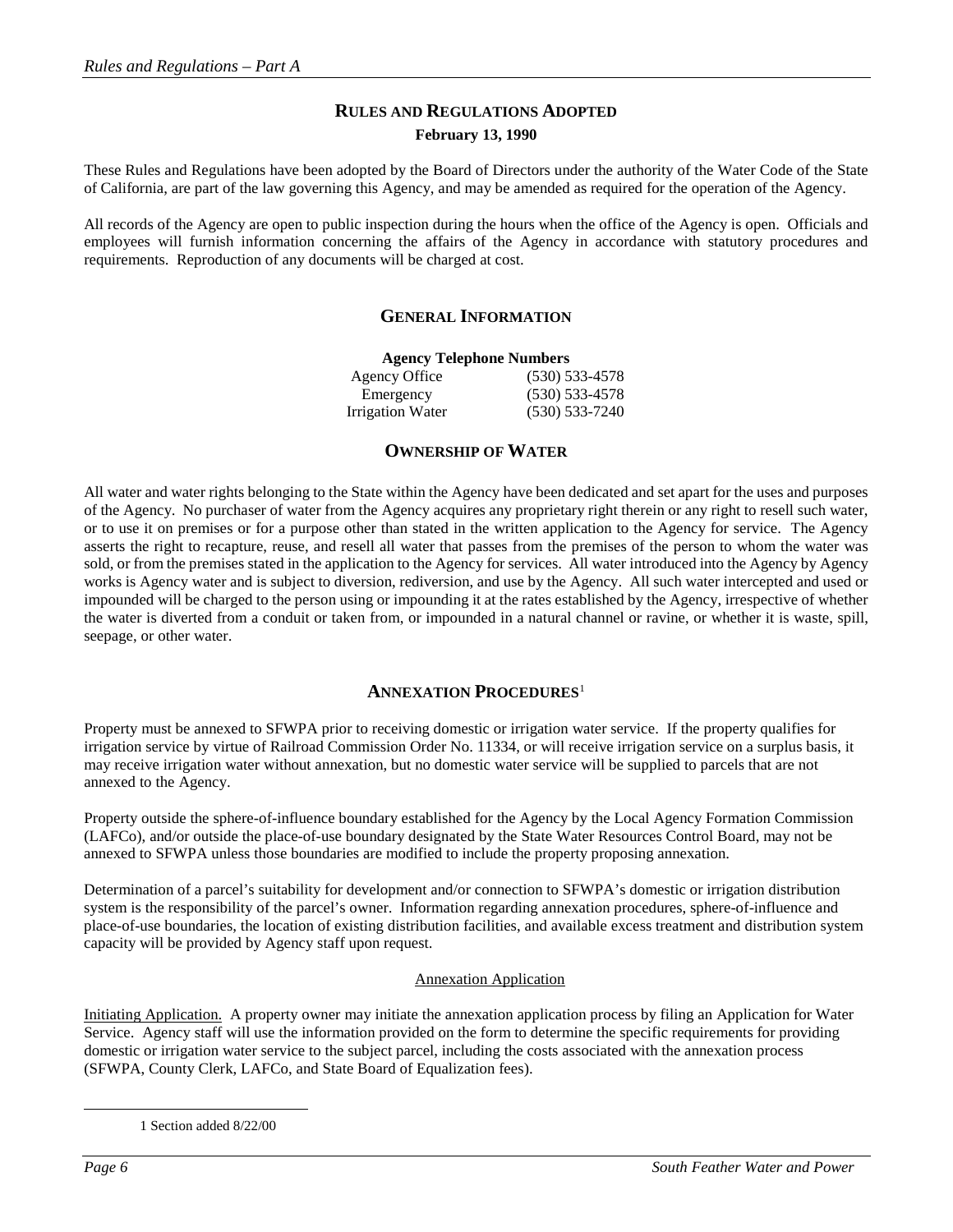## **RULES AND REGULATIONS ADOPTED February 13, 1990**

These Rules and Regulations have been adopted by the Board of Directors under the authority of the Water Code of the State of California, are part of the law governing this Agency, and may be amended as required for the operation of the Agency.

All records of the Agency are open to public inspection during the hours when the office of the Agency is open. Officials and employees will furnish information concerning the affairs of the Agency in accordance with statutory procedures and requirements. Reproduction of any documents will be charged at cost.

## **GENERAL INFORMATION**

| <b>Agency Telephone Numbers</b> |                    |  |  |  |
|---------------------------------|--------------------|--|--|--|
| Agency Office                   | $(530)$ 533-4578   |  |  |  |
| Emergency                       | $(530)$ 533-4578   |  |  |  |
| <b>Irrigation Water</b>         | $(530) 533 - 7240$ |  |  |  |

## **OWNERSHIP OF WATER**

All water and water rights belonging to the State within the Agency have been dedicated and set apart for the uses and purposes of the Agency. No purchaser of water from the Agency acquires any proprietary right therein or any right to resell such water, or to use it on premises or for a purpose other than stated in the written application to the Agency for service. The Agency asserts the right to recapture, reuse, and resell all water that passes from the premises of the person to whom the water was sold, or from the premises stated in the application to the Agency for services. All water introduced into the Agency by Agency works is Agency water and is subject to diversion, rediversion, and use by the Agency. All such water intercepted and used or impounded will be charged to the person using or impounding it at the rates established by the Agency, irrespective of whether the water is diverted from a conduit or taken from, or impounded in a natural channel or ravine, or whether it is waste, spill, seepage, or other water.

## **ANNEXATION PROCEDURES**[1](#page-5-0)

Property must be annexed to SFWPA prior to receiving domestic or irrigation water service. If the property qualifies for irrigation service by virtue of Railroad Commission Order No. 11334, or will receive irrigation service on a surplus basis, it may receive irrigation water without annexation, but no domestic water service will be supplied to parcels that are not annexed to the Agency.

Property outside the sphere-of-influence boundary established for the Agency by the Local Agency Formation Commission (LAFCo), and/or outside the place-of-use boundary designated by the State Water Resources Control Board, may not be annexed to SFWPA unless those boundaries are modified to include the property proposing annexation.

Determination of a parcel's suitability for development and/or connection to SFWPA's domestic or irrigation distribution system is the responsibility of the parcel's owner. Information regarding annexation procedures, sphere-of-influence and place-of-use boundaries, the location of existing distribution facilities, and available excess treatment and distribution system capacity will be provided by Agency staff upon request.

## Annexation Application

<span id="page-5-0"></span>Initiating Application. A property owner may initiate the annexation application process by filing an Application for Water Service. Agency staff will use the information provided on the form to determine the specific requirements for providing domestic or irrigation water service to the subject parcel, including the costs associated with the annexation process (SFWPA, County Clerk, LAFCo, and State Board of Equalization fees).

 <sup>1</sup> Section added 8/22/00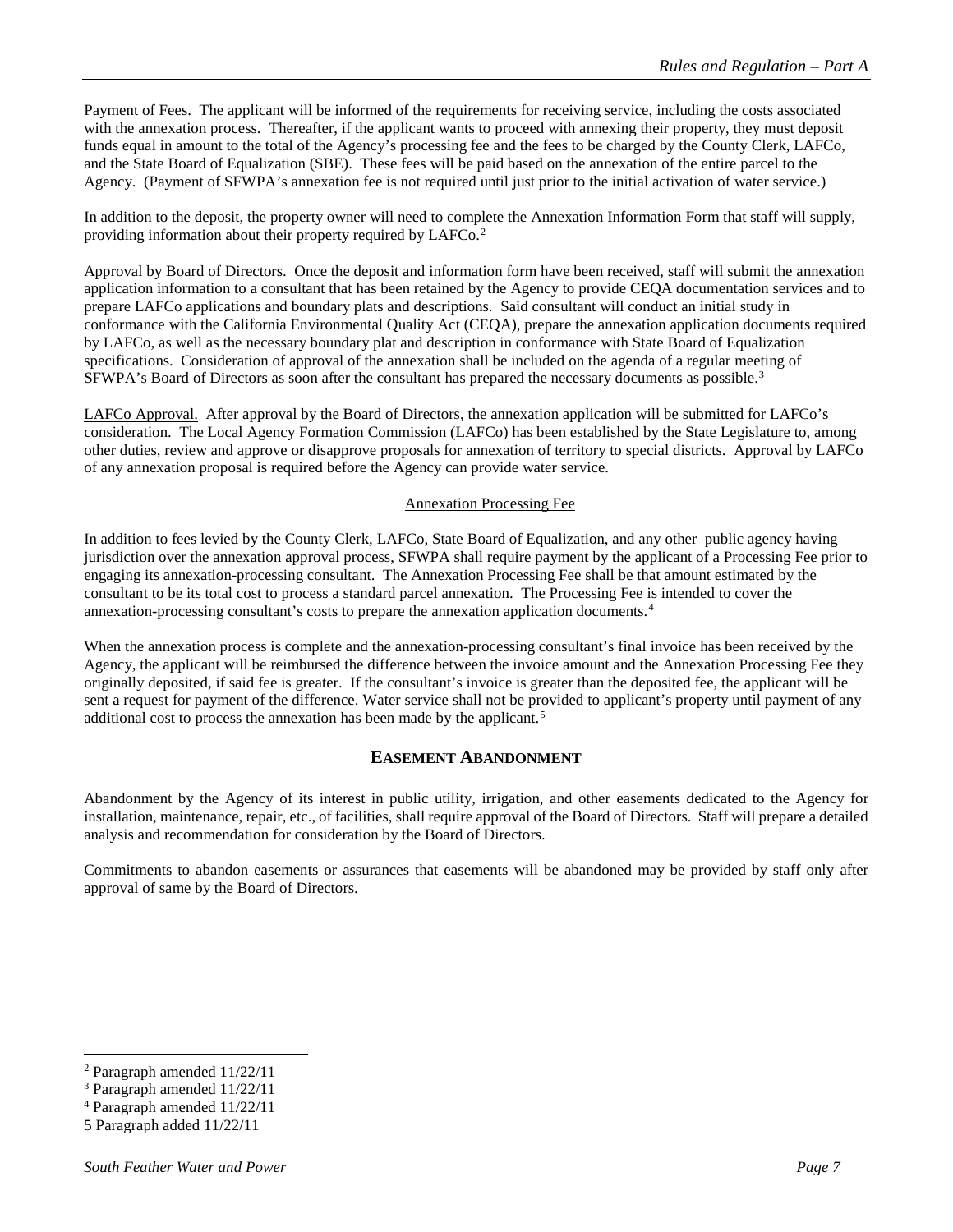Payment of Fees. The applicant will be informed of the requirements for receiving service, including the costs associated with the annexation process. Thereafter, if the applicant wants to proceed with annexing their property, they must deposit funds equal in amount to the total of the Agency's processing fee and the fees to be charged by the County Clerk, LAFCo, and the State Board of Equalization (SBE). These fees will be paid based on the annexation of the entire parcel to the Agency. (Payment of SFWPA's annexation fee is not required until just prior to the initial activation of water service.)

In addition to the deposit, the property owner will need to complete the Annexation Information Form that staff will supply, providing information about their property required by LAFCo.[2](#page-6-0)

Approval by Board of Directors. Once the deposit and information form have been received, staff will submit the annexation application information to a consultant that has been retained by the Agency to provide CEQA documentation services and to prepare LAFCo applications and boundary plats and descriptions. Said consultant will conduct an initial study in conformance with the California Environmental Quality Act (CEQA), prepare the annexation application documents required by LAFCo, as well as the necessary boundary plat and description in conformance with State Board of Equalization specifications. Consideration of approval of the annexation shall be included on the agenda of a regular meeting of SFWPA's Board of Directors as soon after the consultant has prepared the necessary documents as possible.<sup>[3](#page-6-1)</sup>

LAFCo Approval. After approval by the Board of Directors, the annexation application will be submitted for LAFCo's consideration. The Local Agency Formation Commission (LAFCo) has been established by the State Legislature to, among other duties, review and approve or disapprove proposals for annexation of territory to special districts. Approval by LAFCo of any annexation proposal is required before the Agency can provide water service.

## Annexation Processing Fee

In addition to fees levied by the County Clerk, LAFCo, State Board of Equalization, and any other public agency having jurisdiction over the annexation approval process, SFWPA shall require payment by the applicant of a Processing Fee prior to engaging its annexation-processing consultant. The Annexation Processing Fee shall be that amount estimated by the consultant to be its total cost to process a standard parcel annexation. The Processing Fee is intended to cover the annexation-processing consultant's costs to prepare the annexation application documents.[4](#page-6-2)

When the annexation process is complete and the annexation-processing consultant's final invoice has been received by the Agency, the applicant will be reimbursed the difference between the invoice amount and the Annexation Processing Fee they originally deposited, if said fee is greater. If the consultant's invoice is greater than the deposited fee, the applicant will be sent a request for payment of the difference. Water service shall not be provided to applicant's property until payment of any additional cost to process the annexation has been made by the applicant.<sup>[5](#page-6-3)</sup>

## **EASEMENT ABANDONMENT**

Abandonment by the Agency of its interest in public utility, irrigation, and other easements dedicated to the Agency for installation, maintenance, repair, etc., of facilities, shall require approval of the Board of Directors. Staff will prepare a detailed analysis and recommendation for consideration by the Board of Directors.

Commitments to abandon easements or assurances that easements will be abandoned may be provided by staff only after approval of same by the Board of Directors.

<span id="page-6-0"></span> <sup>2</sup> Paragraph amended 11/22/11

<span id="page-6-1"></span><sup>3</sup> Paragraph amended 11/22/11

<span id="page-6-2"></span><sup>4</sup> Paragraph amended 11/22/11

<span id="page-6-3"></span><sup>5</sup> Paragraph added 11/22/11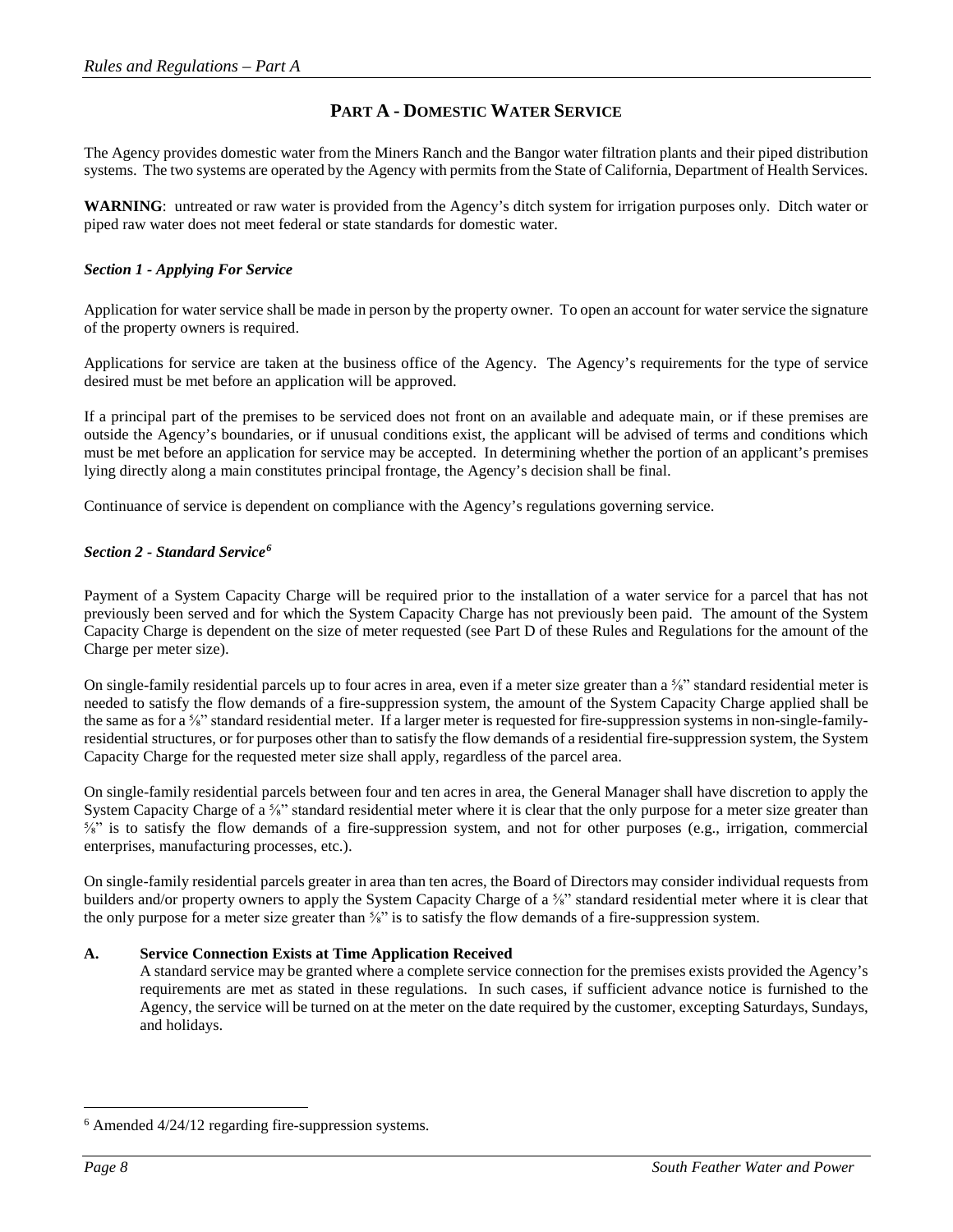## **PART A - DOMESTIC WATER SERVICE**

The Agency provides domestic water from the Miners Ranch and the Bangor water filtration plants and their piped distribution systems. The two systems are operated by the Agency with permits from the State of California, Department of Health Services.

**WARNING**: untreated or raw water is provided from the Agency's ditch system for irrigation purposes only. Ditch water or piped raw water does not meet federal or state standards for domestic water.

## *Section 1 - Applying For Service*

Application for water service shall be made in person by the property owner. To open an account for water service the signature of the property owners is required.

Applications for service are taken at the business office of the Agency. The Agency's requirements for the type of service desired must be met before an application will be approved.

If a principal part of the premises to be serviced does not front on an available and adequate main, or if these premises are outside the Agency's boundaries, or if unusual conditions exist, the applicant will be advised of terms and conditions which must be met before an application for service may be accepted. In determining whether the portion of an applicant's premises lying directly along a main constitutes principal frontage, the Agency's decision shall be final.

Continuance of service is dependent on compliance with the Agency's regulations governing service.

## *Section 2 - Standard Service[6](#page-7-0)*

Payment of a System Capacity Charge will be required prior to the installation of a water service for a parcel that has not previously been served and for which the System Capacity Charge has not previously been paid. The amount of the System Capacity Charge is dependent on the size of meter requested (see Part D of these Rules and Regulations for the amount of the Charge per meter size).

On single-family residential parcels up to four acres in area, even if a meter size greater than  $a\frac{f}{s}$ " standard residential meter is needed to satisfy the flow demands of a fire-suppression system, the amount of the System Capacity Charge applied shall be the same as for a <sup>5</sup>/<sub>8</sub>" standard residential meter. If a larger meter is requested for fire-suppression systems in non-single-familyresidential structures, or for purposes other than to satisfy the flow demands of a residential fire-suppression system, the System Capacity Charge for the requested meter size shall apply, regardless of the parcel area.

On single-family residential parcels between four and ten acres in area, the General Manager shall have discretion to apply the System Capacity Charge of a <sup>5/8</sup>" standard residential meter where it is clear that the only purpose for a meter size greater than ⅝" is to satisfy the flow demands of a fire-suppression system, and not for other purposes (e.g., irrigation, commercial enterprises, manufacturing processes, etc.).

On single-family residential parcels greater in area than ten acres, the Board of Directors may consider individual requests from builders and/or property owners to apply the System Capacity Charge of a 5%" standard residential meter where it is clear that the only purpose for a meter size greater than <sup>5</sup>/<sub>8</sub>" is to satisfy the flow demands of a fire-suppression system.

## **A. Service Connection Exists at Time Application Received**

A standard service may be granted where a complete service connection for the premises exists provided the Agency's requirements are met as stated in these regulations. In such cases, if sufficient advance notice is furnished to the Agency, the service will be turned on at the meter on the date required by the customer, excepting Saturdays, Sundays, and holidays.

<span id="page-7-0"></span> <sup>6</sup> Amended 4/24/12 regarding fire-suppression systems.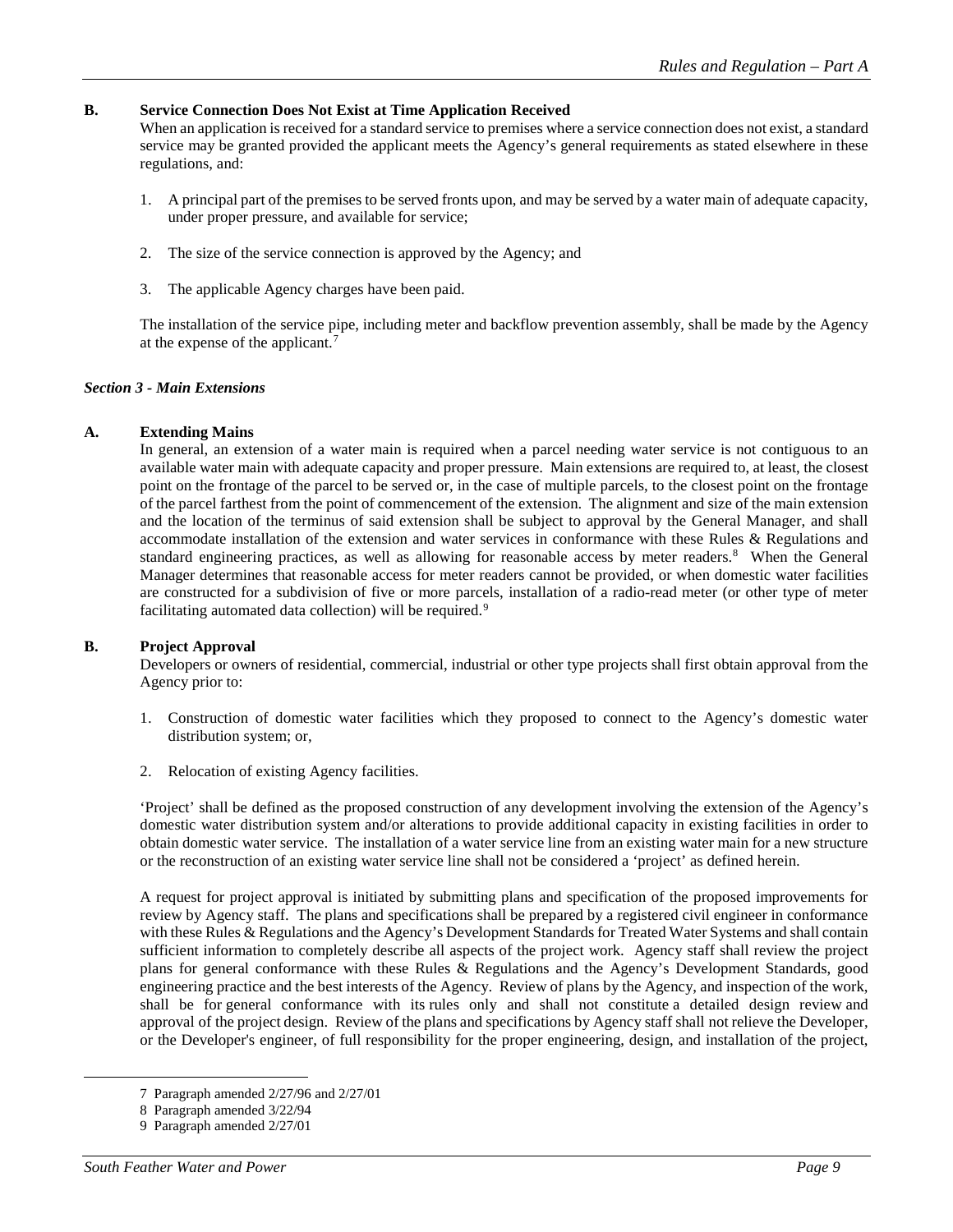## **B. Service Connection Does Not Exist at Time Application Received**

When an application is received for a standard service to premises where a service connection does not exist, a standard service may be granted provided the applicant meets the Agency's general requirements as stated elsewhere in these regulations, and:

- 1. A principal part of the premises to be served fronts upon, and may be served by a water main of adequate capacity, under proper pressure, and available for service;
- 2. The size of the service connection is approved by the Agency; and
- 3. The applicable Agency charges have been paid.

The installation of the service pipe, including meter and backflow prevention assembly, shall be made by the Agency at the expense of the applicant.[7](#page-8-0)

## *Section 3 - Main Extensions*

## **A. Extending Mains**

In general, an extension of a water main is required when a parcel needing water service is not contiguous to an available water main with adequate capacity and proper pressure. Main extensions are required to, at least, the closest point on the frontage of the parcel to be served or, in the case of multiple parcels, to the closest point on the frontage of the parcel farthest from the point of commencement of the extension. The alignment and size of the main extension and the location of the terminus of said extension shall be subject to approval by the General Manager, and shall accommodate installation of the extension and water services in conformance with these Rules & Regulations and standard engineering practices, as well as allowing for reasonable access by meter readers.<sup>[8](#page-8-1)</sup> When the General Manager determines that reasonable access for meter readers cannot be provided, or when domestic water facilities are constructed for a subdivision of five or more parcels, installation of a radio-read meter (or other type of meter facilitating automated data collection) will be required.<sup>[9](#page-8-2)</sup>

## **B. Project Approval**

Developers or owners of residential, commercial, industrial or other type projects shall first obtain approval from the Agency prior to:

- 1. Construction of domestic water facilities which they proposed to connect to the Agency's domestic water distribution system; or,
- 2. Relocation of existing Agency facilities.

'Project' shall be defined as the proposed construction of any development involving the extension of the Agency's domestic water distribution system and/or alterations to provide additional capacity in existing facilities in order to obtain domestic water service. The installation of a water service line from an existing water main for a new structure or the reconstruction of an existing water service line shall not be considered a 'project' as defined herein.

A request for project approval is initiated by submitting plans and specification of the proposed improvements for review by Agency staff. The plans and specifications shall be prepared by a registered civil engineer in conformance with these Rules & Regulations and the Agency's Development Standards for Treated Water Systems and shall contain sufficient information to completely describe all aspects of the project work. Agency staff shall review the project plans for general conformance with these Rules & Regulations and the Agency's Development Standards, good engineering practice and the best interests of the Agency. Review of plans by the Agency, and inspection of the work, shall be for general conformance with its rules only and shall not constitute a detailed design review and approval of the project design. Review of the plans and specifications by Agency staff shall not relieve the Developer, or the Developer's engineer, of full responsibility for the proper engineering, design, and installation of the project,

<span id="page-8-0"></span> <sup>7</sup> Paragraph amended 2/27/96 and 2/27/01

<sup>8</sup> Paragraph amended 3/22/94

<span id="page-8-2"></span><span id="page-8-1"></span><sup>9</sup> Paragraph amended 2/27/01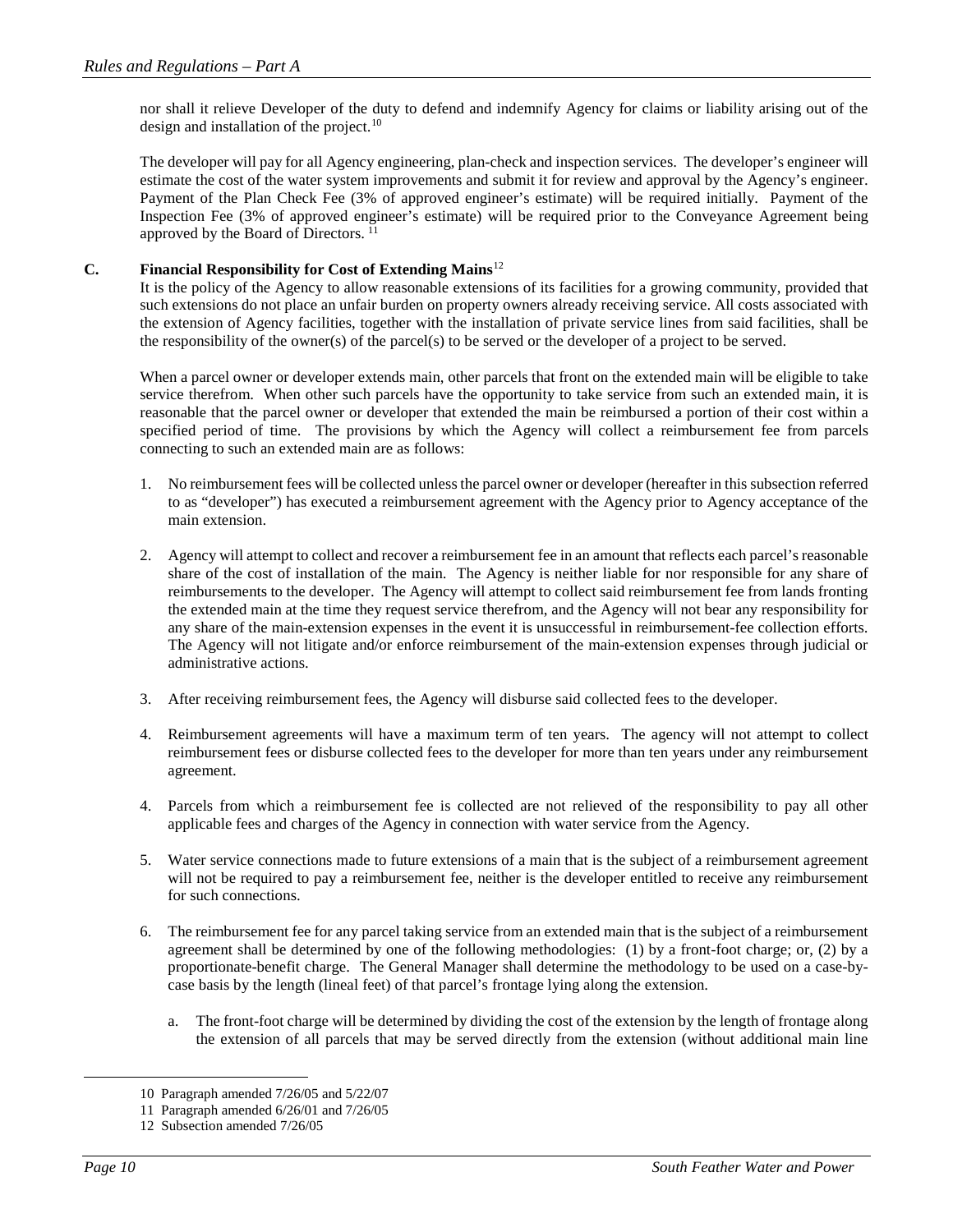nor shall it relieve Developer of the duty to defend and indemnify Agency for claims or liability arising out of the design and installation of the project.<sup>[10](#page-9-0)</sup>

The developer will pay for all Agency engineering, plan-check and inspection services. The developer's engineer will estimate the cost of the water system improvements and submit it for review and approval by the Agency's engineer. Payment of the Plan Check Fee (3% of approved engineer's estimate) will be required initially. Payment of the Inspection Fee (3% of approved engineer's estimate) will be required prior to the Conveyance Agreement being approved by the Board of Directors.  $^{11}$  $^{11}$  $^{11}$ 

## **C. Financial Responsibility for Cost of Extending Mains**[12](#page-9-2)

It is the policy of the Agency to allow reasonable extensions of its facilities for a growing community, provided that such extensions do not place an unfair burden on property owners already receiving service. All costs associated with the extension of Agency facilities, together with the installation of private service lines from said facilities, shall be the responsibility of the owner(s) of the parcel(s) to be served or the developer of a project to be served.

When a parcel owner or developer extends main, other parcels that front on the extended main will be eligible to take service therefrom. When other such parcels have the opportunity to take service from such an extended main, it is reasonable that the parcel owner or developer that extended the main be reimbursed a portion of their cost within a specified period of time. The provisions by which the Agency will collect a reimbursement fee from parcels connecting to such an extended main are as follows:

- 1. No reimbursement fees will be collected unless the parcel owner or developer (hereafter in this subsection referred to as "developer") has executed a reimbursement agreement with the Agency prior to Agency acceptance of the main extension.
- 2. Agency will attempt to collect and recover a reimbursement fee in an amount that reflects each parcel's reasonable share of the cost of installation of the main. The Agency is neither liable for nor responsible for any share of reimbursements to the developer. The Agency will attempt to collect said reimbursement fee from lands fronting the extended main at the time they request service therefrom, and the Agency will not bear any responsibility for any share of the main-extension expenses in the event it is unsuccessful in reimbursement-fee collection efforts. The Agency will not litigate and/or enforce reimbursement of the main-extension expenses through judicial or administrative actions.
- 3. After receiving reimbursement fees, the Agency will disburse said collected fees to the developer.
- 4. Reimbursement agreements will have a maximum term of ten years. The agency will not attempt to collect reimbursement fees or disburse collected fees to the developer for more than ten years under any reimbursement agreement.
- 4. Parcels from which a reimbursement fee is collected are not relieved of the responsibility to pay all other applicable fees and charges of the Agency in connection with water service from the Agency.
- 5. Water service connections made to future extensions of a main that is the subject of a reimbursement agreement will not be required to pay a reimbursement fee, neither is the developer entitled to receive any reimbursement for such connections.
- 6. The reimbursement fee for any parcel taking service from an extended main that is the subject of a reimbursement agreement shall be determined by one of the following methodologies: (1) by a front-foot charge; or, (2) by a proportionate-benefit charge. The General Manager shall determine the methodology to be used on a case-bycase basis by the length (lineal feet) of that parcel's frontage lying along the extension.
	- a. The front-foot charge will be determined by dividing the cost of the extension by the length of frontage along the extension of all parcels that may be served directly from the extension (without additional main line

<span id="page-9-1"></span><span id="page-9-0"></span> <sup>10</sup> Paragraph amended 7/26/05 and 5/22/07

<sup>11</sup> Paragraph amended 6/26/01 and 7/26/05

<span id="page-9-2"></span><sup>12</sup> Subsection amended 7/26/05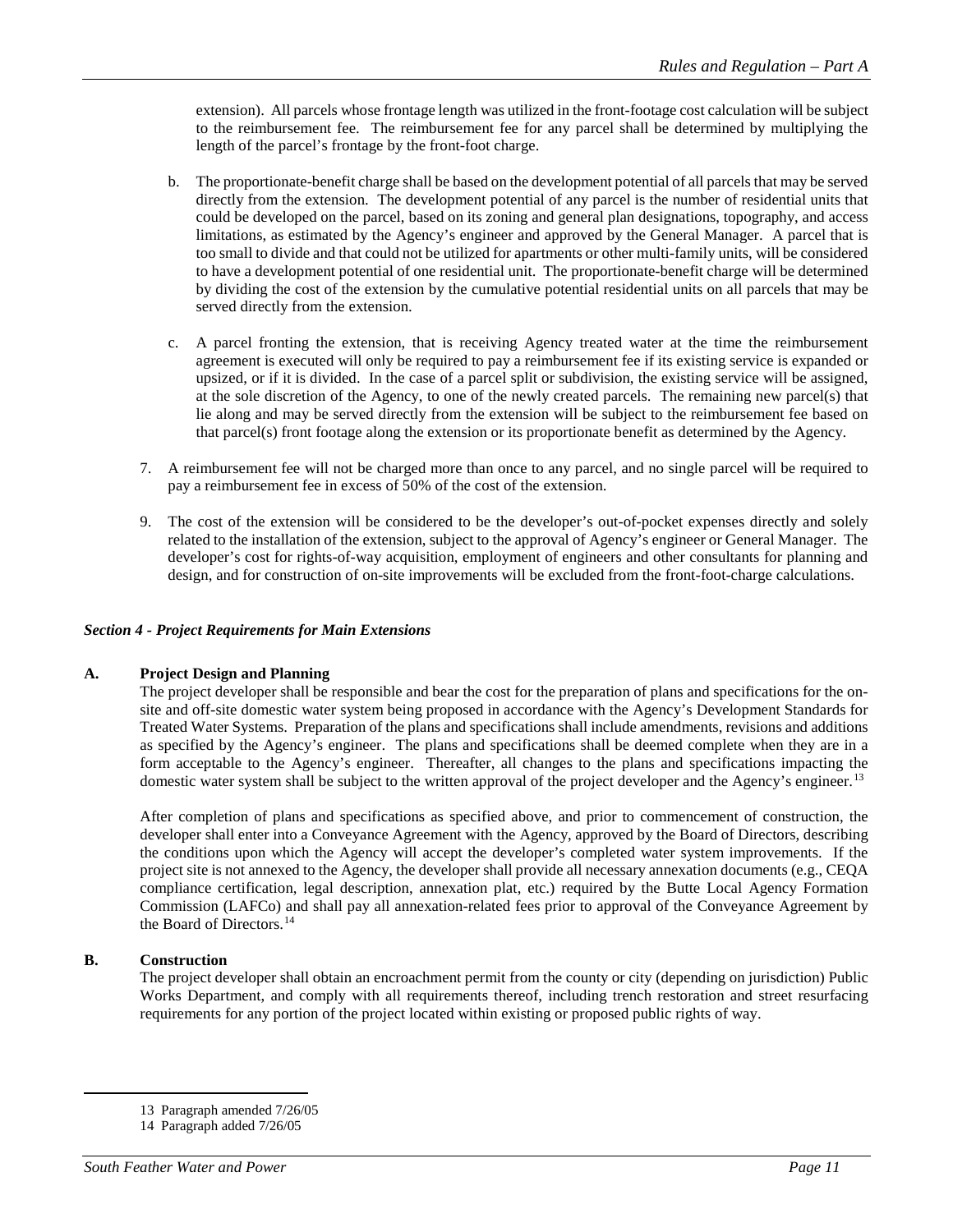extension). All parcels whose frontage length was utilized in the front-footage cost calculation will be subject to the reimbursement fee. The reimbursement fee for any parcel shall be determined by multiplying the length of the parcel's frontage by the front-foot charge.

- b. The proportionate-benefit charge shall be based on the development potential of all parcels that may be served directly from the extension. The development potential of any parcel is the number of residential units that could be developed on the parcel, based on its zoning and general plan designations, topography, and access limitations, as estimated by the Agency's engineer and approved by the General Manager. A parcel that is too small to divide and that could not be utilized for apartments or other multi-family units, will be considered to have a development potential of one residential unit. The proportionate-benefit charge will be determined by dividing the cost of the extension by the cumulative potential residential units on all parcels that may be served directly from the extension.
- c. A parcel fronting the extension, that is receiving Agency treated water at the time the reimbursement agreement is executed will only be required to pay a reimbursement fee if its existing service is expanded or upsized, or if it is divided. In the case of a parcel split or subdivision, the existing service will be assigned, at the sole discretion of the Agency, to one of the newly created parcels. The remaining new parcel(s) that lie along and may be served directly from the extension will be subject to the reimbursement fee based on that parcel(s) front footage along the extension or its proportionate benefit as determined by the Agency.
- 7. A reimbursement fee will not be charged more than once to any parcel, and no single parcel will be required to pay a reimbursement fee in excess of 50% of the cost of the extension.
- 9. The cost of the extension will be considered to be the developer's out-of-pocket expenses directly and solely related to the installation of the extension, subject to the approval of Agency's engineer or General Manager. The developer's cost for rights-of-way acquisition, employment of engineers and other consultants for planning and design, and for construction of on-site improvements will be excluded from the front-foot-charge calculations.

## *Section 4 - Project Requirements for Main Extensions*

## **A. Project Design and Planning**

The project developer shall be responsible and bear the cost for the preparation of plans and specifications for the onsite and off-site domestic water system being proposed in accordance with the Agency's Development Standards for Treated Water Systems. Preparation of the plans and specifications shall include amendments, revisions and additions as specified by the Agency's engineer. The plans and specifications shall be deemed complete when they are in a form acceptable to the Agency's engineer. Thereafter, all changes to the plans and specifications impacting the domestic water system shall be subject to the written approval of the project developer and the Agency's engineer.<sup>[13](#page-10-0)</sup>

After completion of plans and specifications as specified above, and prior to commencement of construction, the developer shall enter into a Conveyance Agreement with the Agency, approved by the Board of Directors, describing the conditions upon which the Agency will accept the developer's completed water system improvements. If the project site is not annexed to the Agency, the developer shall provide all necessary annexation documents (e.g., CEQA compliance certification, legal description, annexation plat, etc.) required by the Butte Local Agency Formation Commission (LAFCo) and shall pay all annexation-related fees prior to approval of the Conveyance Agreement by the Board of Directors.<sup>[14](#page-10-1)</sup>

## **B. Construction**

The project developer shall obtain an encroachment permit from the county or city (depending on jurisdiction) Public Works Department, and comply with all requirements thereof, including trench restoration and street resurfacing requirements for any portion of the project located within existing or proposed public rights of way.

 <sup>13</sup> Paragraph amended 7/26/05

<span id="page-10-1"></span><span id="page-10-0"></span><sup>14</sup> Paragraph added 7/26/05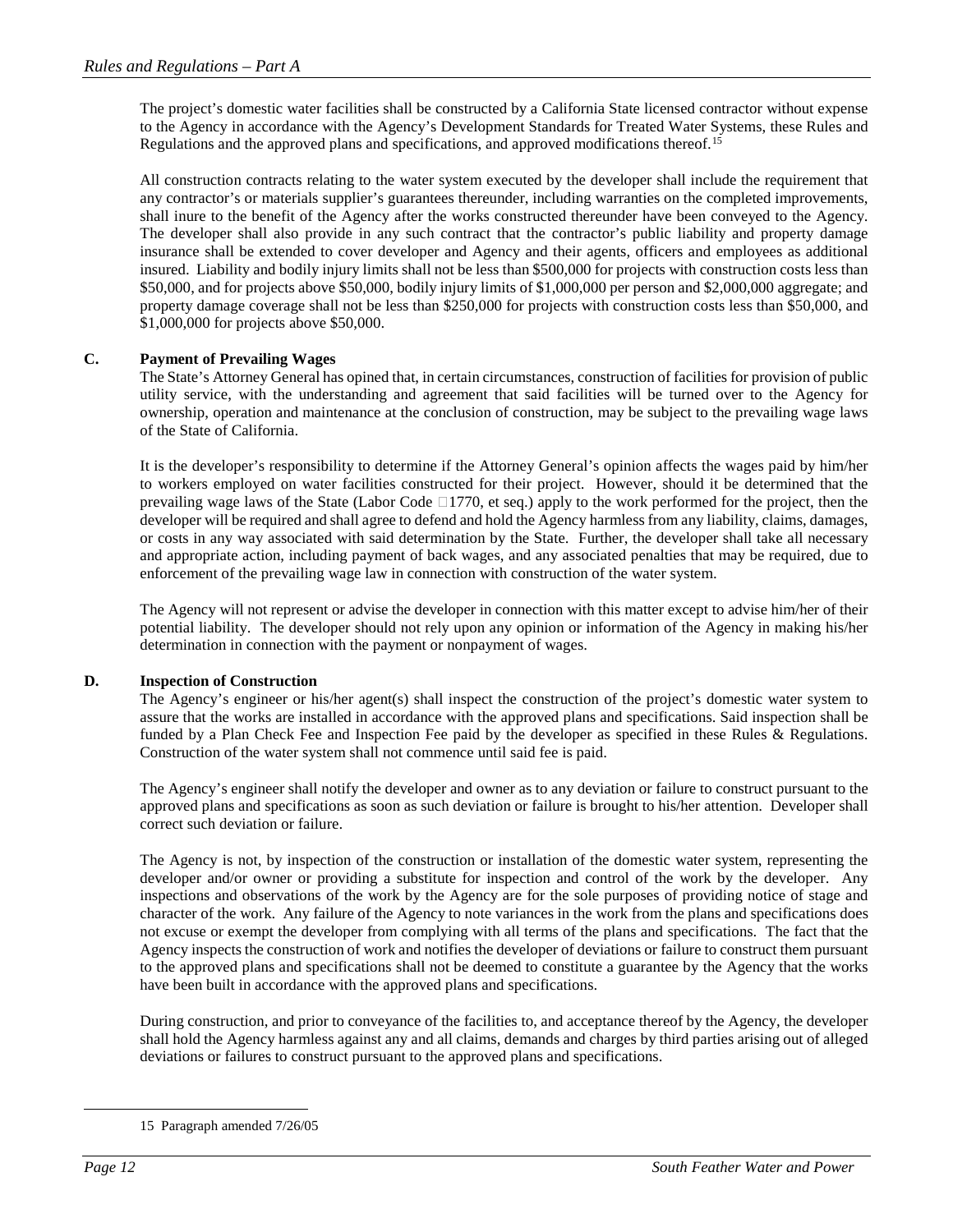The project's domestic water facilities shall be constructed by a California State licensed contractor without expense to the Agency in accordance with the Agency's Development Standards for Treated Water Systems, these Rules and Regulations and the approved plans and specifications, and approved modifications thereof.<sup>[15](#page-11-0)</sup>

All construction contracts relating to the water system executed by the developer shall include the requirement that any contractor's or materials supplier's guarantees thereunder, including warranties on the completed improvements, shall inure to the benefit of the Agency after the works constructed thereunder have been conveyed to the Agency. The developer shall also provide in any such contract that the contractor's public liability and property damage insurance shall be extended to cover developer and Agency and their agents, officers and employees as additional insured. Liability and bodily injury limits shall not be less than \$500,000 for projects with construction costs less than \$50,000, and for projects above \$50,000, bodily injury limits of \$1,000,000 per person and \$2,000,000 aggregate; and property damage coverage shall not be less than \$250,000 for projects with construction costs less than \$50,000, and \$1,000,000 for projects above \$50,000.

## **C. Payment of Prevailing Wages**

The State's Attorney General has opined that, in certain circumstances, construction of facilities for provision of public utility service, with the understanding and agreement that said facilities will be turned over to the Agency for ownership, operation and maintenance at the conclusion of construction, may be subject to the prevailing wage laws of the State of California.

It is the developer's responsibility to determine if the Attorney General's opinion affects the wages paid by him/her to workers employed on water facilities constructed for their project. However, should it be determined that the prevailing wage laws of the State (Labor Code  $\Box$ 1770, et seq.) apply to the work performed for the project, then the developer will be required and shall agree to defend and hold the Agency harmless from any liability, claims, damages, or costs in any way associated with said determination by the State. Further, the developer shall take all necessary and appropriate action, including payment of back wages, and any associated penalties that may be required, due to enforcement of the prevailing wage law in connection with construction of the water system.

The Agency will not represent or advise the developer in connection with this matter except to advise him/her of their potential liability. The developer should not rely upon any opinion or information of the Agency in making his/her determination in connection with the payment or nonpayment of wages.

## **D. Inspection of Construction**

The Agency's engineer or his/her agent(s) shall inspect the construction of the project's domestic water system to assure that the works are installed in accordance with the approved plans and specifications. Said inspection shall be funded by a Plan Check Fee and Inspection Fee paid by the developer as specified in these Rules & Regulations. Construction of the water system shall not commence until said fee is paid.

The Agency's engineer shall notify the developer and owner as to any deviation or failure to construct pursuant to the approved plans and specifications as soon as such deviation or failure is brought to his/her attention. Developer shall correct such deviation or failure.

The Agency is not, by inspection of the construction or installation of the domestic water system, representing the developer and/or owner or providing a substitute for inspection and control of the work by the developer. Any inspections and observations of the work by the Agency are for the sole purposes of providing notice of stage and character of the work. Any failure of the Agency to note variances in the work from the plans and specifications does not excuse or exempt the developer from complying with all terms of the plans and specifications. The fact that the Agency inspects the construction of work and notifies the developer of deviations or failure to construct them pursuant to the approved plans and specifications shall not be deemed to constitute a guarantee by the Agency that the works have been built in accordance with the approved plans and specifications.

During construction, and prior to conveyance of the facilities to, and acceptance thereof by the Agency, the developer shall hold the Agency harmless against any and all claims, demands and charges by third parties arising out of alleged deviations or failures to construct pursuant to the approved plans and specifications.

<span id="page-11-0"></span> <sup>15</sup> Paragraph amended 7/26/05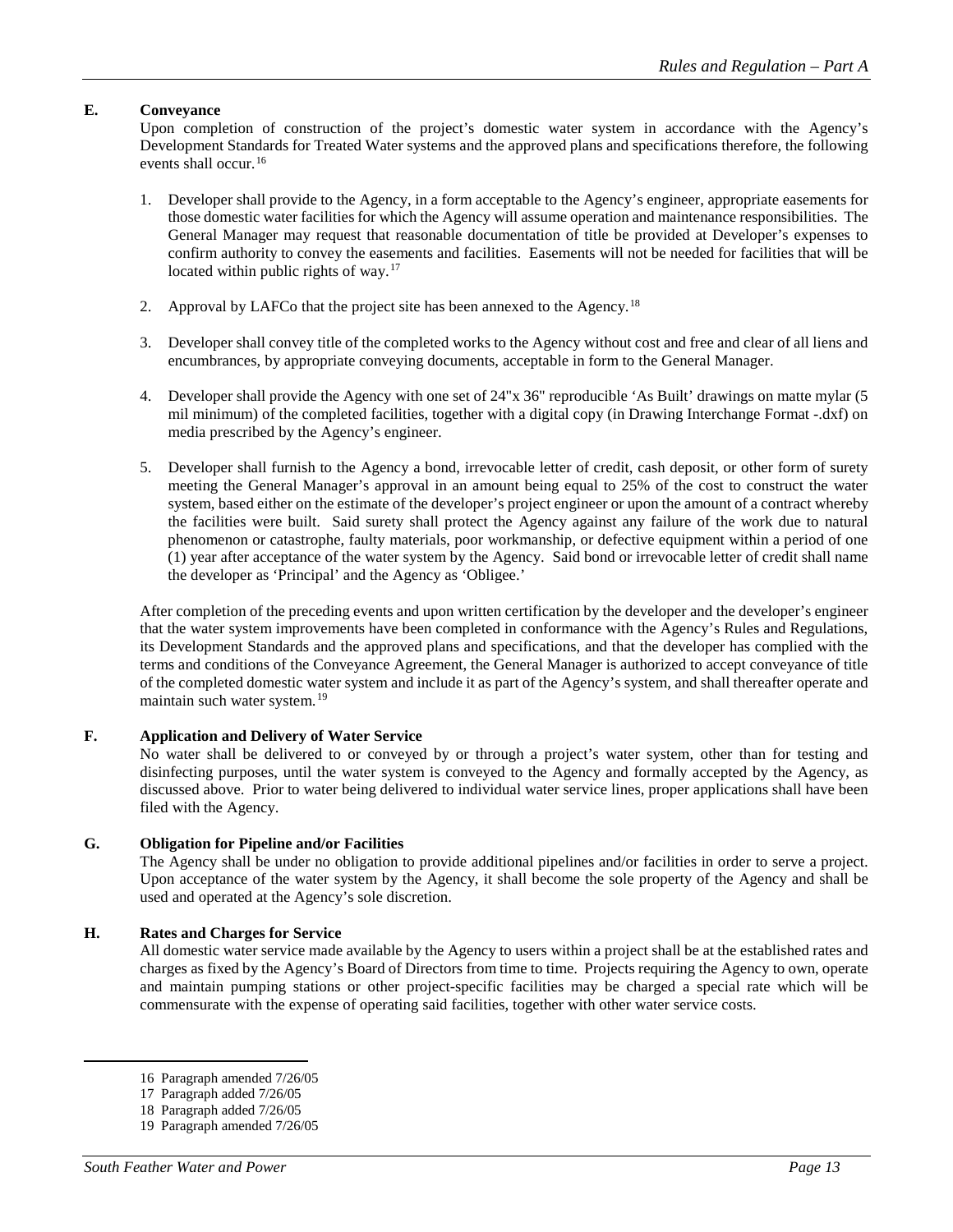## **E. Conveyance**

Upon completion of construction of the project's domestic water system in accordance with the Agency's Development Standards for Treated Water systems and the approved plans and specifications therefore, the following events shall occur.<sup>[16](#page-12-0)</sup>

- 1. Developer shall provide to the Agency, in a form acceptable to the Agency's engineer, appropriate easements for those domestic water facilities for which the Agency will assume operation and maintenance responsibilities. The General Manager may request that reasonable documentation of title be provided at Developer's expenses to confirm authority to convey the easements and facilities. Easements will not be needed for facilities that will be located within public rights of way.<sup>[17](#page-12-1)</sup>
- 2. Approval by LAFCo that the project site has been annexed to the Agency.<sup>[18](#page-12-2)</sup>
- 3. Developer shall convey title of the completed works to the Agency without cost and free and clear of all liens and encumbrances, by appropriate conveying documents, acceptable in form to the General Manager.
- 4. Developer shall provide the Agency with one set of 24"x 36" reproducible 'As Built' drawings on matte mylar (5 mil minimum) of the completed facilities, together with a digital copy (in Drawing Interchange Format -.dxf) on media prescribed by the Agency's engineer.
- 5. Developer shall furnish to the Agency a bond, irrevocable letter of credit, cash deposit, or other form of surety meeting the General Manager's approval in an amount being equal to 25% of the cost to construct the water system, based either on the estimate of the developer's project engineer or upon the amount of a contract whereby the facilities were built. Said surety shall protect the Agency against any failure of the work due to natural phenomenon or catastrophe, faulty materials, poor workmanship, or defective equipment within a period of one (1) year after acceptance of the water system by the Agency. Said bond or irrevocable letter of credit shall name the developer as 'Principal' and the Agency as 'Obligee.'

After completion of the preceding events and upon written certification by the developer and the developer's engineer that the water system improvements have been completed in conformance with the Agency's Rules and Regulations, its Development Standards and the approved plans and specifications, and that the developer has complied with the terms and conditions of the Conveyance Agreement, the General Manager is authorized to accept conveyance of title of the completed domestic water system and include it as part of the Agency's system, and shall thereafter operate and maintain such water system.<sup>[19](#page-12-3)</sup>

## **F. Application and Delivery of Water Service**

No water shall be delivered to or conveyed by or through a project's water system, other than for testing and disinfecting purposes, until the water system is conveyed to the Agency and formally accepted by the Agency, as discussed above. Prior to water being delivered to individual water service lines, proper applications shall have been filed with the Agency.

## **G. Obligation for Pipeline and/or Facilities**

The Agency shall be under no obligation to provide additional pipelines and/or facilities in order to serve a project. Upon acceptance of the water system by the Agency, it shall become the sole property of the Agency and shall be used and operated at the Agency's sole discretion.

## **H. Rates and Charges for Service**

All domestic water service made available by the Agency to users within a project shall be at the established rates and charges as fixed by the Agency's Board of Directors from time to time. Projects requiring the Agency to own, operate and maintain pumping stations or other project-specific facilities may be charged a special rate which will be commensurate with the expense of operating said facilities, together with other water service costs.

 <sup>16</sup> Paragraph amended 7/26/05

<sup>17</sup> Paragraph added 7/26/05

<sup>18</sup> Paragraph added 7/26/05

<span id="page-12-3"></span><span id="page-12-2"></span><span id="page-12-1"></span><span id="page-12-0"></span><sup>19</sup> Paragraph amended 7/26/05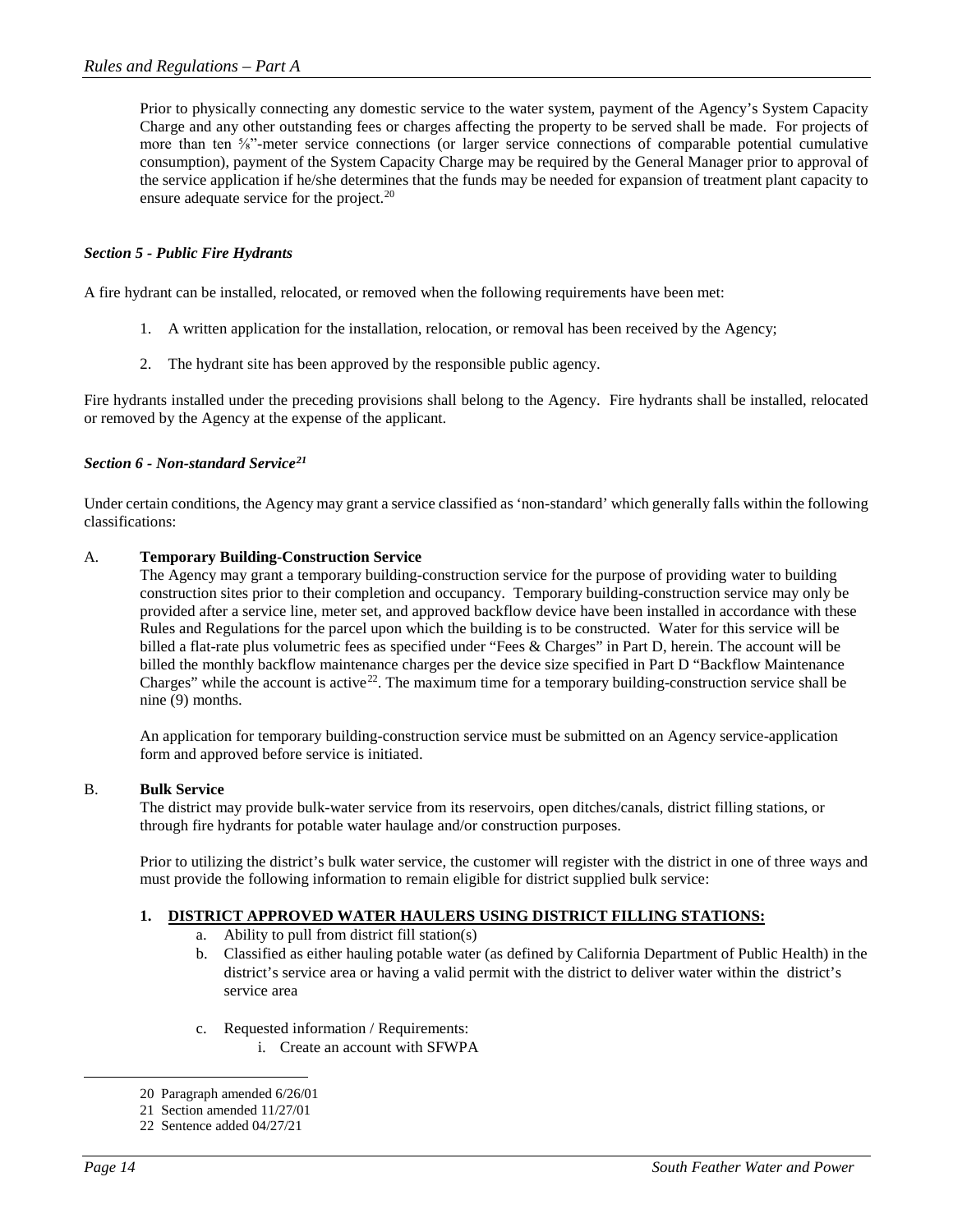Prior to physically connecting any domestic service to the water system, payment of the Agency's System Capacity Charge and any other outstanding fees or charges affecting the property to be served shall be made. For projects of more than ten ⅝"-meter service connections (or larger service connections of comparable potential cumulative consumption), payment of the System Capacity Charge may be required by the General Manager prior to approval of the service application if he/she determines that the funds may be needed for expansion of treatment plant capacity to ensure adequate service for the project.<sup>[20](#page-13-0)</sup>

## *Section 5 - Public Fire Hydrants*

A fire hydrant can be installed, relocated, or removed when the following requirements have been met:

- 1. A written application for the installation, relocation, or removal has been received by the Agency;
- 2. The hydrant site has been approved by the responsible public agency.

Fire hydrants installed under the preceding provisions shall belong to the Agency. Fire hydrants shall be installed, relocated or removed by the Agency at the expense of the applicant.

#### *Section 6 - Non-standard Service[21](#page-13-1)*

Under certain conditions, the Agency may grant a service classified as 'non-standard' which generally falls within the following classifications:

#### A. **Temporary Building-Construction Service**

The Agency may grant a temporary building-construction service for the purpose of providing water to building construction sites prior to their completion and occupancy. Temporary building-construction service may only be provided after a service line, meter set, and approved backflow device have been installed in accordance with these Rules and Regulations for the parcel upon which the building is to be constructed. Water for this service will be billed a flat-rate plus volumetric fees as specified under "Fees & Charges" in Part D, herein. The account will be billed the monthly backflow maintenance charges per the device size specified in Part D "Backflow Maintenance Charges" while the account is active<sup>22</sup>. The maximum time for a temporary building-construction service shall be nine (9) months.

An application for temporary building-construction service must be submitted on an Agency service-application form and approved before service is initiated.

#### B. **Bulk Service**

The district may provide bulk-water service from its reservoirs, open ditches/canals, district filling stations, or through fire hydrants for potable water haulage and/or construction purposes.

Prior to utilizing the district's bulk water service, the customer will register with the district in one of three ways and must provide the following information to remain eligible for district supplied bulk service:

## **1. DISTRICT APPROVED WATER HAULERS USING DISTRICT FILLING STATIONS:**

- a. Ability to pull from district fill station(s)
- b. Classified as either hauling potable water (as defined by California Department of Public Health) in the district's service area or having a valid permit with the district to deliver water within the district's service area
- c. Requested information / Requirements: i. Create an account with SFWPA

<span id="page-13-1"></span><span id="page-13-0"></span> <sup>20</sup> Paragraph amended 6/26/01

<sup>21</sup> Section amended 11/27/01

<span id="page-13-2"></span><sup>22</sup> Sentence added 04/27/21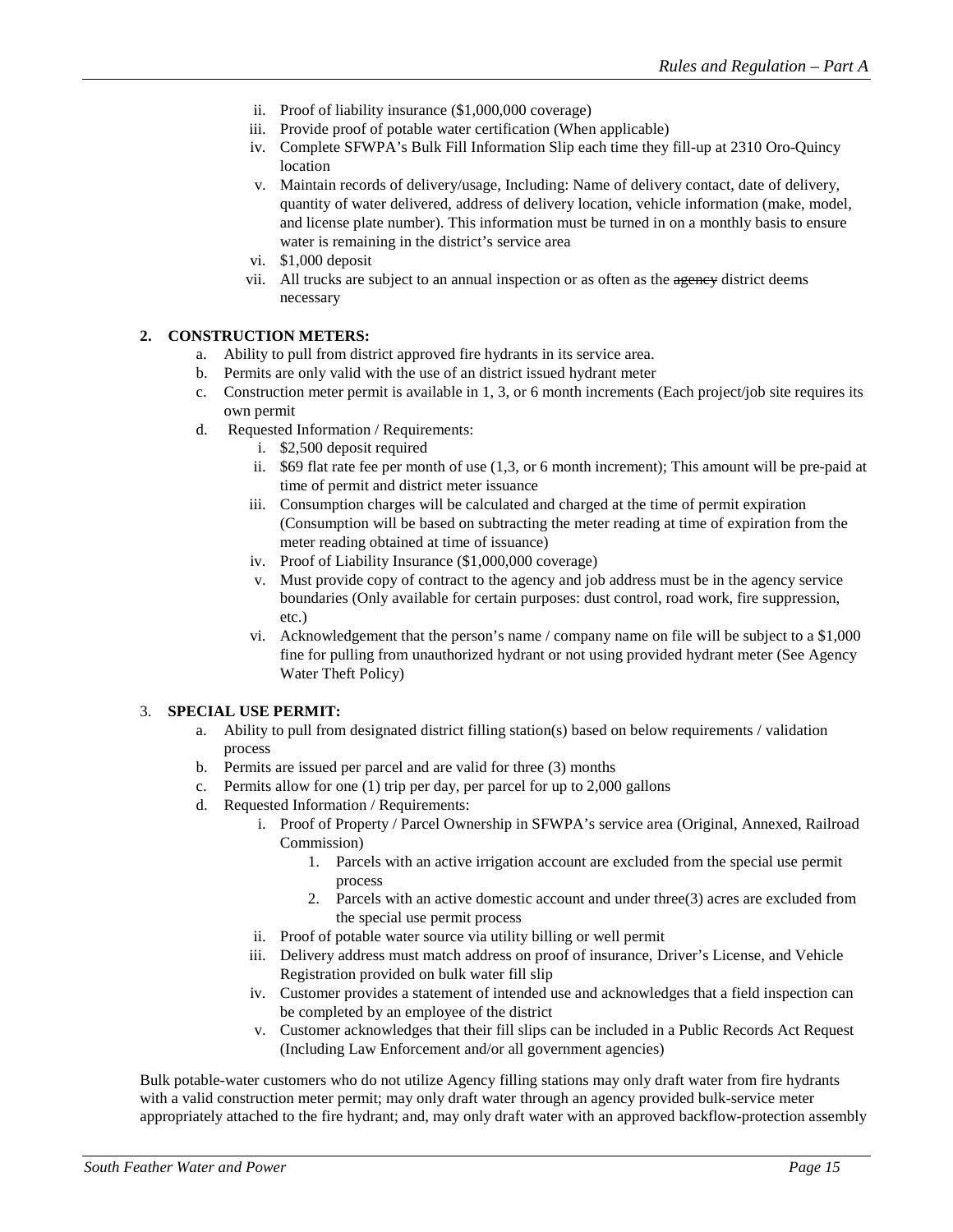- ii. Proof of liability insurance (\$1,000,000 coverage)
- iii. Provide proof of potable water certification (When applicable)
- iv. Complete SFWPA's Bulk Fill Information Slip each time they fill-up at 2310 Oro-Quincy location
- v. Maintain records of delivery/usage, Including: Name of delivery contact, date of delivery, quantity of water delivered, address of delivery location, vehicle information (make, model, and license plate number). This information must be turned in on a monthly basis to ensure water is remaining in the district's service area
- vi. \$1,000 deposit
- vii. All trucks are subject to an annual inspection or as often as the agency district deems necessary

## **2. CONSTRUCTION METERS:**

- a. Ability to pull from district approved fire hydrants in its service area.
- b. Permits are only valid with the use of an district issued hydrant meter
- c. Construction meter permit is available in 1, 3, or 6 month increments (Each project/job site requires its own permit
- d. Requested Information / Requirements:
	- i. \$2,500 deposit required
	- ii. \$69 flat rate fee per month of use (1,3, or 6 month increment); This amount will be pre-paid at time of permit and district meter issuance
	- iii. Consumption charges will be calculated and charged at the time of permit expiration (Consumption will be based on subtracting the meter reading at time of expiration from the meter reading obtained at time of issuance)
	- iv. Proof of Liability Insurance (\$1,000,000 coverage)
	- v. Must provide copy of contract to the agency and job address must be in the agency service boundaries (Only available for certain purposes: dust control, road work, fire suppression, etc.)
	- vi. Acknowledgement that the person's name / company name on file will be subject to a \$1,000 fine for pulling from unauthorized hydrant or not using provided hydrant meter (See Agency Water Theft Policy)

## 3. **SPECIAL USE PERMIT:**

- a. Ability to pull from designated district filling station(s) based on below requirements / validation process
- b. Permits are issued per parcel and are valid for three (3) months
- c. Permits allow for one (1) trip per day, per parcel for up to 2,000 gallons
- d. Requested Information / Requirements:
	- i. Proof of Property / Parcel Ownership in SFWPA's service area (Original, Annexed, Railroad Commission)
		- 1. Parcels with an active irrigation account are excluded from the special use permit process
		- 2. Parcels with an active domestic account and under three(3) acres are excluded from the special use permit process
	- ii. Proof of potable water source via utility billing or well permit
	- iii. Delivery address must match address on proof of insurance, Driver's License, and Vehicle Registration provided on bulk water fill slip
	- iv. Customer provides a statement of intended use and acknowledges that a field inspection can be completed by an employee of the district
	- v. Customer acknowledges that their fill slips can be included in a Public Records Act Request (Including Law Enforcement and/or all government agencies)

Bulk potable-water customers who do not utilize Agency filling stations may only draft water from fire hydrants with a valid construction meter permit; may only draft water through an agency provided bulk-service meter appropriately attached to the fire hydrant; and, may only draft water with an approved backflow-protection assembly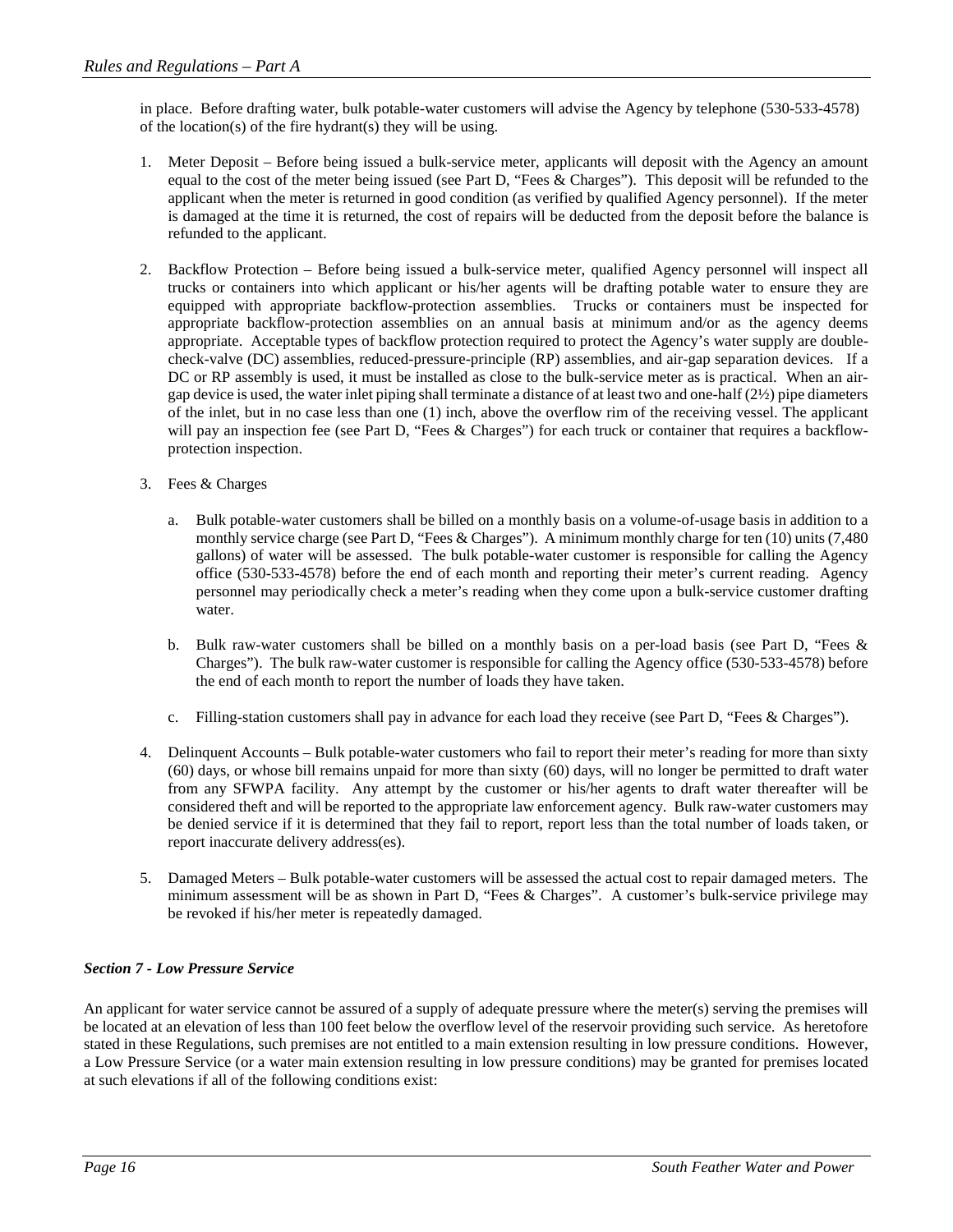in place. Before drafting water, bulk potable-water customers will advise the Agency by telephone (530-533-4578) of the location(s) of the fire hydrant(s) they will be using.

- 1. Meter Deposit Before being issued a bulk-service meter, applicants will deposit with the Agency an amount equal to the cost of the meter being issued (see Part D, "Fees & Charges"). This deposit will be refunded to the applicant when the meter is returned in good condition (as verified by qualified Agency personnel). If the meter is damaged at the time it is returned, the cost of repairs will be deducted from the deposit before the balance is refunded to the applicant.
- 2. Backflow Protection Before being issued a bulk-service meter, qualified Agency personnel will inspect all trucks or containers into which applicant or his/her agents will be drafting potable water to ensure they are equipped with appropriate backflow-protection assemblies. Trucks or containers must be inspected for appropriate backflow-protection assemblies on an annual basis at minimum and/or as the agency deems appropriate. Acceptable types of backflow protection required to protect the Agency's water supply are doublecheck-valve (DC) assemblies, reduced-pressure-principle (RP) assemblies, and air-gap separation devices. If a DC or RP assembly is used, it must be installed as close to the bulk-service meter as is practical. When an airgap device is used, the water inlet piping shall terminate a distance of at least two and one-half  $(2\frac{1}{2})$  pipe diameters of the inlet, but in no case less than one (1) inch, above the overflow rim of the receiving vessel. The applicant will pay an inspection fee (see Part D, "Fees & Charges") for each truck or container that requires a backflowprotection inspection.
- 3. Fees & Charges
	- a. Bulk potable-water customers shall be billed on a monthly basis on a volume-of-usage basis in addition to a monthly service charge (see Part D, "Fees & Charges"). A minimum monthly charge for ten (10) units (7,480 gallons) of water will be assessed. The bulk potable-water customer is responsible for calling the Agency office (530-533-4578) before the end of each month and reporting their meter's current reading. Agency personnel may periodically check a meter's reading when they come upon a bulk-service customer drafting water.
	- b. Bulk raw-water customers shall be billed on a monthly basis on a per-load basis (see Part D, "Fees & Charges"). The bulk raw-water customer is responsible for calling the Agency office (530-533-4578) before the end of each month to report the number of loads they have taken.
	- c. Filling-station customers shall pay in advance for each load they receive (see Part D, "Fees & Charges").
- 4. Delinquent Accounts Bulk potable-water customers who fail to report their meter's reading for more than sixty (60) days, or whose bill remains unpaid for more than sixty (60) days, will no longer be permitted to draft water from any SFWPA facility. Any attempt by the customer or his/her agents to draft water thereafter will be considered theft and will be reported to the appropriate law enforcement agency. Bulk raw-water customers may be denied service if it is determined that they fail to report, report less than the total number of loads taken, or report inaccurate delivery address(es).
- 5. Damaged Meters Bulk potable-water customers will be assessed the actual cost to repair damaged meters. The minimum assessment will be as shown in Part D, "Fees & Charges". A customer's bulk-service privilege may be revoked if his/her meter is repeatedly damaged.

## *Section 7 - Low Pressure Service*

An applicant for water service cannot be assured of a supply of adequate pressure where the meter(s) serving the premises will be located at an elevation of less than 100 feet below the overflow level of the reservoir providing such service. As heretofore stated in these Regulations, such premises are not entitled to a main extension resulting in low pressure conditions. However, a Low Pressure Service (or a water main extension resulting in low pressure conditions) may be granted for premises located at such elevations if all of the following conditions exist: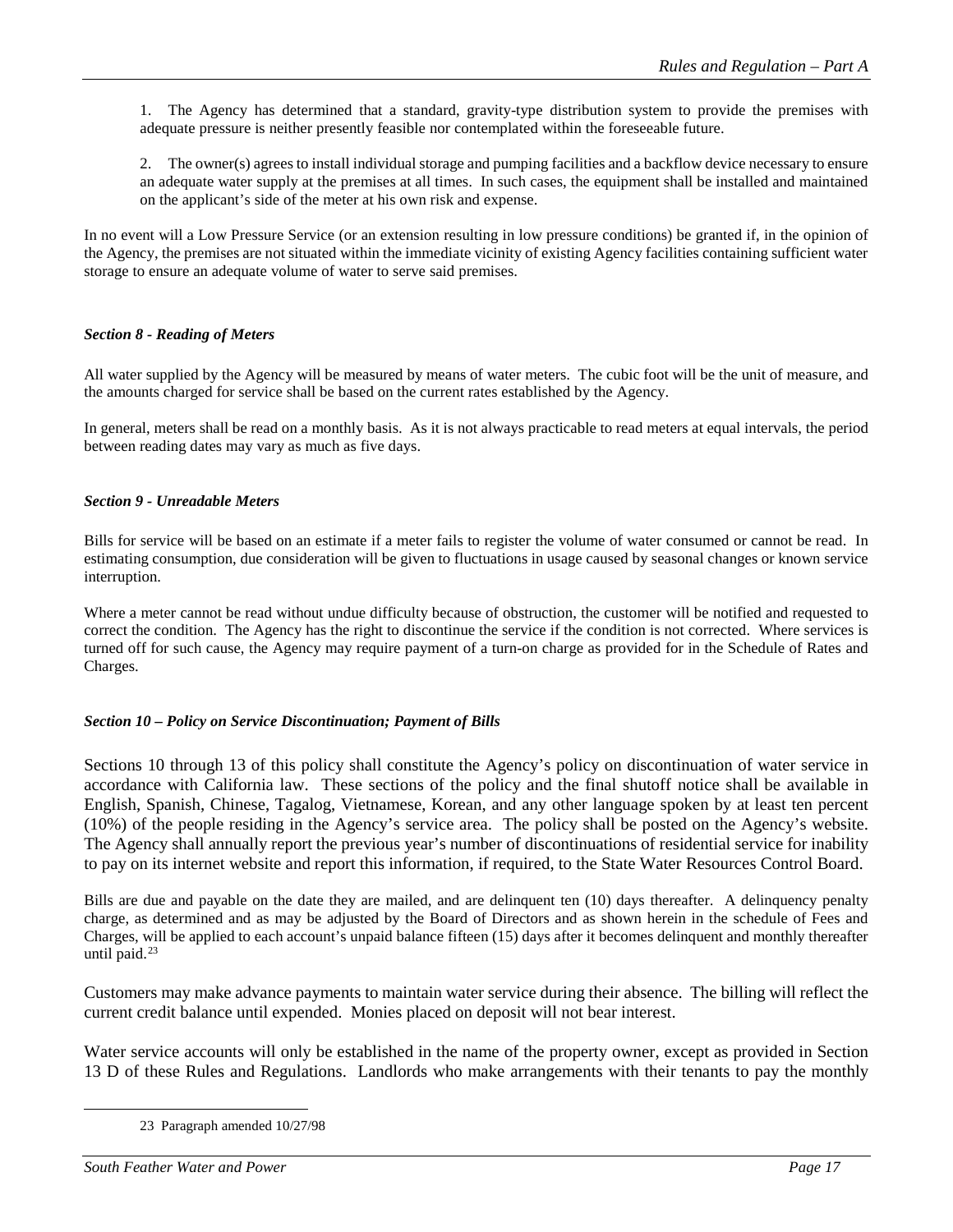1. The Agency has determined that a standard, gravity-type distribution system to provide the premises with adequate pressure is neither presently feasible nor contemplated within the foreseeable future.

2. The owner(s) agrees to install individual storage and pumping facilities and a backflow device necessary to ensure an adequate water supply at the premises at all times. In such cases, the equipment shall be installed and maintained on the applicant's side of the meter at his own risk and expense.

In no event will a Low Pressure Service (or an extension resulting in low pressure conditions) be granted if, in the opinion of the Agency, the premises are not situated within the immediate vicinity of existing Agency facilities containing sufficient water storage to ensure an adequate volume of water to serve said premises.

## *Section 8 - Reading of Meters*

All water supplied by the Agency will be measured by means of water meters. The cubic foot will be the unit of measure, and the amounts charged for service shall be based on the current rates established by the Agency.

In general, meters shall be read on a monthly basis. As it is not always practicable to read meters at equal intervals, the period between reading dates may vary as much as five days.

## *Section 9 - Unreadable Meters*

Bills for service will be based on an estimate if a meter fails to register the volume of water consumed or cannot be read. In estimating consumption, due consideration will be given to fluctuations in usage caused by seasonal changes or known service interruption.

Where a meter cannot be read without undue difficulty because of obstruction, the customer will be notified and requested to correct the condition. The Agency has the right to discontinue the service if the condition is not corrected. Where services is turned off for such cause, the Agency may require payment of a turn-on charge as provided for in the Schedule of Rates and Charges.

## *Section 10 – Policy on Service Discontinuation; Payment of Bills*

Sections 10 through 13 of this policy shall constitute the Agency's policy on discontinuation of water service in accordance with California law. These sections of the policy and the final shutoff notice shall be available in English, Spanish, Chinese, Tagalog, Vietnamese, Korean, and any other language spoken by at least ten percent (10%) of the people residing in the Agency's service area. The policy shall be posted on the Agency's website. The Agency shall annually report the previous year's number of discontinuations of residential service for inability to pay on its internet website and report this information, if required, to the State Water Resources Control Board.

Bills are due and payable on the date they are mailed, and are delinquent ten (10) days thereafter. A delinquency penalty charge, as determined and as may be adjusted by the Board of Directors and as shown herein in the schedule of Fees and Charges, will be applied to each account's unpaid balance fifteen (15) days after it becomes delinquent and monthly thereafter until paid.<sup>[23](#page-16-0)</sup>

Customers may make advance payments to maintain water service during their absence. The billing will reflect the current credit balance until expended. Monies placed on deposit will not bear interest.

<span id="page-16-0"></span>Water service accounts will only be established in the name of the property owner, except as provided in Section 13 D of these Rules and Regulations. Landlords who make arrangements with their tenants to pay the monthly

 <sup>23</sup> Paragraph amended 10/27/98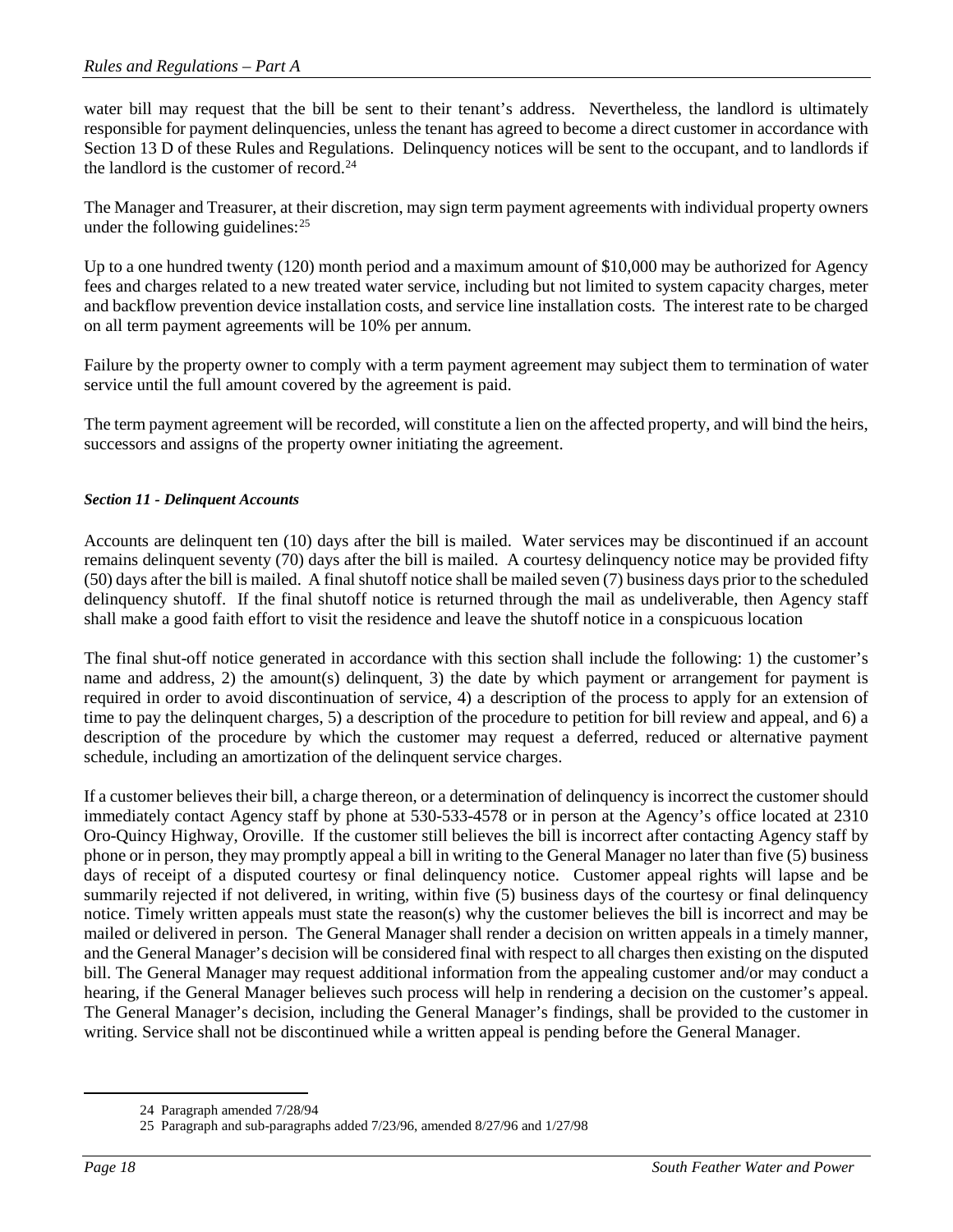water bill may request that the bill be sent to their tenant's address. Nevertheless, the landlord is ultimately responsible for payment delinquencies, unless the tenant has agreed to become a direct customer in accordance with Section 13 D of these Rules and Regulations. Delinquency notices will be sent to the occupant, and to landlords if the landlord is the customer of record. [24](#page-17-0)

The Manager and Treasurer, at their discretion, may sign term payment agreements with individual property owners under the following guidelines:<sup>[25](#page-17-1)</sup>

Up to a one hundred twenty (120) month period and a maximum amount of \$10,000 may be authorized for Agency fees and charges related to a new treated water service, including but not limited to system capacity charges, meter and backflow prevention device installation costs, and service line installation costs. The interest rate to be charged on all term payment agreements will be 10% per annum.

Failure by the property owner to comply with a term payment agreement may subject them to termination of water service until the full amount covered by the agreement is paid.

The term payment agreement will be recorded, will constitute a lien on the affected property, and will bind the heirs, successors and assigns of the property owner initiating the agreement.

## *Section 11 - Delinquent Accounts*

Accounts are delinquent ten (10) days after the bill is mailed. Water services may be discontinued if an account remains delinquent seventy (70) days after the bill is mailed. A courtesy delinquency notice may be provided fifty (50) days after the bill is mailed. A final shutoff notice shall be mailed seven (7) business days prior to the scheduled delinquency shutoff. If the final shutoff notice is returned through the mail as undeliverable, then Agency staff shall make a good faith effort to visit the residence and leave the shutoff notice in a conspicuous location

The final shut-off notice generated in accordance with this section shall include the following: 1) the customer's name and address, 2) the amount(s) delinquent, 3) the date by which payment or arrangement for payment is required in order to avoid discontinuation of service, 4) a description of the process to apply for an extension of time to pay the delinquent charges, 5) a description of the procedure to petition for bill review and appeal, and 6) a description of the procedure by which the customer may request a deferred, reduced or alternative payment schedule, including an amortization of the delinquent service charges.

If a customer believes their bill, a charge thereon, or a determination of delinquency is incorrect the customer should immediately contact Agency staff by phone at 530-533-4578 or in person at the Agency's office located at 2310 Oro-Quincy Highway, Oroville. If the customer still believes the bill is incorrect after contacting Agency staff by phone or in person, they may promptly appeal a bill in writing to the General Manager no later than five (5) business days of receipt of a disputed courtesy or final delinquency notice. Customer appeal rights will lapse and be summarily rejected if not delivered, in writing, within five (5) business days of the courtesy or final delinquency notice. Timely written appeals must state the reason(s) why the customer believes the bill is incorrect and may be mailed or delivered in person. The General Manager shall render a decision on written appeals in a timely manner, and the General Manager's decision will be considered final with respect to all charges then existing on the disputed bill. The General Manager may request additional information from the appealing customer and/or may conduct a hearing, if the General Manager believes such process will help in rendering a decision on the customer's appeal. The General Manager's decision, including the General Manager's findings, shall be provided to the customer in writing. Service shall not be discontinued while a written appeal is pending before the General Manager.

 <sup>24</sup> Paragraph amended 7/28/94

<span id="page-17-1"></span><span id="page-17-0"></span><sup>25</sup> Paragraph and sub-paragraphs added 7/23/96, amended 8/27/96 and 1/27/98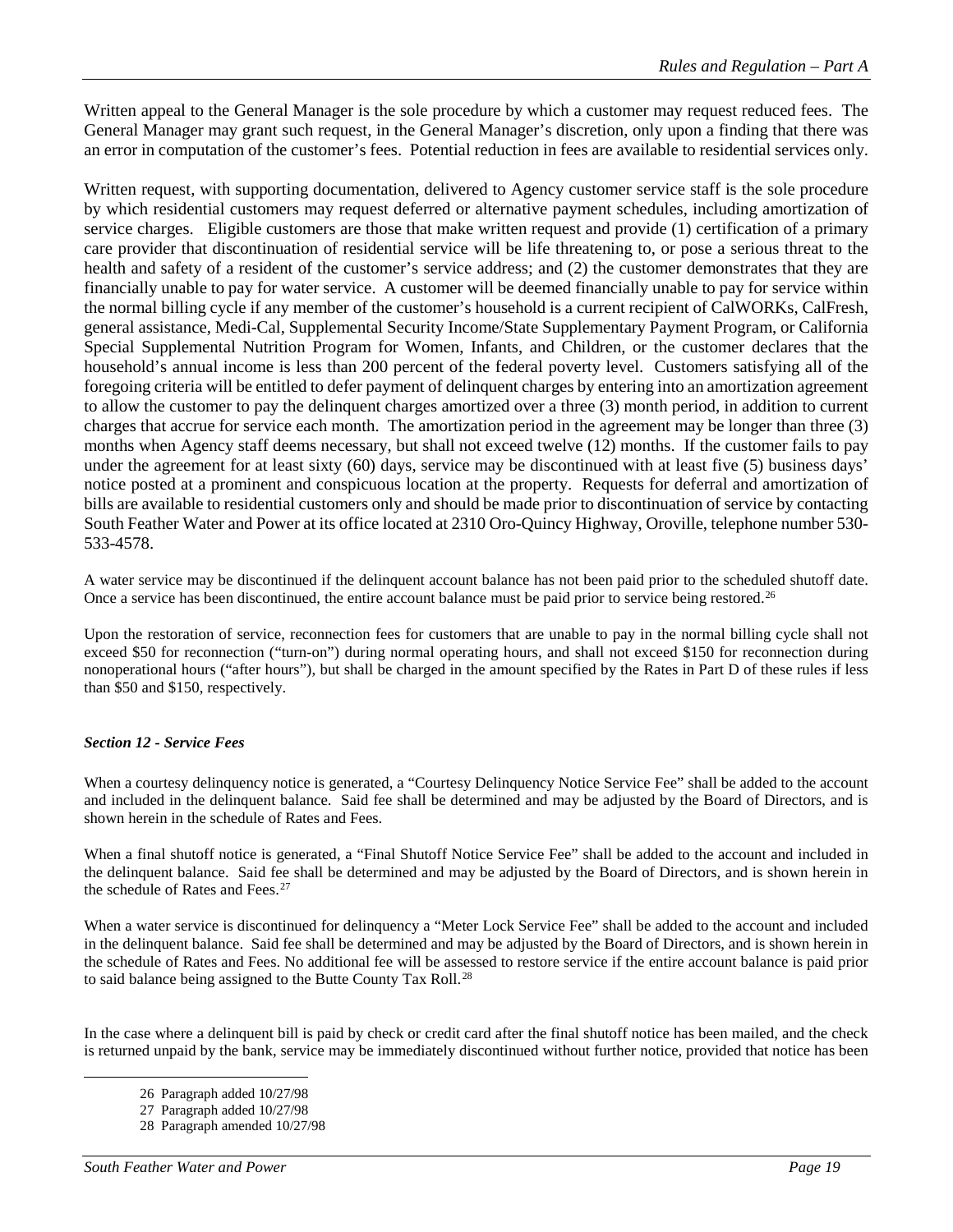Written appeal to the General Manager is the sole procedure by which a customer may request reduced fees. The General Manager may grant such request, in the General Manager's discretion, only upon a finding that there was an error in computation of the customer's fees. Potential reduction in fees are available to residential services only.

Written request, with supporting documentation, delivered to Agency customer service staff is the sole procedure by which residential customers may request deferred or alternative payment schedules, including amortization of service charges. Eligible customers are those that make written request and provide (1) certification of a primary care provider that discontinuation of residential service will be life threatening to, or pose a serious threat to the health and safety of a resident of the customer's service address; and (2) the customer demonstrates that they are financially unable to pay for water service. A customer will be deemed financially unable to pay for service within the normal billing cycle if any member of the customer's household is a current recipient of CalWORKs, CalFresh, general assistance, Medi-Cal, Supplemental Security Income/State Supplementary Payment Program, or California Special Supplemental Nutrition Program for Women, Infants, and Children, or the customer declares that the household's annual income is less than 200 percent of the federal poverty level. Customers satisfying all of the foregoing criteria will be entitled to defer payment of delinquent charges by entering into an amortization agreement to allow the customer to pay the delinquent charges amortized over a three (3) month period, in addition to current charges that accrue for service each month. The amortization period in the agreement may be longer than three (3) months when Agency staff deems necessary, but shall not exceed twelve (12) months. If the customer fails to pay under the agreement for at least sixty (60) days, service may be discontinued with at least five (5) business days' notice posted at a prominent and conspicuous location at the property. Requests for deferral and amortization of bills are available to residential customers only and should be made prior to discontinuation of service by contacting South Feather Water and Power at its office located at 2310 Oro-Quincy Highway, Oroville, telephone number 530- 533-4578.

A water service may be discontinued if the delinquent account balance has not been paid prior to the scheduled shutoff date. Once a service has been discontinued, the entire account balance must be paid prior to service being restored.<sup>[26](#page-18-0)</sup>

Upon the restoration of service, reconnection fees for customers that are unable to pay in the normal billing cycle shall not exceed \$50 for reconnection ("turn-on") during normal operating hours, and shall not exceed \$150 for reconnection during nonoperational hours ("after hours"), but shall be charged in the amount specified by the Rates in Part D of these rules if less than \$50 and \$150, respectively.

## *Section 12 - Service Fees*

When a courtesy delinquency notice is generated, a "Courtesy Delinquency Notice Service Fee" shall be added to the account and included in the delinquent balance. Said fee shall be determined and may be adjusted by the Board of Directors, and is shown herein in the schedule of Rates and Fees.

When a final shutoff notice is generated, a "Final Shutoff Notice Service Fee" shall be added to the account and included in the delinquent balance. Said fee shall be determined and may be adjusted by the Board of Directors, and is shown herein in the schedule of Rates and Fees.<sup>[27](#page-18-1)</sup>

When a water service is discontinued for delinquency a "Meter Lock Service Fee" shall be added to the account and included in the delinquent balance. Said fee shall be determined and may be adjusted by the Board of Directors, and is shown herein in the schedule of Rates and Fees. No additional fee will be assessed to restore service if the entire account balance is paid prior to said balance being assigned to the Butte County Tax Roll.<sup>[28](#page-18-2)</sup>

<span id="page-18-2"></span><span id="page-18-1"></span><span id="page-18-0"></span>In the case where a delinquent bill is paid by check or credit card after the final shutoff notice has been mailed, and the check is returned unpaid by the bank, service may be immediately discontinued without further notice, provided that notice has been

 <sup>26</sup> Paragraph added 10/27/98

<sup>27</sup> Paragraph added 10/27/98

<sup>28</sup> Paragraph amended 10/27/98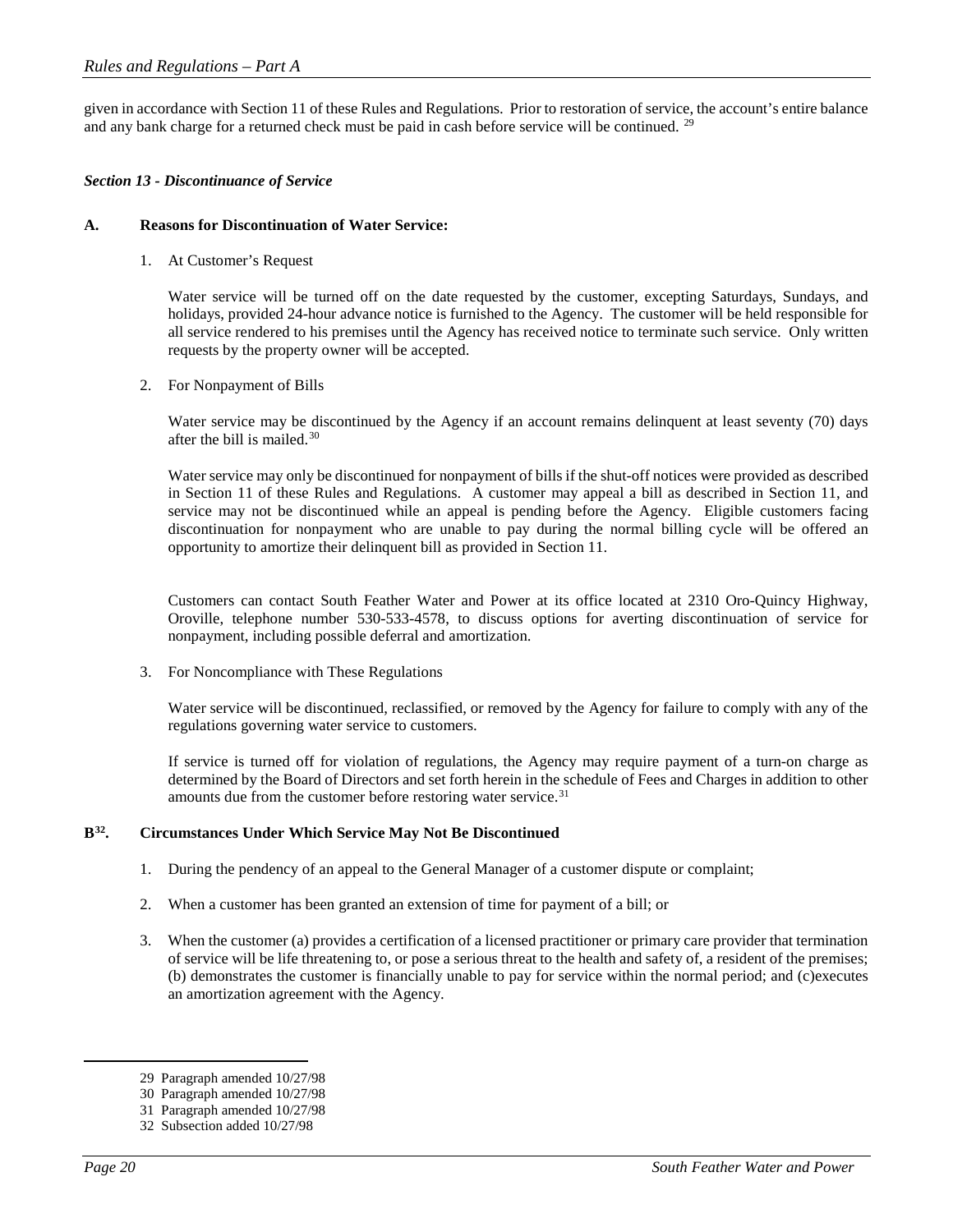given in accordance with Section 11 of these Rules and Regulations. Prior to restoration of service, the account's entire balance and any bank charge for a returned check must be paid in cash before service will be continued. <sup>[29](#page-19-0)</sup>

## *Section 13 - Discontinuance of Service*

#### **A. Reasons for Discontinuation of Water Service:**

1. At Customer's Request

Water service will be turned off on the date requested by the customer, excepting Saturdays, Sundays, and holidays, provided 24-hour advance notice is furnished to the Agency. The customer will be held responsible for all service rendered to his premises until the Agency has received notice to terminate such service. Only written requests by the property owner will be accepted.

2. For Nonpayment of Bills

Water service may be discontinued by the Agency if an account remains delinquent at least seventy (70) days after the bill is mailed.[30](#page-19-1)

Water service may only be discontinued for nonpayment of bills if the shut-off notices were provided as described in Section 11 of these Rules and Regulations. A customer may appeal a bill as described in Section 11, and service may not be discontinued while an appeal is pending before the Agency. Eligible customers facing discontinuation for nonpayment who are unable to pay during the normal billing cycle will be offered an opportunity to amortize their delinquent bill as provided in Section 11.

Customers can contact South Feather Water and Power at its office located at 2310 Oro-Quincy Highway, Oroville, telephone number 530-533-4578, to discuss options for averting discontinuation of service for nonpayment, including possible deferral and amortization.

3. For Noncompliance with These Regulations

Water service will be discontinued, reclassified, or removed by the Agency for failure to comply with any of the regulations governing water service to customers.

If service is turned off for violation of regulations, the Agency may require payment of a turn-on charge as determined by the Board of Directors and set forth herein in the schedule of Fees and Charges in addition to other amounts due from the customer before restoring water service.<sup>[31](#page-19-2)</sup>

## **B[32.](#page-19-3) Circumstances Under Which Service May Not Be Discontinued**

- 1. During the pendency of an appeal to the General Manager of a customer dispute or complaint;
- 2. When a customer has been granted an extension of time for payment of a bill; or
- 3. When the customer (a) provides a certification of a licensed practitioner or primary care provider that termination of service will be life threatening to, or pose a serious threat to the health and safety of, a resident of the premises; (b) demonstrates the customer is financially unable to pay for service within the normal period; and (c)executes an amortization agreement with the Agency.

<span id="page-19-0"></span> <sup>29</sup> Paragraph amended 10/27/98

<sup>30</sup> Paragraph amended 10/27/98

<span id="page-19-3"></span><span id="page-19-2"></span><span id="page-19-1"></span><sup>31</sup> Paragraph amended 10/27/98

<sup>32</sup> Subsection added 10/27/98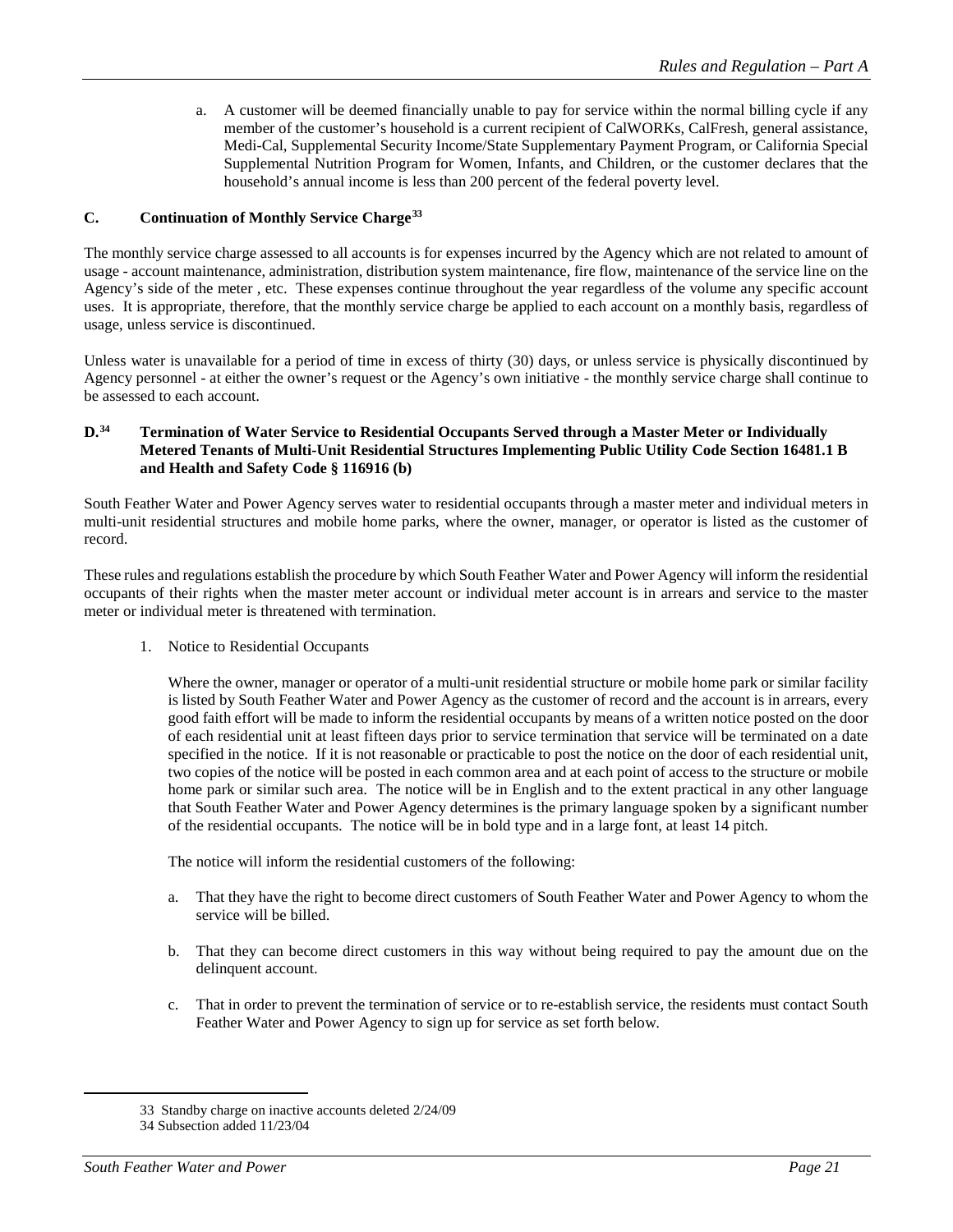a. A customer will be deemed financially unable to pay for service within the normal billing cycle if any member of the customer's household is a current recipient of CalWORKs, CalFresh, general assistance, Medi-Cal, Supplemental Security Income/State Supplementary Payment Program, or California Special Supplemental Nutrition Program for Women, Infants, and Children, or the customer declares that the household's annual income is less than 200 percent of the federal poverty level.

## **C. Continuation of Monthly Service Charge[33](#page-20-0)**

The monthly service charge assessed to all accounts is for expenses incurred by the Agency which are not related to amount of usage - account maintenance, administration, distribution system maintenance, fire flow, maintenance of the service line on the Agency's side of the meter , etc. These expenses continue throughout the year regardless of the volume any specific account uses. It is appropriate, therefore, that the monthly service charge be applied to each account on a monthly basis, regardless of usage, unless service is discontinued.

Unless water is unavailable for a period of time in excess of thirty (30) days, or unless service is physically discontinued by Agency personnel - at either the owner's request or the Agency's own initiative - the monthly service charge shall continue to be assessed to each account.

#### **D. [34](#page-20-1) Termination of Water Service to Residential Occupants Served through a Master Meter or Individually Metered Tenants of Multi-Unit Residential Structures Implementing Public Utility Code Section 16481.1 B and Health and Safety Code § 116916 (b)**

South Feather Water and Power Agency serves water to residential occupants through a master meter and individual meters in multi-unit residential structures and mobile home parks, where the owner, manager, or operator is listed as the customer of record.

These rules and regulations establish the procedure by which South Feather Water and Power Agency will inform the residential occupants of their rights when the master meter account or individual meter account is in arrears and service to the master meter or individual meter is threatened with termination.

1. Notice to Residential Occupants

Where the owner, manager or operator of a multi-unit residential structure or mobile home park or similar facility is listed by South Feather Water and Power Agency as the customer of record and the account is in arrears, every good faith effort will be made to inform the residential occupants by means of a written notice posted on the door of each residential unit at least fifteen days prior to service termination that service will be terminated on a date specified in the notice. If it is not reasonable or practicable to post the notice on the door of each residential unit, two copies of the notice will be posted in each common area and at each point of access to the structure or mobile home park or similar such area. The notice will be in English and to the extent practical in any other language that South Feather Water and Power Agency determines is the primary language spoken by a significant number of the residential occupants. The notice will be in bold type and in a large font, at least 14 pitch.

The notice will inform the residential customers of the following:

- a. That they have the right to become direct customers of South Feather Water and Power Agency to whom the service will be billed.
- b. That they can become direct customers in this way without being required to pay the amount due on the delinquent account.
- c. That in order to prevent the termination of service or to re-establish service, the residents must contact South Feather Water and Power Agency to sign up for service as set forth below.

 <sup>33</sup> Standby charge on inactive accounts deleted 2/24/09

<span id="page-20-1"></span><span id="page-20-0"></span><sup>34</sup> Subsection added 11/23/04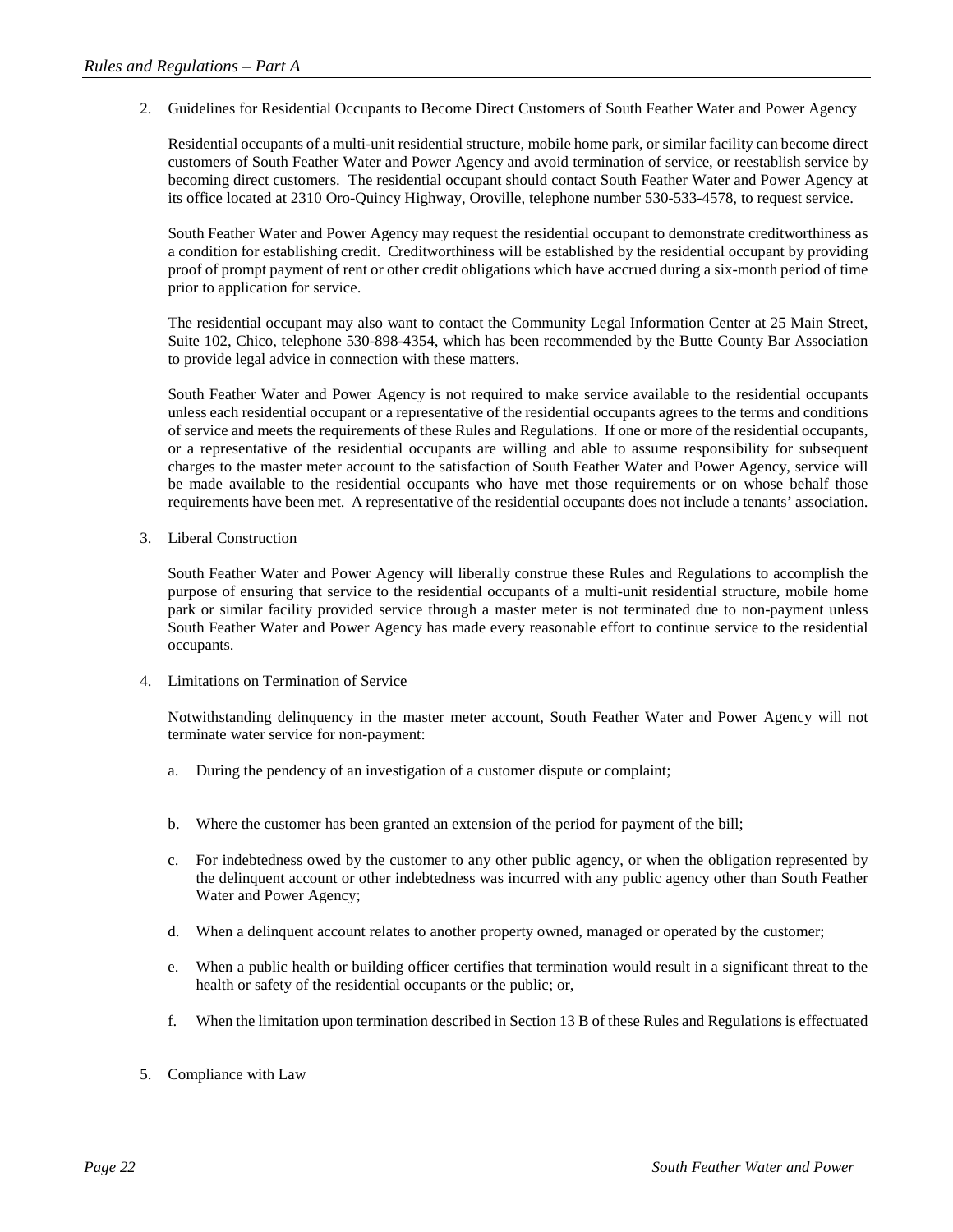2. Guidelines for Residential Occupants to Become Direct Customers of South Feather Water and Power Agency

Residential occupants of a multi-unit residential structure, mobile home park, or similar facility can become direct customers of South Feather Water and Power Agency and avoid termination of service, or reestablish service by becoming direct customers. The residential occupant should contact South Feather Water and Power Agency at its office located at 2310 Oro-Quincy Highway, Oroville, telephone number 530-533-4578, to request service.

South Feather Water and Power Agency may request the residential occupant to demonstrate creditworthiness as a condition for establishing credit. Creditworthiness will be established by the residential occupant by providing proof of prompt payment of rent or other credit obligations which have accrued during a six-month period of time prior to application for service.

The residential occupant may also want to contact the Community Legal Information Center at 25 Main Street, Suite 102, Chico, telephone 530-898-4354, which has been recommended by the Butte County Bar Association to provide legal advice in connection with these matters.

South Feather Water and Power Agency is not required to make service available to the residential occupants unless each residential occupant or a representative of the residential occupants agrees to the terms and conditions of service and meets the requirements of these Rules and Regulations. If one or more of the residential occupants, or a representative of the residential occupants are willing and able to assume responsibility for subsequent charges to the master meter account to the satisfaction of South Feather Water and Power Agency, service will be made available to the residential occupants who have met those requirements or on whose behalf those requirements have been met. A representative of the residential occupants does not include a tenants' association.

3. Liberal Construction

South Feather Water and Power Agency will liberally construe these Rules and Regulations to accomplish the purpose of ensuring that service to the residential occupants of a multi-unit residential structure, mobile home park or similar facility provided service through a master meter is not terminated due to non-payment unless South Feather Water and Power Agency has made every reasonable effort to continue service to the residential occupants.

4. Limitations on Termination of Service

Notwithstanding delinquency in the master meter account, South Feather Water and Power Agency will not terminate water service for non-payment:

- a. During the pendency of an investigation of a customer dispute or complaint;
- b. Where the customer has been granted an extension of the period for payment of the bill;
- c. For indebtedness owed by the customer to any other public agency, or when the obligation represented by the delinquent account or other indebtedness was incurred with any public agency other than South Feather Water and Power Agency;
- d. When a delinquent account relates to another property owned, managed or operated by the customer;
- e. When a public health or building officer certifies that termination would result in a significant threat to the health or safety of the residential occupants or the public; or,
- f. When the limitation upon termination described in Section 13 B of these Rules and Regulations is effectuated
- 5. Compliance with Law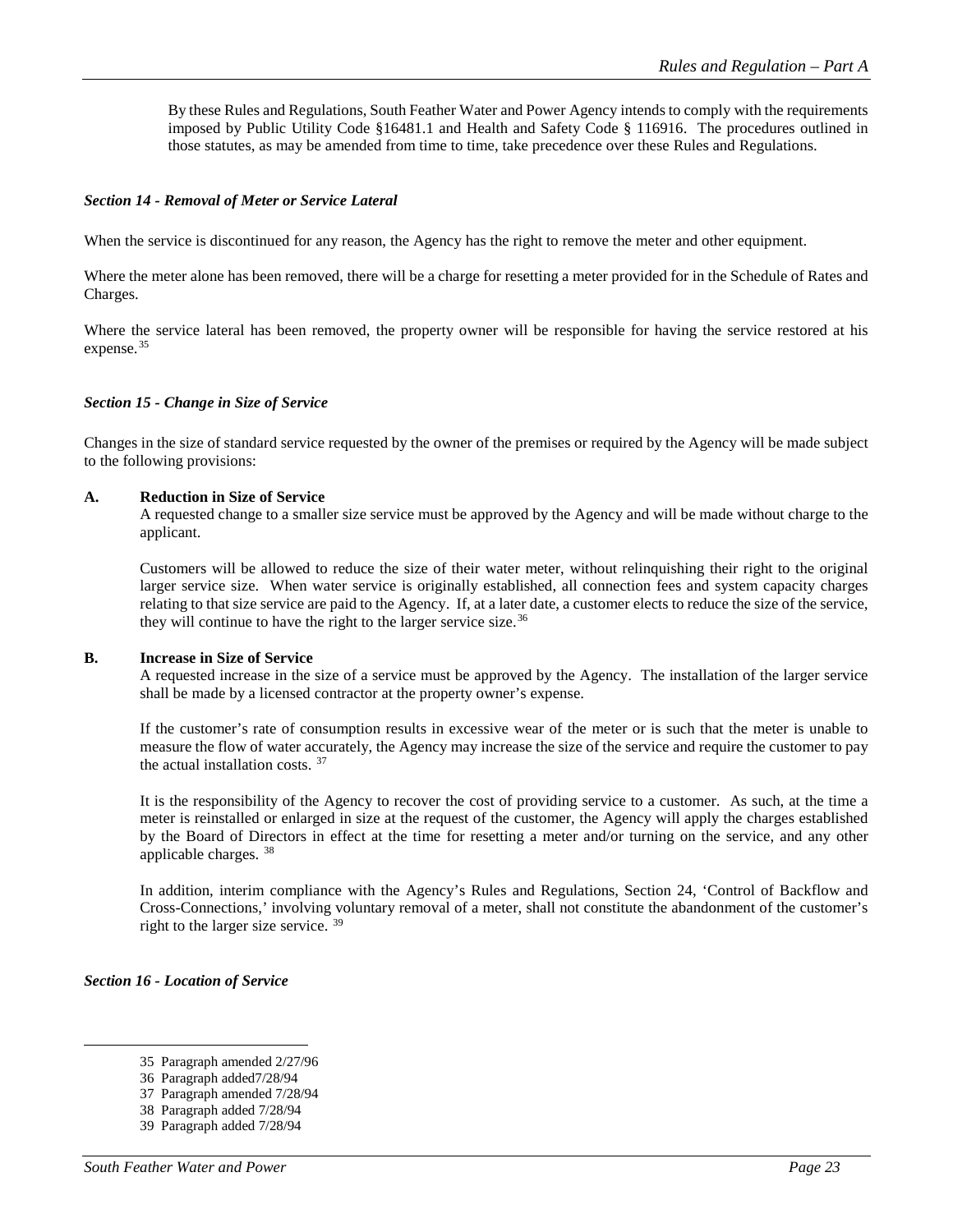By these Rules and Regulations, South Feather Water and Power Agency intends to comply with the requirements imposed by Public Utility Code §16481.1 and Health and Safety Code § 116916. The procedures outlined in those statutes, as may be amended from time to time, take precedence over these Rules and Regulations.

## *Section 14 - Removal of Meter or Service Lateral*

When the service is discontinued for any reason, the Agency has the right to remove the meter and other equipment.

Where the meter alone has been removed, there will be a charge for resetting a meter provided for in the Schedule of Rates and Charges.

Where the service lateral has been removed, the property owner will be responsible for having the service restored at his expense.<sup>[35](#page-22-0)</sup>

#### *Section 15 - Change in Size of Service*

Changes in the size of standard service requested by the owner of the premises or required by the Agency will be made subject to the following provisions:

#### **A. Reduction in Size of Service**

A requested change to a smaller size service must be approved by the Agency and will be made without charge to the applicant.

Customers will be allowed to reduce the size of their water meter, without relinquishing their right to the original larger service size. When water service is originally established, all connection fees and system capacity charges relating to that size service are paid to the Agency. If, at a later date, a customer elects to reduce the size of the service, they will continue to have the right to the larger service size.<sup>[36](#page-22-1)</sup>

#### **B. Increase in Size of Service**

A requested increase in the size of a service must be approved by the Agency. The installation of the larger service shall be made by a licensed contractor at the property owner's expense.

If the customer's rate of consumption results in excessive wear of the meter or is such that the meter is unable to measure the flow of water accurately, the Agency may increase the size of the service and require the customer to pay the actual installation costs. [37](#page-22-2)

It is the responsibility of the Agency to recover the cost of providing service to a customer. As such, at the time a meter is reinstalled or enlarged in size at the request of the customer, the Agency will apply the charges established by the Board of Directors in effect at the time for resetting a meter and/or turning on the service, and any other applicable charges. [38](#page-22-3)

In addition, interim compliance with the Agency's Rules and Regulations, Section 24, 'Control of Backflow and Cross-Connections,' involving voluntary removal of a meter, shall not constitute the abandonment of the customer's right to the larger size service. [39](#page-22-4)

#### <span id="page-22-1"></span><span id="page-22-0"></span>*Section 16 - Location of Service*

<span id="page-22-2"></span>37 Paragraph amended 7/28/94

 <sup>35</sup> Paragraph amended 2/27/96

<sup>36</sup> Paragraph added7/28/94

<sup>38</sup> Paragraph added 7/28/94

<span id="page-22-4"></span><span id="page-22-3"></span><sup>39</sup> Paragraph added 7/28/94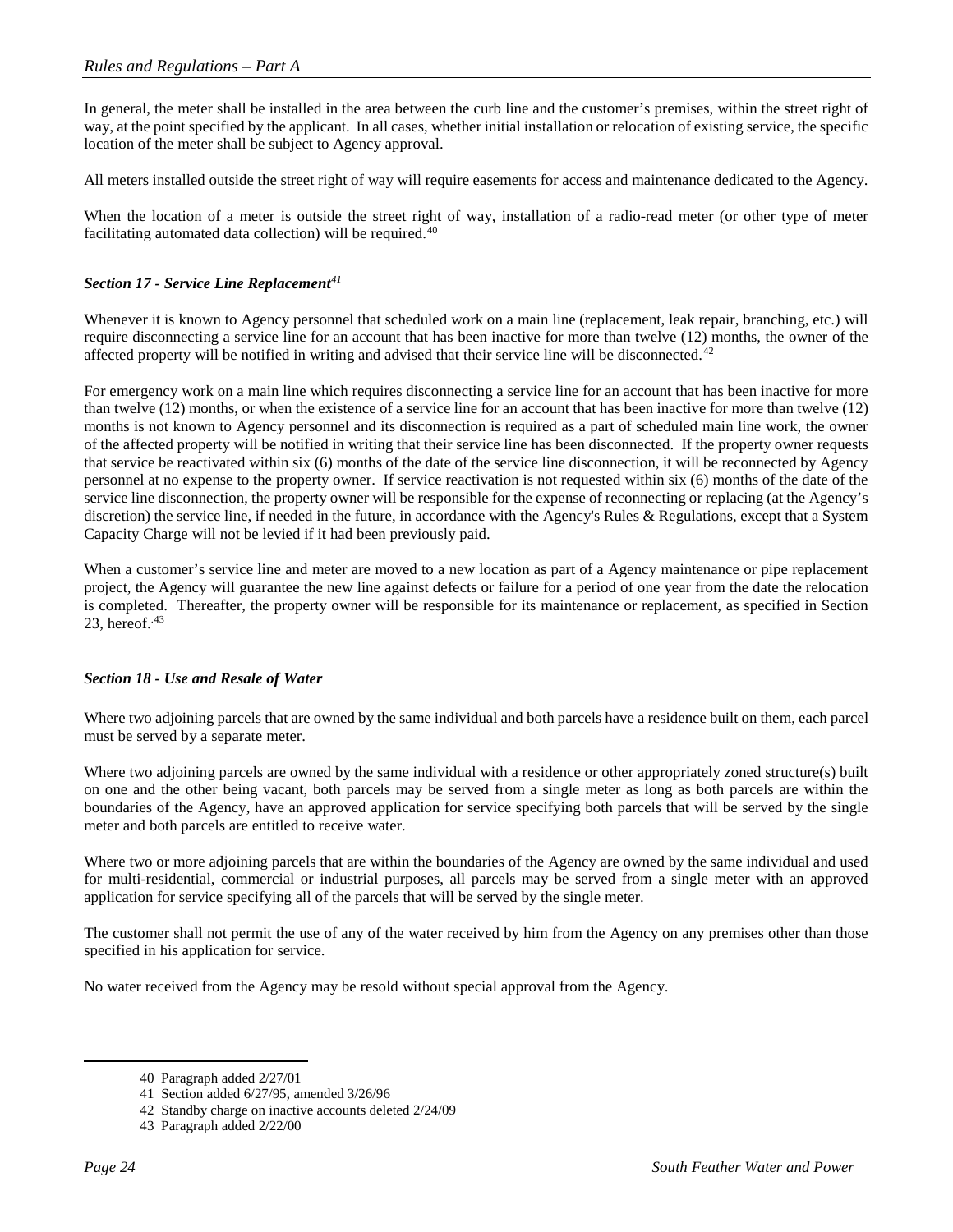In general, the meter shall be installed in the area between the curb line and the customer's premises, within the street right of way, at the point specified by the applicant. In all cases, whether initial installation or relocation of existing service, the specific location of the meter shall be subject to Agency approval.

All meters installed outside the street right of way will require easements for access and maintenance dedicated to the Agency.

When the location of a meter is outside the street right of way, installation of a radio-read meter (or other type of meter facilitating automated data collection) will be required.<sup>[40](#page-23-0)</sup>

## *Section 17 - Service Line Replacement[41](#page-23-1)*

Whenever it is known to Agency personnel that scheduled work on a main line (replacement, leak repair, branching, etc.) will require disconnecting a service line for an account that has been inactive for more than twelve (12) months, the owner of the affected property will be notified in writing and advised that their service line will be disconnected.<sup>[42](#page-23-2)</sup>

For emergency work on a main line which requires disconnecting a service line for an account that has been inactive for more than twelve (12) months, or when the existence of a service line for an account that has been inactive for more than twelve (12) months is not known to Agency personnel and its disconnection is required as a part of scheduled main line work, the owner of the affected property will be notified in writing that their service line has been disconnected. If the property owner requests that service be reactivated within six (6) months of the date of the service line disconnection, it will be reconnected by Agency personnel at no expense to the property owner. If service reactivation is not requested within six (6) months of the date of the service line disconnection, the property owner will be responsible for the expense of reconnecting or replacing (at the Agency's discretion) the service line, if needed in the future, in accordance with the Agency's Rules & Regulations, except that a System Capacity Charge will not be levied if it had been previously paid.

When a customer's service line and meter are moved to a new location as part of a Agency maintenance or pipe replacement project, the Agency will guarantee the new line against defects or failure for a period of one year from the date the relocation is completed. Thereafter, the property owner will be responsible for its maintenance or replacement, as specified in Section 23, hereof. $43$ 

## *Section 18 - Use and Resale of Water*

Where two adjoining parcels that are owned by the same individual and both parcels have a residence built on them, each parcel must be served by a separate meter.

Where two adjoining parcels are owned by the same individual with a residence or other appropriately zoned structure(s) built on one and the other being vacant, both parcels may be served from a single meter as long as both parcels are within the boundaries of the Agency, have an approved application for service specifying both parcels that will be served by the single meter and both parcels are entitled to receive water.

Where two or more adjoining parcels that are within the boundaries of the Agency are owned by the same individual and used for multi-residential, commercial or industrial purposes, all parcels may be served from a single meter with an approved application for service specifying all of the parcels that will be served by the single meter.

The customer shall not permit the use of any of the water received by him from the Agency on any premises other than those specified in his application for service.

<span id="page-23-1"></span><span id="page-23-0"></span>No water received from the Agency may be resold without special approval from the Agency.

 <sup>40</sup> Paragraph added 2/27/01

<sup>41</sup> Section added 6/27/95, amended 3/26/96

<span id="page-23-3"></span><span id="page-23-2"></span><sup>42</sup> Standby charge on inactive accounts deleted 2/24/09

<sup>43</sup> Paragraph added 2/22/00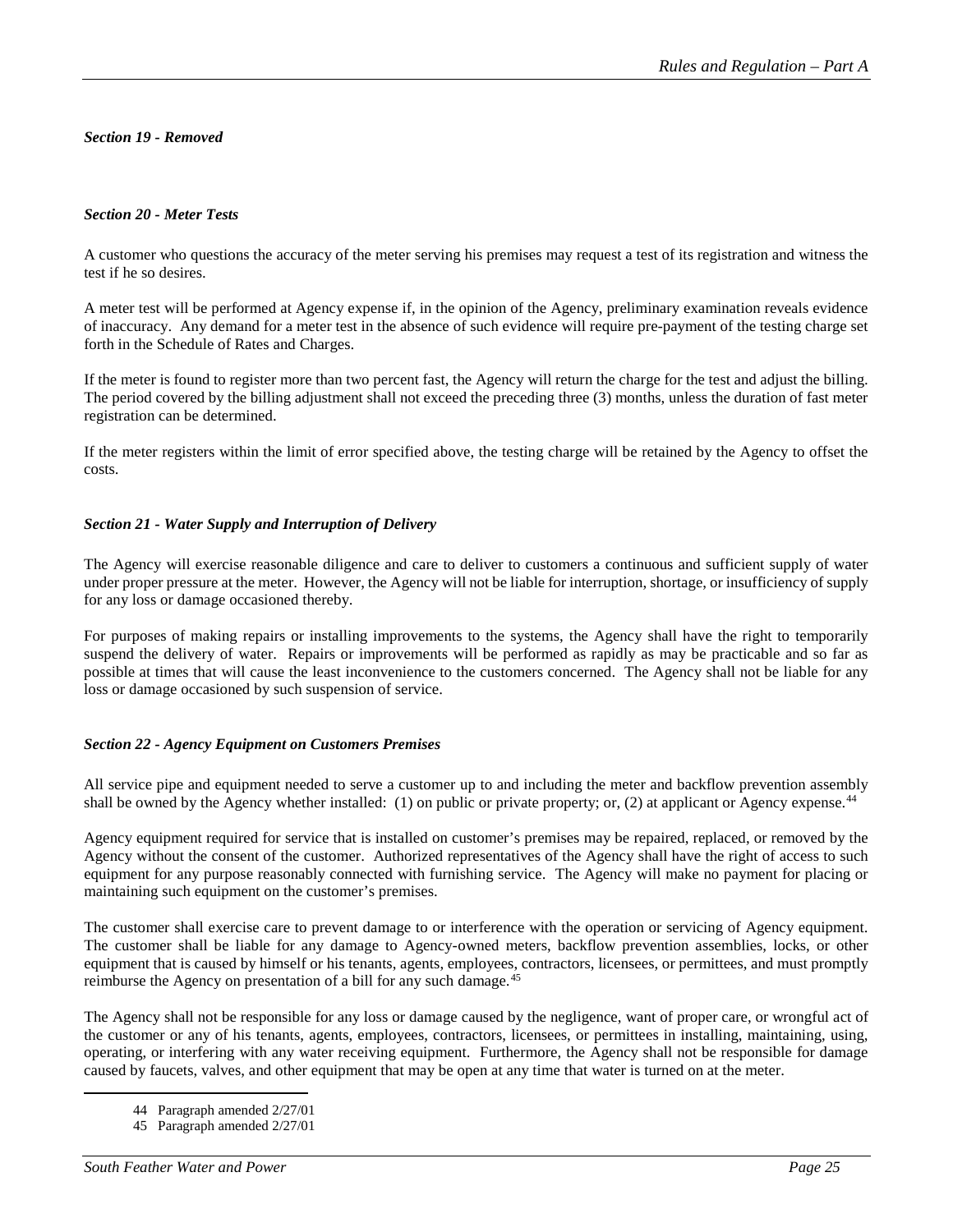## *Section 19 - Removed*

## *Section 20 - Meter Tests*

A customer who questions the accuracy of the meter serving his premises may request a test of its registration and witness the test if he so desires.

A meter test will be performed at Agency expense if, in the opinion of the Agency, preliminary examination reveals evidence of inaccuracy. Any demand for a meter test in the absence of such evidence will require pre-payment of the testing charge set forth in the Schedule of Rates and Charges.

If the meter is found to register more than two percent fast, the Agency will return the charge for the test and adjust the billing. The period covered by the billing adjustment shall not exceed the preceding three (3) months, unless the duration of fast meter registration can be determined.

If the meter registers within the limit of error specified above, the testing charge will be retained by the Agency to offset the costs.

## *Section 21 - Water Supply and Interruption of Delivery*

The Agency will exercise reasonable diligence and care to deliver to customers a continuous and sufficient supply of water under proper pressure at the meter. However, the Agency will not be liable for interruption, shortage, or insufficiency of supply for any loss or damage occasioned thereby.

For purposes of making repairs or installing improvements to the systems, the Agency shall have the right to temporarily suspend the delivery of water. Repairs or improvements will be performed as rapidly as may be practicable and so far as possible at times that will cause the least inconvenience to the customers concerned. The Agency shall not be liable for any loss or damage occasioned by such suspension of service.

## *Section 22 - Agency Equipment on Customers Premises*

All service pipe and equipment needed to serve a customer up to and including the meter and backflow prevention assembly shall be owned by the Agency whether installed: (1) on public or private property; or, (2) at applicant or Agency expense.<sup>[44](#page-24-0)</sup>

Agency equipment required for service that is installed on customer's premises may be repaired, replaced, or removed by the Agency without the consent of the customer. Authorized representatives of the Agency shall have the right of access to such equipment for any purpose reasonably connected with furnishing service. The Agency will make no payment for placing or maintaining such equipment on the customer's premises.

The customer shall exercise care to prevent damage to or interference with the operation or servicing of Agency equipment. The customer shall be liable for any damage to Agency-owned meters, backflow prevention assemblies, locks, or other equipment that is caused by himself or his tenants, agents, employees, contractors, licensees, or permittees, and must promptly reimburse the Agency on presentation of a bill for any such damage.<sup>[45](#page-24-1)</sup>

<span id="page-24-0"></span>The Agency shall not be responsible for any loss or damage caused by the negligence, want of proper care, or wrongful act of the customer or any of his tenants, agents, employees, contractors, licensees, or permittees in installing, maintaining, using, operating, or interfering with any water receiving equipment. Furthermore, the Agency shall not be responsible for damage caused by faucets, valves, and other equipment that may be open at any time that water is turned on at the meter.

 <sup>44</sup> Paragraph amended 2/27/01

<span id="page-24-1"></span><sup>45</sup> Paragraph amended 2/27/01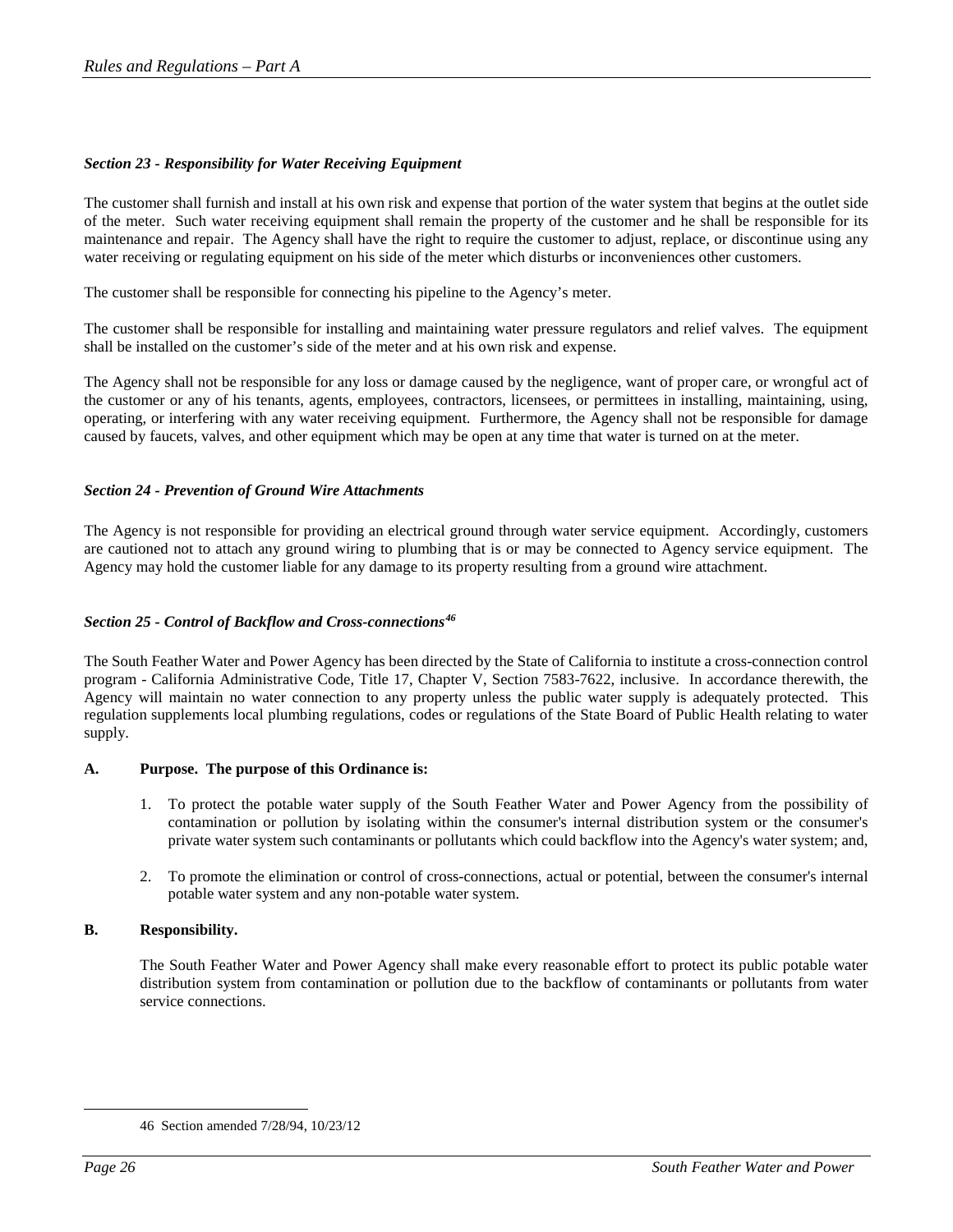## *Section 23 - Responsibility for Water Receiving Equipment*

The customer shall furnish and install at his own risk and expense that portion of the water system that begins at the outlet side of the meter. Such water receiving equipment shall remain the property of the customer and he shall be responsible for its maintenance and repair. The Agency shall have the right to require the customer to adjust, replace, or discontinue using any water receiving or regulating equipment on his side of the meter which disturbs or inconveniences other customers.

The customer shall be responsible for connecting his pipeline to the Agency's meter.

The customer shall be responsible for installing and maintaining water pressure regulators and relief valves. The equipment shall be installed on the customer's side of the meter and at his own risk and expense.

The Agency shall not be responsible for any loss or damage caused by the negligence, want of proper care, or wrongful act of the customer or any of his tenants, agents, employees, contractors, licensees, or permittees in installing, maintaining, using, operating, or interfering with any water receiving equipment. Furthermore, the Agency shall not be responsible for damage caused by faucets, valves, and other equipment which may be open at any time that water is turned on at the meter.

## *Section 24 - Prevention of Ground Wire Attachments*

The Agency is not responsible for providing an electrical ground through water service equipment. Accordingly, customers are cautioned not to attach any ground wiring to plumbing that is or may be connected to Agency service equipment. The Agency may hold the customer liable for any damage to its property resulting from a ground wire attachment.

## *Section 25 - Control of Backflow and Cross-connections[46](#page-25-0)*

The South Feather Water and Power Agency has been directed by the State of California to institute a cross-connection control program - California Administrative Code, Title 17, Chapter V, Section 7583-7622, inclusive. In accordance therewith, the Agency will maintain no water connection to any property unless the public water supply is adequately protected. This regulation supplements local plumbing regulations, codes or regulations of the State Board of Public Health relating to water supply.

## **A. Purpose. The purpose of this Ordinance is:**

- 1. To protect the potable water supply of the South Feather Water and Power Agency from the possibility of contamination or pollution by isolating within the consumer's internal distribution system or the consumer's private water system such contaminants or pollutants which could backflow into the Agency's water system; and,
- 2. To promote the elimination or control of cross-connections, actual or potential, between the consumer's internal potable water system and any non-potable water system.

## **B. Responsibility.**

The South Feather Water and Power Agency shall make every reasonable effort to protect its public potable water distribution system from contamination or pollution due to the backflow of contaminants or pollutants from water service connections.

<span id="page-25-0"></span> <sup>46</sup> Section amended 7/28/94, 10/23/12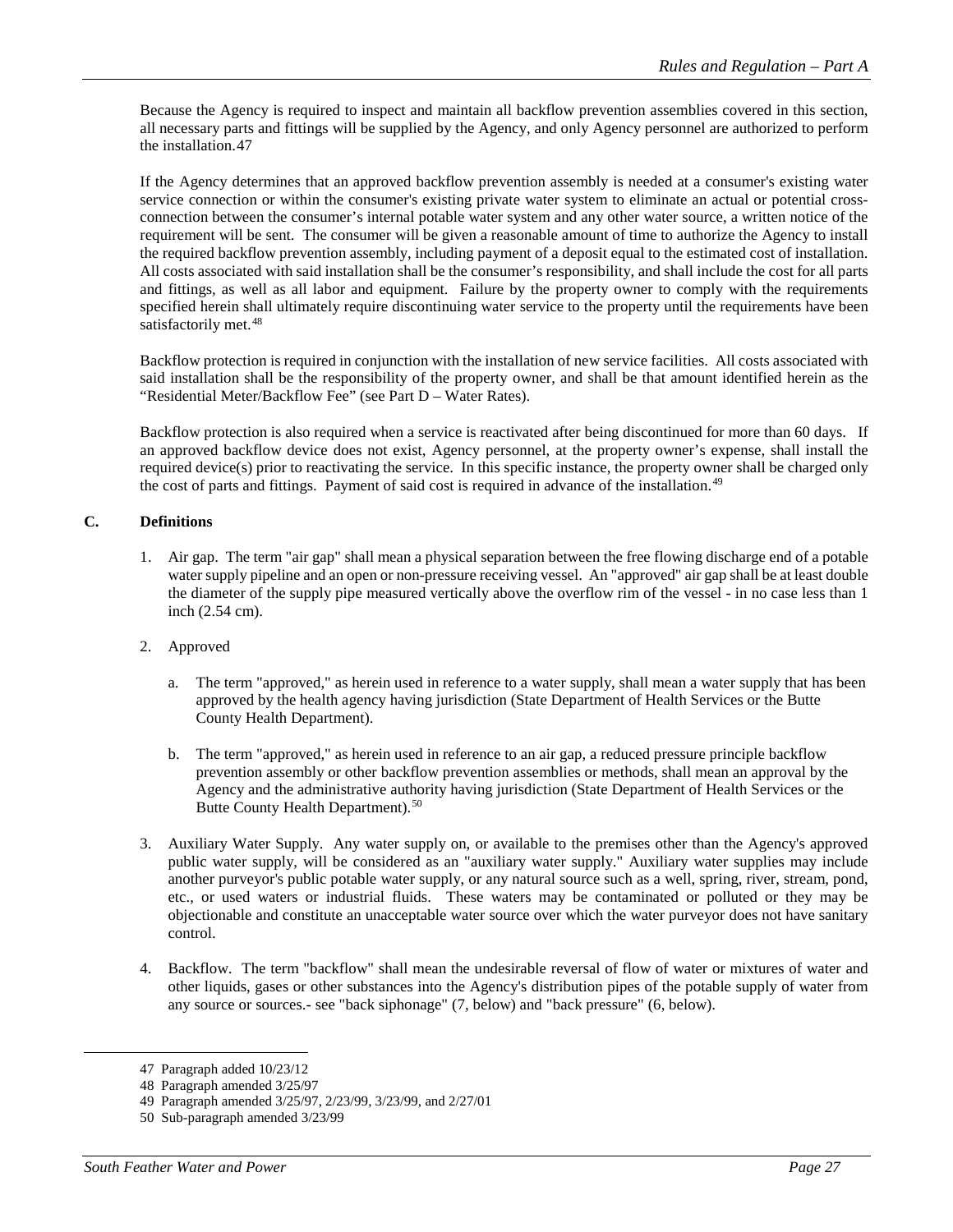Because the Agency is required to inspect and maintain all backflow prevention assemblies covered in this section, all necessary parts and fittings will be supplied by the Agency, and only Agency personnel are authorized to perform the installation.[47](#page-26-0)

If the Agency determines that an approved backflow prevention assembly is needed at a consumer's existing water service connection or within the consumer's existing private water system to eliminate an actual or potential crossconnection between the consumer's internal potable water system and any other water source, a written notice of the requirement will be sent. The consumer will be given a reasonable amount of time to authorize the Agency to install the required backflow prevention assembly, including payment of a deposit equal to the estimated cost of installation. All costs associated with said installation shall be the consumer's responsibility, and shall include the cost for all parts and fittings, as well as all labor and equipment. Failure by the property owner to comply with the requirements specified herein shall ultimately require discontinuing water service to the property until the requirements have been satisfactorily met.<sup>[48](#page-26-1)</sup>

Backflow protection is required in conjunction with the installation of new service facilities. All costs associated with said installation shall be the responsibility of the property owner, and shall be that amount identified herein as the "Residential Meter/Backflow Fee" (see Part D – Water Rates).

Backflow protection is also required when a service is reactivated after being discontinued for more than 60 days. If an approved backflow device does not exist, Agency personnel, at the property owner's expense, shall install the required device(s) prior to reactivating the service. In this specific instance, the property owner shall be charged only the cost of parts and fittings. Payment of said cost is required in advance of the installation.<sup>[49](#page-26-2)</sup>

## **C. Definitions**

- 1. Air gap. The term "air gap" shall mean a physical separation between the free flowing discharge end of a potable water supply pipeline and an open or non-pressure receiving vessel. An "approved" air gap shall be at least double the diameter of the supply pipe measured vertically above the overflow rim of the vessel - in no case less than 1 inch (2.54 cm).
- 2. Approved
	- a. The term "approved," as herein used in reference to a water supply, shall mean a water supply that has been approved by the health agency having jurisdiction (State Department of Health Services or the Butte County Health Department).
	- b. The term "approved," as herein used in reference to an air gap, a reduced pressure principle backflow prevention assembly or other backflow prevention assemblies or methods, shall mean an approval by the Agency and the administrative authority having jurisdiction (State Department of Health Services or the Butte County Health Department).<sup>[50](#page-26-3)</sup>
- 3. Auxiliary Water Supply. Any water supply on, or available to the premises other than the Agency's approved public water supply, will be considered as an "auxiliary water supply." Auxiliary water supplies may include another purveyor's public potable water supply, or any natural source such as a well, spring, river, stream, pond, etc., or used waters or industrial fluids. These waters may be contaminated or polluted or they may be objectionable and constitute an unacceptable water source over which the water purveyor does not have sanitary control.
- 4. Backflow. The term "backflow" shall mean the undesirable reversal of flow of water or mixtures of water and other liquids, gases or other substances into the Agency's distribution pipes of the potable supply of water from any source or sources.- see "back siphonage" (7, below) and "back pressure" (6, below).

<span id="page-26-0"></span> <sup>47</sup> Paragraph added 10/23/12

<sup>48</sup> Paragraph amended 3/25/97

<span id="page-26-2"></span><span id="page-26-1"></span><sup>49</sup> Paragraph amended 3/25/97, 2/23/99, 3/23/99, and 2/27/01

<span id="page-26-3"></span><sup>50</sup> Sub-paragraph amended 3/23/99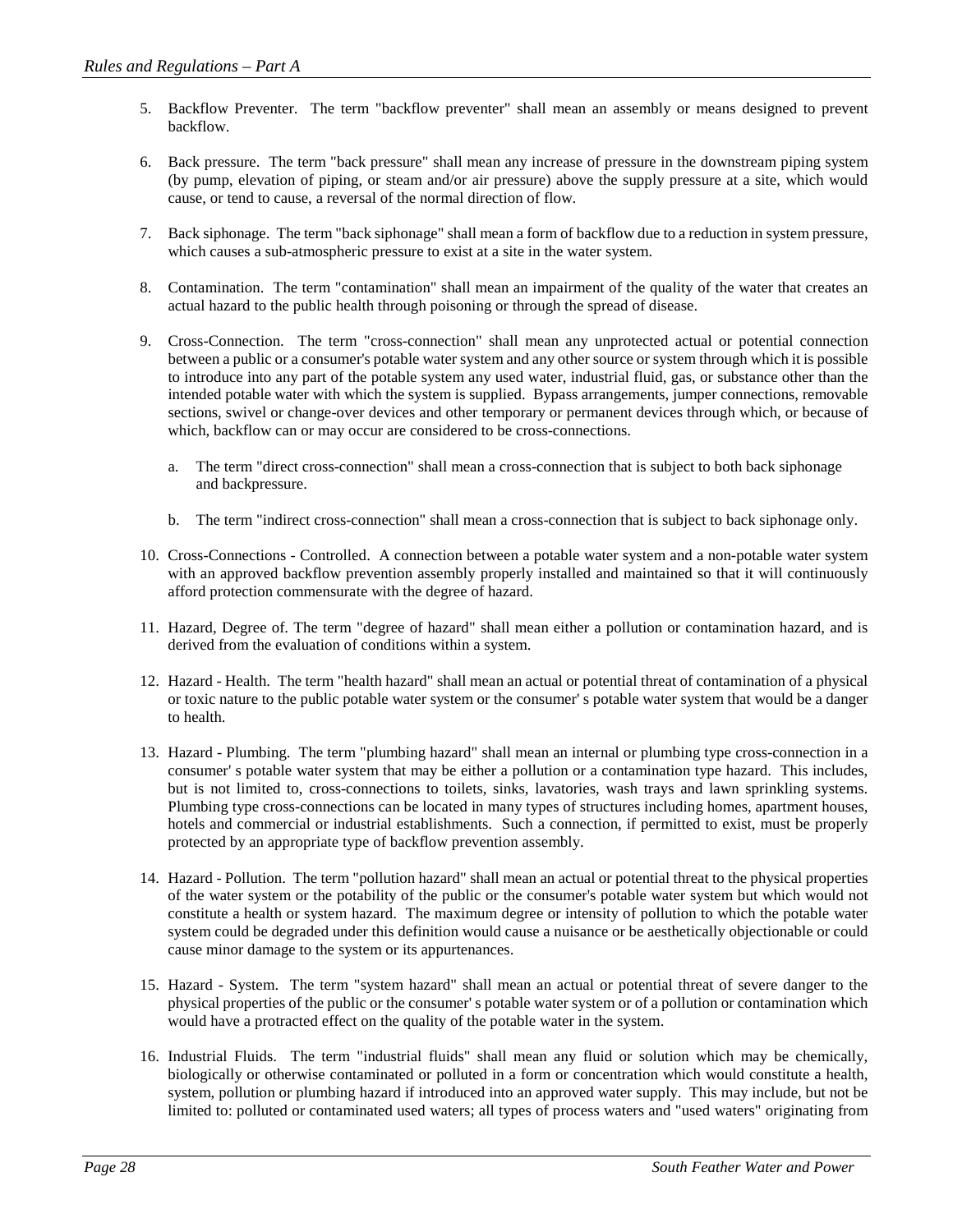- 5. Backflow Preventer. The term "backflow preventer" shall mean an assembly or means designed to prevent backflow.
- 6. Back pressure. The term "back pressure" shall mean any increase of pressure in the downstream piping system (by pump, elevation of piping, or steam and/or air pressure) above the supply pressure at a site, which would cause, or tend to cause, a reversal of the normal direction of flow.
- 7. Back siphonage. The term "back siphonage" shall mean a form of backflow due to a reduction in system pressure, which causes a sub-atmospheric pressure to exist at a site in the water system.
- 8. Contamination. The term "contamination" shall mean an impairment of the quality of the water that creates an actual hazard to the public health through poisoning or through the spread of disease.
- 9. Cross-Connection. The term "cross-connection" shall mean any unprotected actual or potential connection between a public or a consumer's potable water system and any other source or system through which it is possible to introduce into any part of the potable system any used water, industrial fluid, gas, or substance other than the intended potable water with which the system is supplied. Bypass arrangements, jumper connections, removable sections, swivel or change-over devices and other temporary or permanent devices through which, or because of which, backflow can or may occur are considered to be cross-connections.
	- a. The term "direct cross-connection" shall mean a cross-connection that is subject to both back siphonage and backpressure.
	- b. The term "indirect cross-connection" shall mean a cross-connection that is subject to back siphonage only.
- 10. Cross-Connections Controlled. A connection between a potable water system and a non-potable water system with an approved backflow prevention assembly properly installed and maintained so that it will continuously afford protection commensurate with the degree of hazard.
- 11. Hazard, Degree of. The term "degree of hazard" shall mean either a pollution or contamination hazard, and is derived from the evaluation of conditions within a system.
- 12. Hazard Health. The term "health hazard" shall mean an actual or potential threat of contamination of a physical or toxic nature to the public potable water system or the consumer' s potable water system that would be a danger to health.
- 13. Hazard Plumbing. The term "plumbing hazard" shall mean an internal or plumbing type cross-connection in a consumer' s potable water system that may be either a pollution or a contamination type hazard. This includes, but is not limited to, cross-connections to toilets, sinks, lavatories, wash trays and lawn sprinkling systems. Plumbing type cross-connections can be located in many types of structures including homes, apartment houses, hotels and commercial or industrial establishments. Such a connection, if permitted to exist, must be properly protected by an appropriate type of backflow prevention assembly.
- 14. Hazard Pollution. The term "pollution hazard" shall mean an actual or potential threat to the physical properties of the water system or the potability of the public or the consumer's potable water system but which would not constitute a health or system hazard. The maximum degree or intensity of pollution to which the potable water system could be degraded under this definition would cause a nuisance or be aesthetically objectionable or could cause minor damage to the system or its appurtenances.
- 15. Hazard System. The term "system hazard" shall mean an actual or potential threat of severe danger to the physical properties of the public or the consumer' s potable water system or of a pollution or contamination which would have a protracted effect on the quality of the potable water in the system.
- 16. Industrial Fluids. The term "industrial fluids" shall mean any fluid or solution which may be chemically, biologically or otherwise contaminated or polluted in a form or concentration which would constitute a health, system, pollution or plumbing hazard if introduced into an approved water supply. This may include, but not be limited to: polluted or contaminated used waters; all types of process waters and "used waters" originating from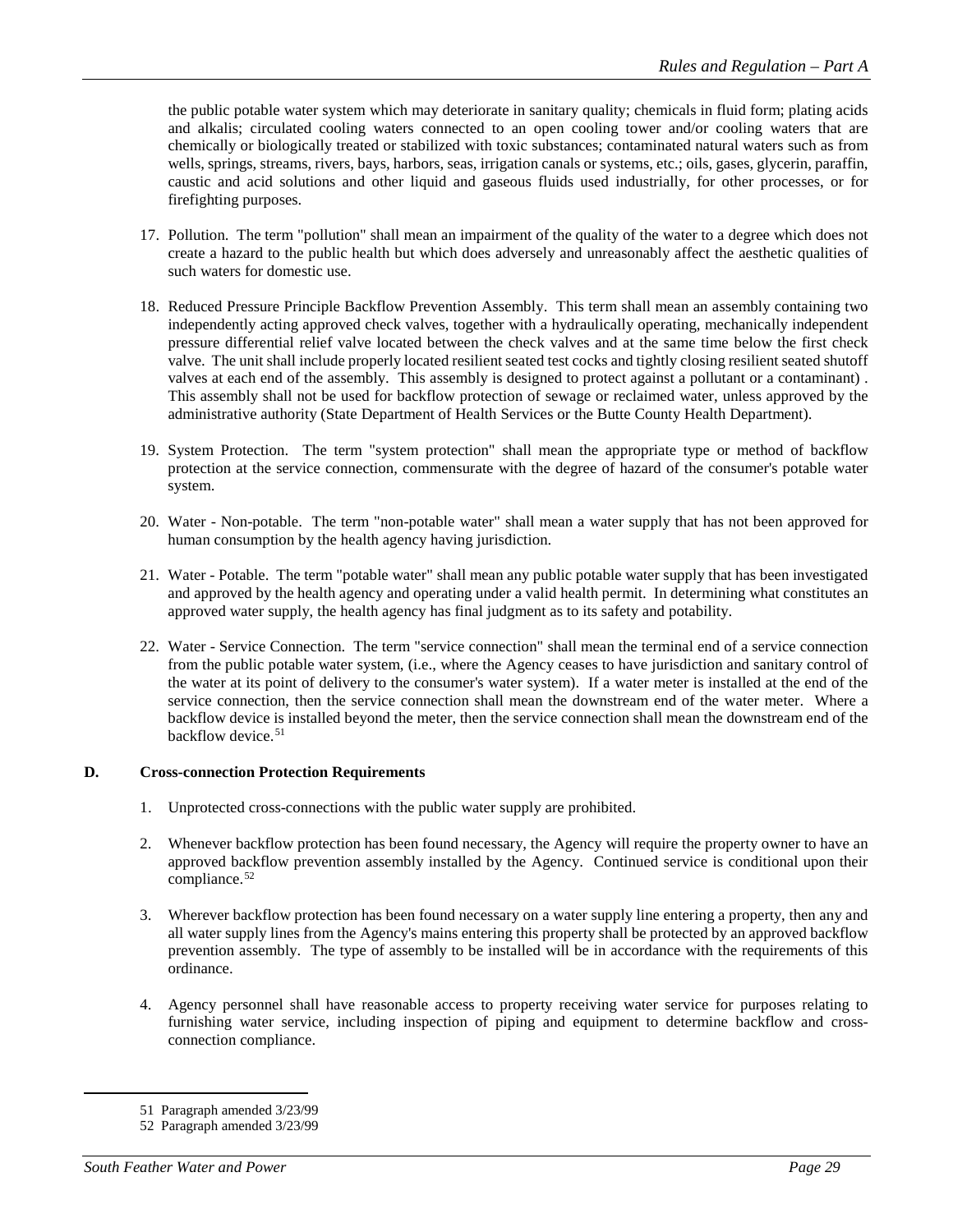the public potable water system which may deteriorate in sanitary quality; chemicals in fluid form; plating acids and alkalis; circulated cooling waters connected to an open cooling tower and/or cooling waters that are chemically or biologically treated or stabilized with toxic substances; contaminated natural waters such as from wells, springs, streams, rivers, bays, harbors, seas, irrigation canals or systems, etc.; oils, gases, glycerin, paraffin, caustic and acid solutions and other liquid and gaseous fluids used industrially, for other processes, or for firefighting purposes.

- 17. Pollution. The term "pollution" shall mean an impairment of the quality of the water to a degree which does not create a hazard to the public health but which does adversely and unreasonably affect the aesthetic qualities of such waters for domestic use.
- 18. Reduced Pressure Principle Backflow Prevention Assembly. This term shall mean an assembly containing two independently acting approved check valves, together with a hydraulically operating, mechanically independent pressure differential relief valve located between the check valves and at the same time below the first check valve. The unit shall include properly located resilient seated test cocks and tightly closing resilient seated shutoff valves at each end of the assembly. This assembly is designed to protect against a pollutant or a contaminant) . This assembly shall not be used for backflow protection of sewage or reclaimed water, unless approved by the administrative authority (State Department of Health Services or the Butte County Health Department).
- 19. System Protection. The term "system protection" shall mean the appropriate type or method of backflow protection at the service connection, commensurate with the degree of hazard of the consumer's potable water system.
- 20. Water Non-potable. The term "non-potable water" shall mean a water supply that has not been approved for human consumption by the health agency having jurisdiction.
- 21. Water Potable. The term "potable water" shall mean any public potable water supply that has been investigated and approved by the health agency and operating under a valid health permit. In determining what constitutes an approved water supply, the health agency has final judgment as to its safety and potability.
- 22. Water Service Connection. The term "service connection" shall mean the terminal end of a service connection from the public potable water system, (i.e., where the Agency ceases to have jurisdiction and sanitary control of the water at its point of delivery to the consumer's water system). If a water meter is installed at the end of the service connection, then the service connection shall mean the downstream end of the water meter. Where a backflow device is installed beyond the meter, then the service connection shall mean the downstream end of the backflow device.<sup>[51](#page-28-0)</sup>

## **D. Cross-connection Protection Requirements**

- 1. Unprotected cross-connections with the public water supply are prohibited.
- 2. Whenever backflow protection has been found necessary, the Agency will require the property owner to have an approved backflow prevention assembly installed by the Agency. Continued service is conditional upon their compliance.<sup>[52](#page-28-1)</sup>
- 3. Wherever backflow protection has been found necessary on a water supply line entering a property, then any and all water supply lines from the Agency's mains entering this property shall be protected by an approved backflow prevention assembly. The type of assembly to be installed will be in accordance with the requirements of this ordinance.
- 4. Agency personnel shall have reasonable access to property receiving water service for purposes relating to furnishing water service, including inspection of piping and equipment to determine backflow and crossconnection compliance.

 <sup>51</sup> Paragraph amended 3/23/99

<span id="page-28-1"></span><span id="page-28-0"></span><sup>52</sup> Paragraph amended 3/23/99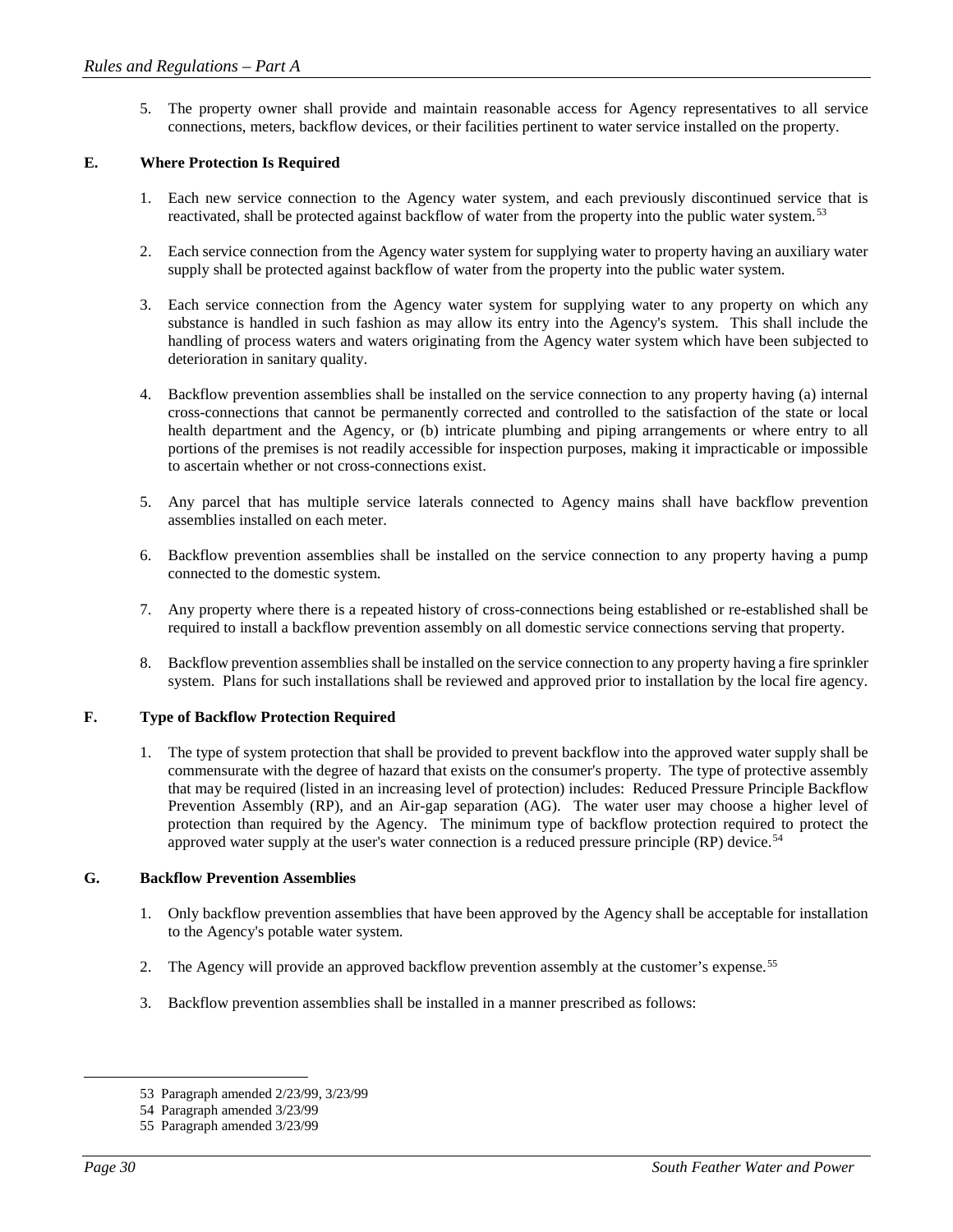5. The property owner shall provide and maintain reasonable access for Agency representatives to all service connections, meters, backflow devices, or their facilities pertinent to water service installed on the property.

## **E. Where Protection Is Required**

- 1. Each new service connection to the Agency water system, and each previously discontinued service that is reactivated, shall be protected against backflow of water from the property into the public water system.[53](#page-29-0)
- 2. Each service connection from the Agency water system for supplying water to property having an auxiliary water supply shall be protected against backflow of water from the property into the public water system.
- 3. Each service connection from the Agency water system for supplying water to any property on which any substance is handled in such fashion as may allow its entry into the Agency's system. This shall include the handling of process waters and waters originating from the Agency water system which have been subjected to deterioration in sanitary quality.
- 4. Backflow prevention assemblies shall be installed on the service connection to any property having (a) internal cross-connections that cannot be permanently corrected and controlled to the satisfaction of the state or local health department and the Agency, or (b) intricate plumbing and piping arrangements or where entry to all portions of the premises is not readily accessible for inspection purposes, making it impracticable or impossible to ascertain whether or not cross-connections exist.
- 5. Any parcel that has multiple service laterals connected to Agency mains shall have backflow prevention assemblies installed on each meter.
- 6. Backflow prevention assemblies shall be installed on the service connection to any property having a pump connected to the domestic system.
- 7. Any property where there is a repeated history of cross-connections being established or re-established shall be required to install a backflow prevention assembly on all domestic service connections serving that property.
- 8. Backflow prevention assemblies shall be installed on the service connection to any property having a fire sprinkler system. Plans for such installations shall be reviewed and approved prior to installation by the local fire agency.

## **F. Type of Backflow Protection Required**

1. The type of system protection that shall be provided to prevent backflow into the approved water supply shall be commensurate with the degree of hazard that exists on the consumer's property. The type of protective assembly that may be required (listed in an increasing level of protection) includes: Reduced Pressure Principle Backflow Prevention Assembly (RP), and an Air-gap separation (AG). The water user may choose a higher level of protection than required by the Agency. The minimum type of backflow protection required to protect the approved water supply at the user's water connection is a reduced pressure principle (RP) device.<sup>[54](#page-29-1)</sup>

## **G. Backflow Prevention Assemblies**

- 1. Only backflow prevention assemblies that have been approved by the Agency shall be acceptable for installation to the Agency's potable water system.
- 2. The Agency will provide an approved backflow prevention assembly at the customer's expense.<sup>[55](#page-29-2)</sup>
- 3. Backflow prevention assemblies shall be installed in a manner prescribed as follows:

 <sup>53</sup> Paragraph amended 2/23/99, 3/23/99

<span id="page-29-2"></span><span id="page-29-1"></span><span id="page-29-0"></span><sup>54</sup> Paragraph amended 3/23/99

<sup>55</sup> Paragraph amended 3/23/99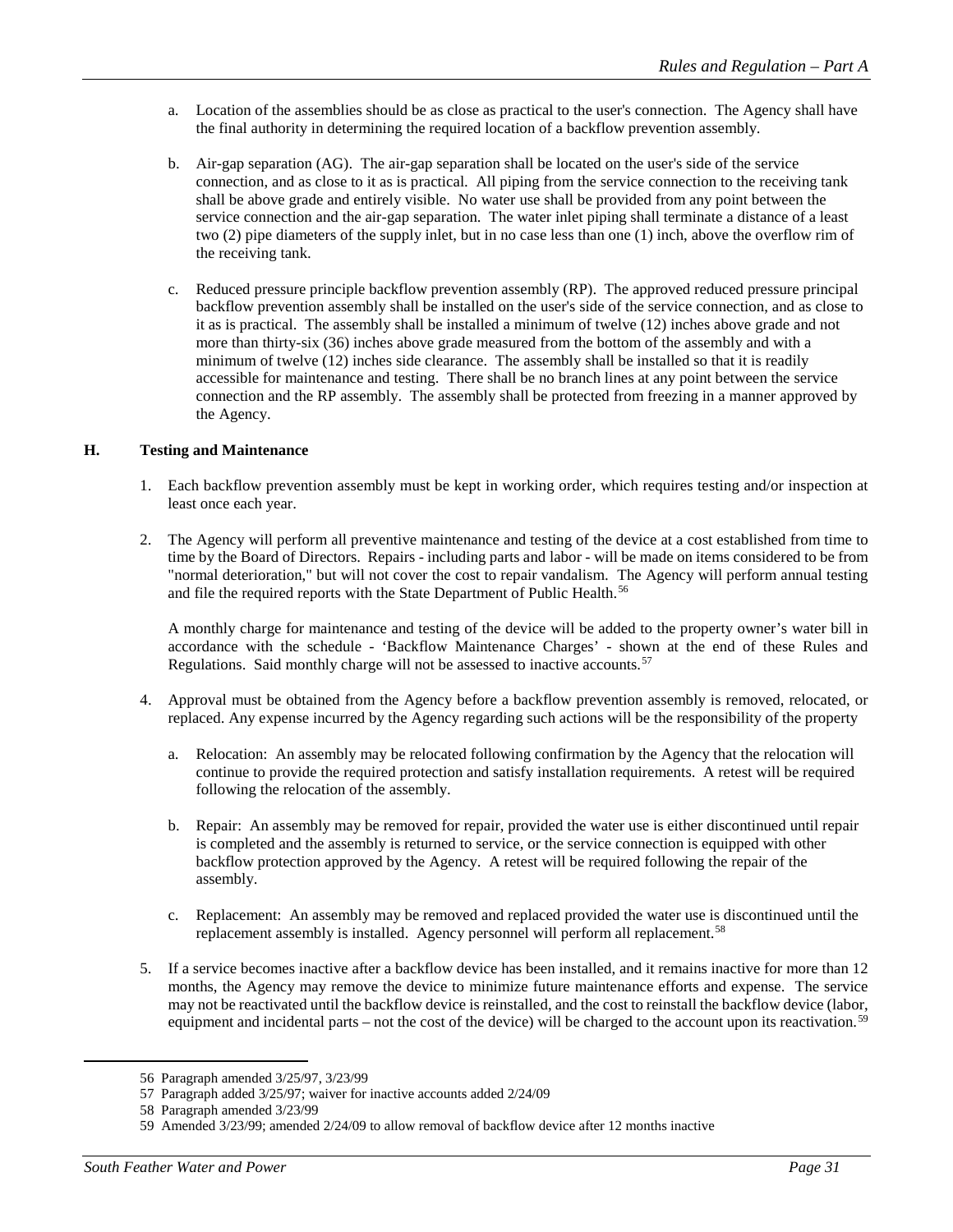- a. Location of the assemblies should be as close as practical to the user's connection. The Agency shall have the final authority in determining the required location of a backflow prevention assembly.
- b. Air-gap separation (AG). The air-gap separation shall be located on the user's side of the service connection, and as close to it as is practical. All piping from the service connection to the receiving tank shall be above grade and entirely visible. No water use shall be provided from any point between the service connection and the air-gap separation. The water inlet piping shall terminate a distance of a least two (2) pipe diameters of the supply inlet, but in no case less than one (1) inch, above the overflow rim of the receiving tank.
- c. Reduced pressure principle backflow prevention assembly (RP). The approved reduced pressure principal backflow prevention assembly shall be installed on the user's side of the service connection, and as close to it as is practical. The assembly shall be installed a minimum of twelve (12) inches above grade and not more than thirty-six (36) inches above grade measured from the bottom of the assembly and with a minimum of twelve (12) inches side clearance. The assembly shall be installed so that it is readily accessible for maintenance and testing. There shall be no branch lines at any point between the service connection and the RP assembly. The assembly shall be protected from freezing in a manner approved by the Agency.

## **H. Testing and Maintenance**

- 1. Each backflow prevention assembly must be kept in working order, which requires testing and/or inspection at least once each year.
- 2. The Agency will perform all preventive maintenance and testing of the device at a cost established from time to time by the Board of Directors. Repairs - including parts and labor - will be made on items considered to be from "normal deterioration," but will not cover the cost to repair vandalism. The Agency will perform annual testing and file the required reports with the State Department of Public Health.<sup>[56](#page-30-0)</sup>

A monthly charge for maintenance and testing of the device will be added to the property owner's water bill in accordance with the schedule - 'Backflow Maintenance Charges' - shown at the end of these Rules and Regulations. Said monthly charge will not be assessed to inactive accounts.<sup>[57](#page-30-1)</sup>

- 4. Approval must be obtained from the Agency before a backflow prevention assembly is removed, relocated, or replaced. Any expense incurred by the Agency regarding such actions will be the responsibility of the property
	- a. Relocation: An assembly may be relocated following confirmation by the Agency that the relocation will continue to provide the required protection and satisfy installation requirements. A retest will be required following the relocation of the assembly.
	- b. Repair: An assembly may be removed for repair, provided the water use is either discontinued until repair is completed and the assembly is returned to service, or the service connection is equipped with other backflow protection approved by the Agency. A retest will be required following the repair of the assembly.
	- c. Replacement: An assembly may be removed and replaced provided the water use is discontinued until the replacement assembly is installed. Agency personnel will perform all replacement.<sup>[58](#page-30-2)</sup>
- 5. If a service becomes inactive after a backflow device has been installed, and it remains inactive for more than 12 months, the Agency may remove the device to minimize future maintenance efforts and expense. The service may not be reactivated until the backflow device is reinstalled, and the cost to reinstall the backflow device (labor, equipment and incidental parts – not the cost of the device) will be charged to the account upon its reactivation.<sup>[59](#page-30-3)</sup>

<span id="page-30-0"></span> <sup>56</sup> Paragraph amended 3/25/97, 3/23/99

<span id="page-30-1"></span><sup>57</sup> Paragraph added 3/25/97; waiver for inactive accounts added 2/24/09

<span id="page-30-2"></span><sup>58</sup> Paragraph amended 3/23/99

<span id="page-30-3"></span><sup>59</sup> Amended 3/23/99; amended 2/24/09 to allow removal of backflow device after 12 months inactive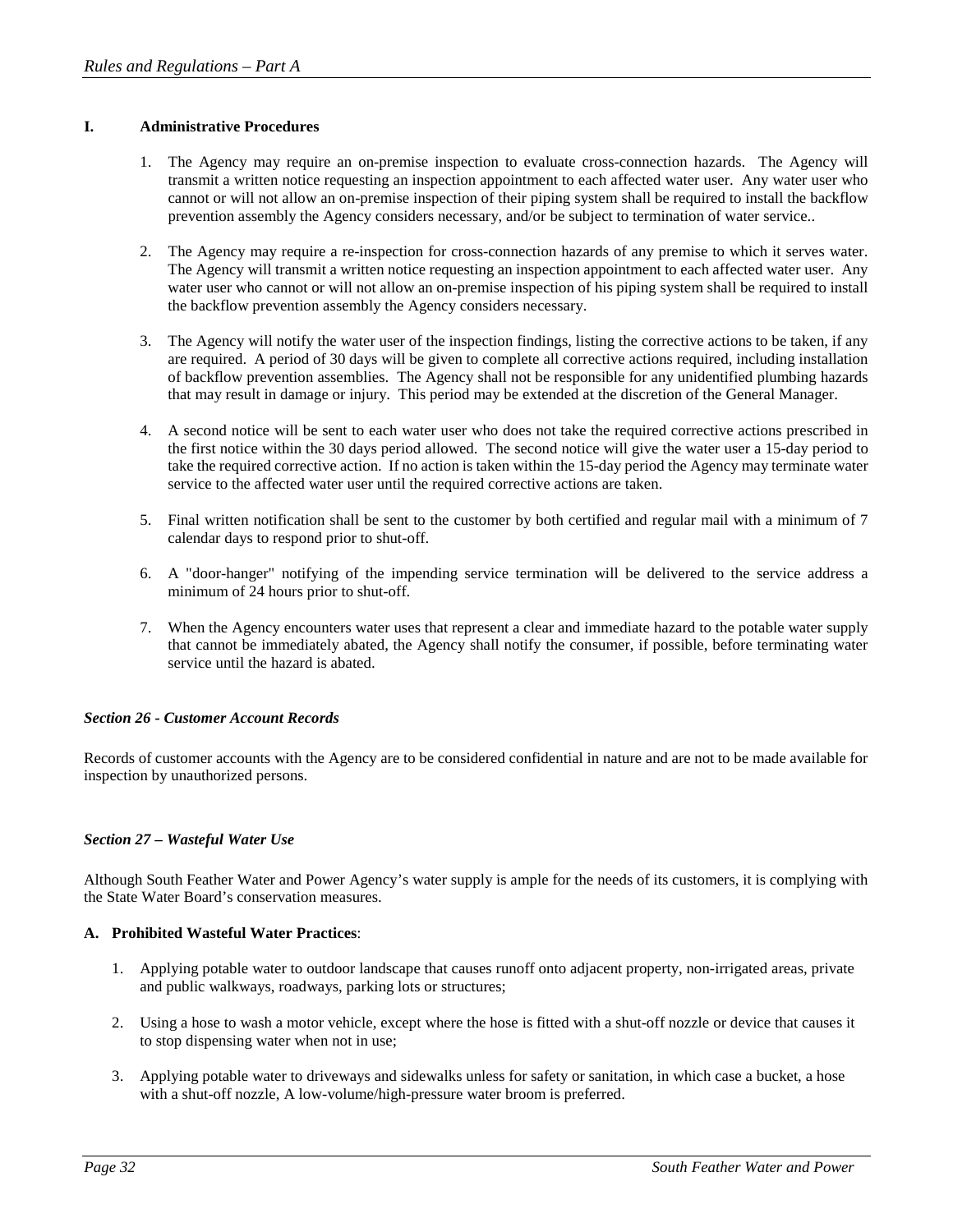## **I. Administrative Procedures**

- 1. The Agency may require an on-premise inspection to evaluate cross-connection hazards. The Agency will transmit a written notice requesting an inspection appointment to each affected water user. Any water user who cannot or will not allow an on-premise inspection of their piping system shall be required to install the backflow prevention assembly the Agency considers necessary, and/or be subject to termination of water service..
- 2. The Agency may require a re-inspection for cross-connection hazards of any premise to which it serves water. The Agency will transmit a written notice requesting an inspection appointment to each affected water user. Any water user who cannot or will not allow an on-premise inspection of his piping system shall be required to install the backflow prevention assembly the Agency considers necessary.
- 3. The Agency will notify the water user of the inspection findings, listing the corrective actions to be taken, if any are required. A period of 30 days will be given to complete all corrective actions required, including installation of backflow prevention assemblies. The Agency shall not be responsible for any unidentified plumbing hazards that may result in damage or injury. This period may be extended at the discretion of the General Manager.
- 4. A second notice will be sent to each water user who does not take the required corrective actions prescribed in the first notice within the 30 days period allowed. The second notice will give the water user a 15-day period to take the required corrective action. If no action is taken within the 15-day period the Agency may terminate water service to the affected water user until the required corrective actions are taken.
- 5. Final written notification shall be sent to the customer by both certified and regular mail with a minimum of 7 calendar days to respond prior to shut-off.
- 6. A "door-hanger" notifying of the impending service termination will be delivered to the service address a minimum of 24 hours prior to shut-off.
- 7. When the Agency encounters water uses that represent a clear and immediate hazard to the potable water supply that cannot be immediately abated, the Agency shall notify the consumer, if possible, before terminating water service until the hazard is abated.

## *Section 26 - Customer Account Records*

Records of customer accounts with the Agency are to be considered confidential in nature and are not to be made available for inspection by unauthorized persons.

## *Section 27 – Wasteful Water Use*

Although South Feather Water and Power Agency's water supply is ample for the needs of its customers, it is complying with the State Water Board's conservation measures.

## **A. Prohibited Wasteful Water Practices**:

- 1. Applying potable water to outdoor landscape that causes runoff onto adjacent property, non-irrigated areas, private and public walkways, roadways, parking lots or structures;
- 2. Using a hose to wash a motor vehicle, except where the hose is fitted with a shut-off nozzle or device that causes it to stop dispensing water when not in use;
- 3. Applying potable water to driveways and sidewalks unless for safety or sanitation, in which case a bucket, a hose with a shut-off nozzle, A low-volume/high-pressure water broom is preferred.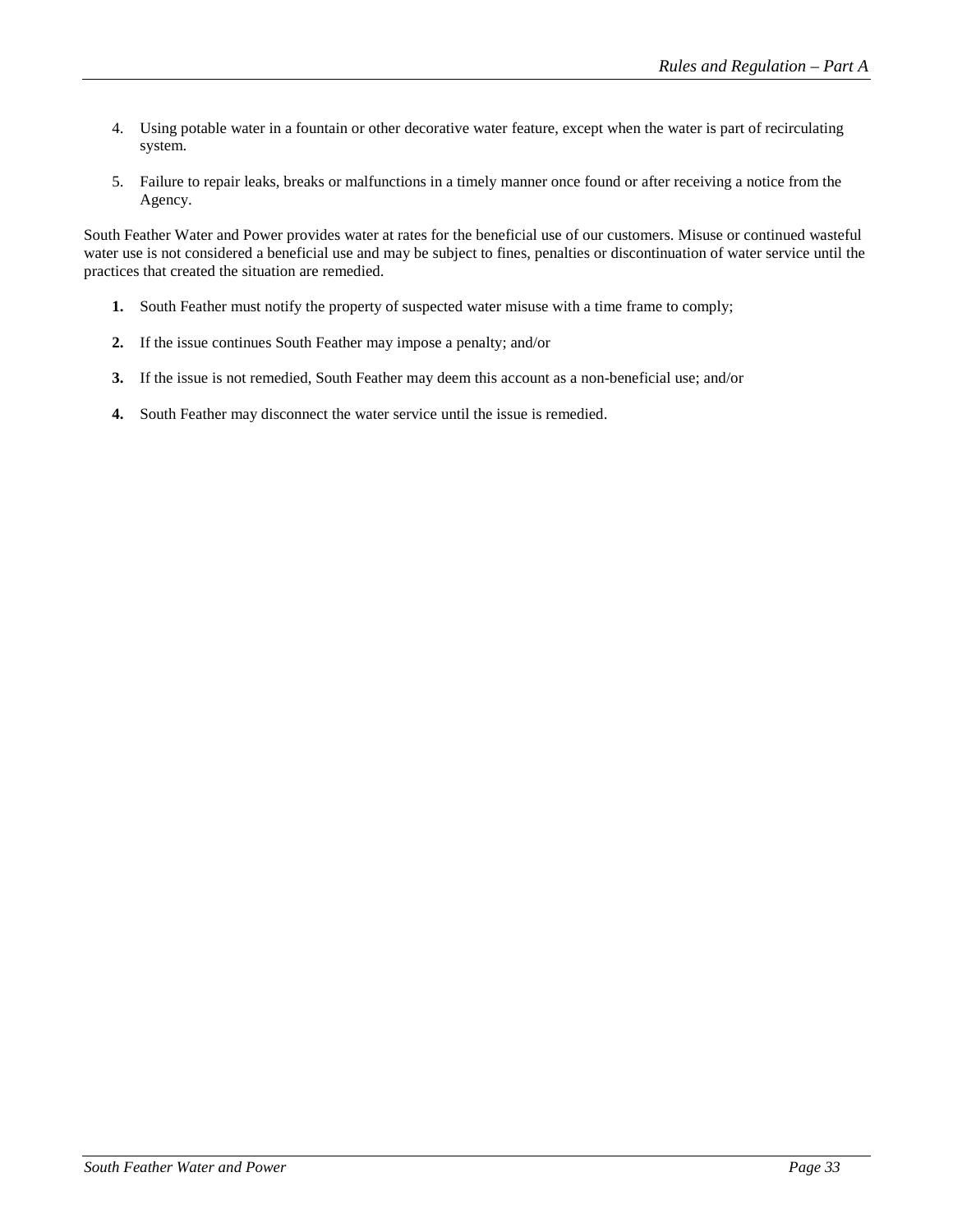- 4. Using potable water in a fountain or other decorative water feature, except when the water is part of recirculating system.
- 5. Failure to repair leaks, breaks or malfunctions in a timely manner once found or after receiving a notice from the Agency.

South Feather Water and Power provides water at rates for the beneficial use of our customers. Misuse or continued wasteful water use is not considered a beneficial use and may be subject to fines, penalties or discontinuation of water service until the practices that created the situation are remedied.

- **1.** South Feather must notify the property of suspected water misuse with a time frame to comply;
- **2.** If the issue continues South Feather may impose a penalty; and/or
- **3.** If the issue is not remedied, South Feather may deem this account as a non-beneficial use; and/or
- **4.** South Feather may disconnect the water service until the issue is remedied.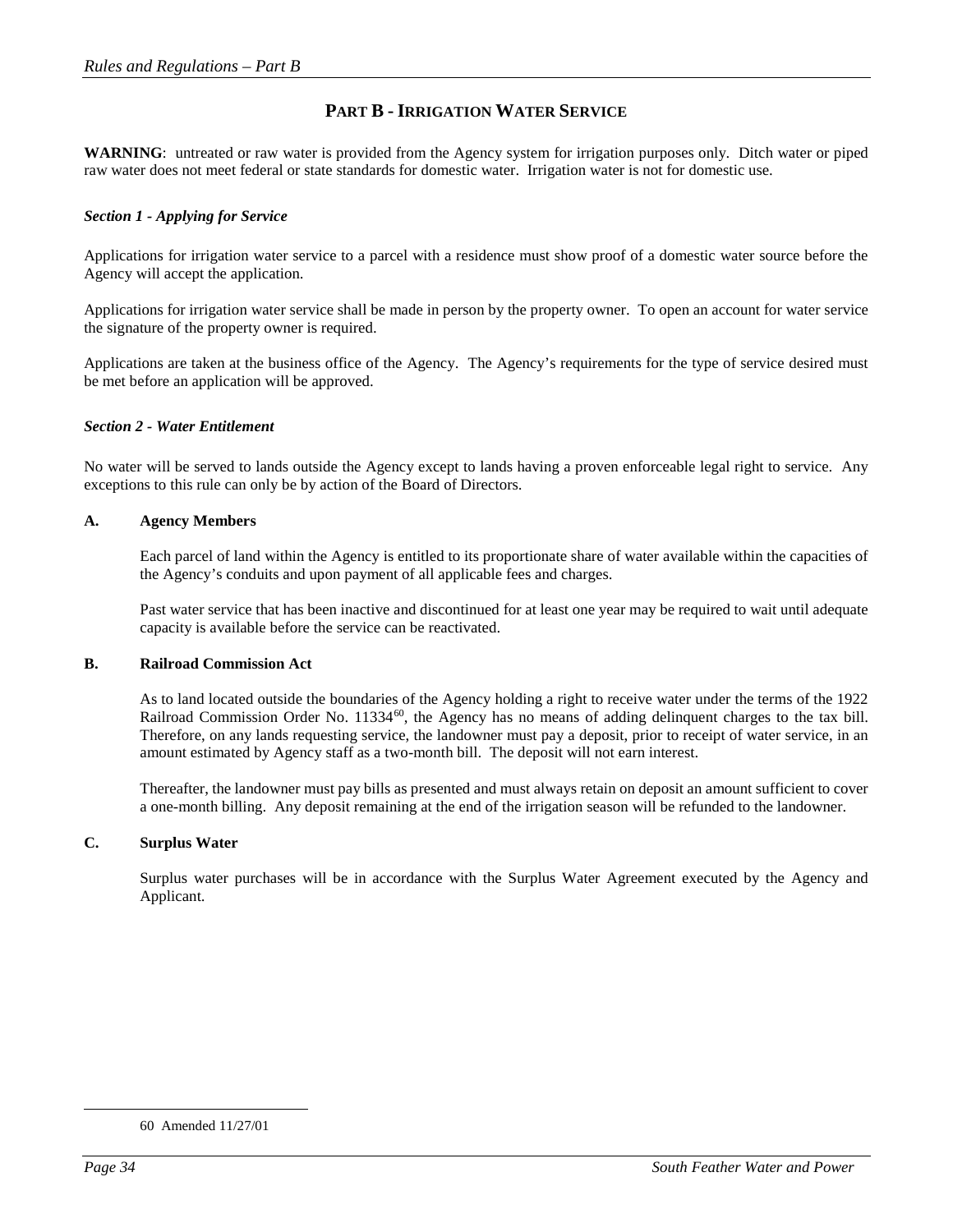## **PART B - IRRIGATION WATER SERVICE**

**WARNING**: untreated or raw water is provided from the Agency system for irrigation purposes only. Ditch water or piped raw water does not meet federal or state standards for domestic water. Irrigation water is not for domestic use.

## *Section 1 - Applying for Service*

Applications for irrigation water service to a parcel with a residence must show proof of a domestic water source before the Agency will accept the application.

Applications for irrigation water service shall be made in person by the property owner. To open an account for water service the signature of the property owner is required.

Applications are taken at the business office of the Agency. The Agency's requirements for the type of service desired must be met before an application will be approved.

#### *Section 2 - Water Entitlement*

No water will be served to lands outside the Agency except to lands having a proven enforceable legal right to service. Any exceptions to this rule can only be by action of the Board of Directors.

#### **A. Agency Members**

Each parcel of land within the Agency is entitled to its proportionate share of water available within the capacities of the Agency's conduits and upon payment of all applicable fees and charges.

Past water service that has been inactive and discontinued for at least one year may be required to wait until adequate capacity is available before the service can be reactivated.

#### **B. Railroad Commission Act**

As to land located outside the boundaries of the Agency holding a right to receive water under the terms of the 1922 Railroad Commission Order No. 11334<sup>60</sup>, the Agency has no means of adding delinquent charges to the tax bill. Therefore, on any lands requesting service, the landowner must pay a deposit, prior to receipt of water service, in an amount estimated by Agency staff as a two-month bill. The deposit will not earn interest.

Thereafter, the landowner must pay bills as presented and must always retain on deposit an amount sufficient to cover a one-month billing. Any deposit remaining at the end of the irrigation season will be refunded to the landowner.

## **C. Surplus Water**

Surplus water purchases will be in accordance with the Surplus Water Agreement executed by the Agency and Applicant.

<span id="page-33-0"></span> <sup>60</sup> Amended 11/27/01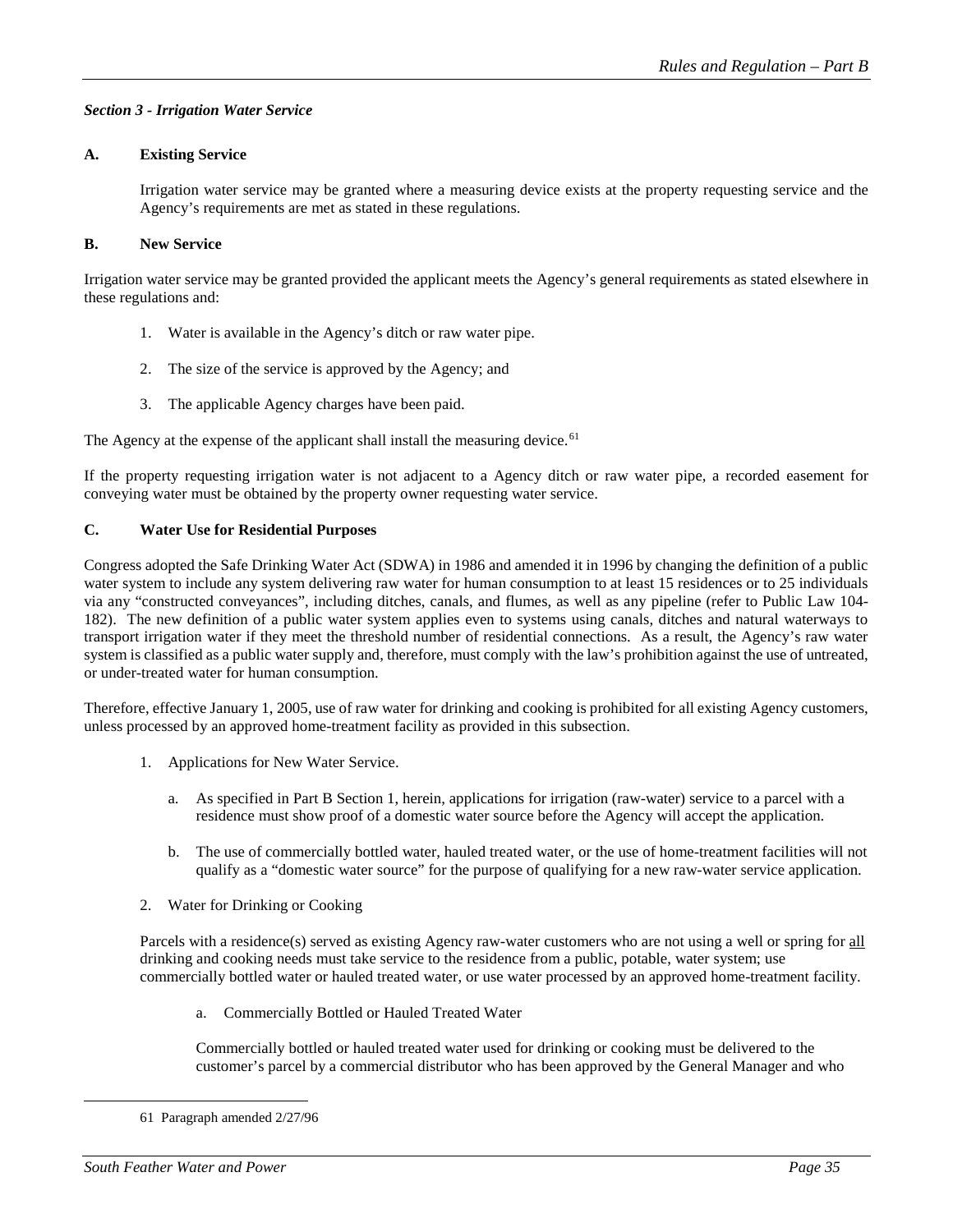## *Section 3 - Irrigation Water Service*

## **A. Existing Service**

Irrigation water service may be granted where a measuring device exists at the property requesting service and the Agency's requirements are met as stated in these regulations.

## **B. New Service**

Irrigation water service may be granted provided the applicant meets the Agency's general requirements as stated elsewhere in these regulations and:

- 1. Water is available in the Agency's ditch or raw water pipe.
- 2. The size of the service is approved by the Agency; and
- 3. The applicable Agency charges have been paid.

The Agency at the expense of the applicant shall install the measuring device.<sup>[61](#page-34-0)</sup>

If the property requesting irrigation water is not adjacent to a Agency ditch or raw water pipe, a recorded easement for conveying water must be obtained by the property owner requesting water service.

## **C. Water Use for Residential Purposes**

Congress adopted the Safe Drinking Water Act (SDWA) in 1986 and amended it in 1996 by changing the definition of a public water system to include any system delivering raw water for human consumption to at least 15 residences or to 25 individuals via any "constructed conveyances", including ditches, canals, and flumes, as well as any pipeline (refer to Public Law 104- 182). The new definition of a public water system applies even to systems using canals, ditches and natural waterways to transport irrigation water if they meet the threshold number of residential connections. As a result, the Agency's raw water system is classified as a public water supply and, therefore, must comply with the law's prohibition against the use of untreated, or under-treated water for human consumption.

Therefore, effective January 1, 2005, use of raw water for drinking and cooking is prohibited for all existing Agency customers, unless processed by an approved home-treatment facility as provided in this subsection.

- 1. Applications for New Water Service.
	- a. As specified in Part B Section 1, herein, applications for irrigation (raw-water) service to a parcel with a residence must show proof of a domestic water source before the Agency will accept the application.
	- b. The use of commercially bottled water, hauled treated water, or the use of home-treatment facilities will not qualify as a "domestic water source" for the purpose of qualifying for a new raw-water service application.
- 2. Water for Drinking or Cooking

Parcels with a residence(s) served as existing Agency raw-water customers who are not using a well or spring for all drinking and cooking needs must take service to the residence from a public, potable, water system; use commercially bottled water or hauled treated water, or use water processed by an approved home-treatment facility.

a. Commercially Bottled or Hauled Treated Water

Commercially bottled or hauled treated water used for drinking or cooking must be delivered to the customer's parcel by a commercial distributor who has been approved by the General Manager and who

<span id="page-34-0"></span> <sup>61</sup> Paragraph amended 2/27/96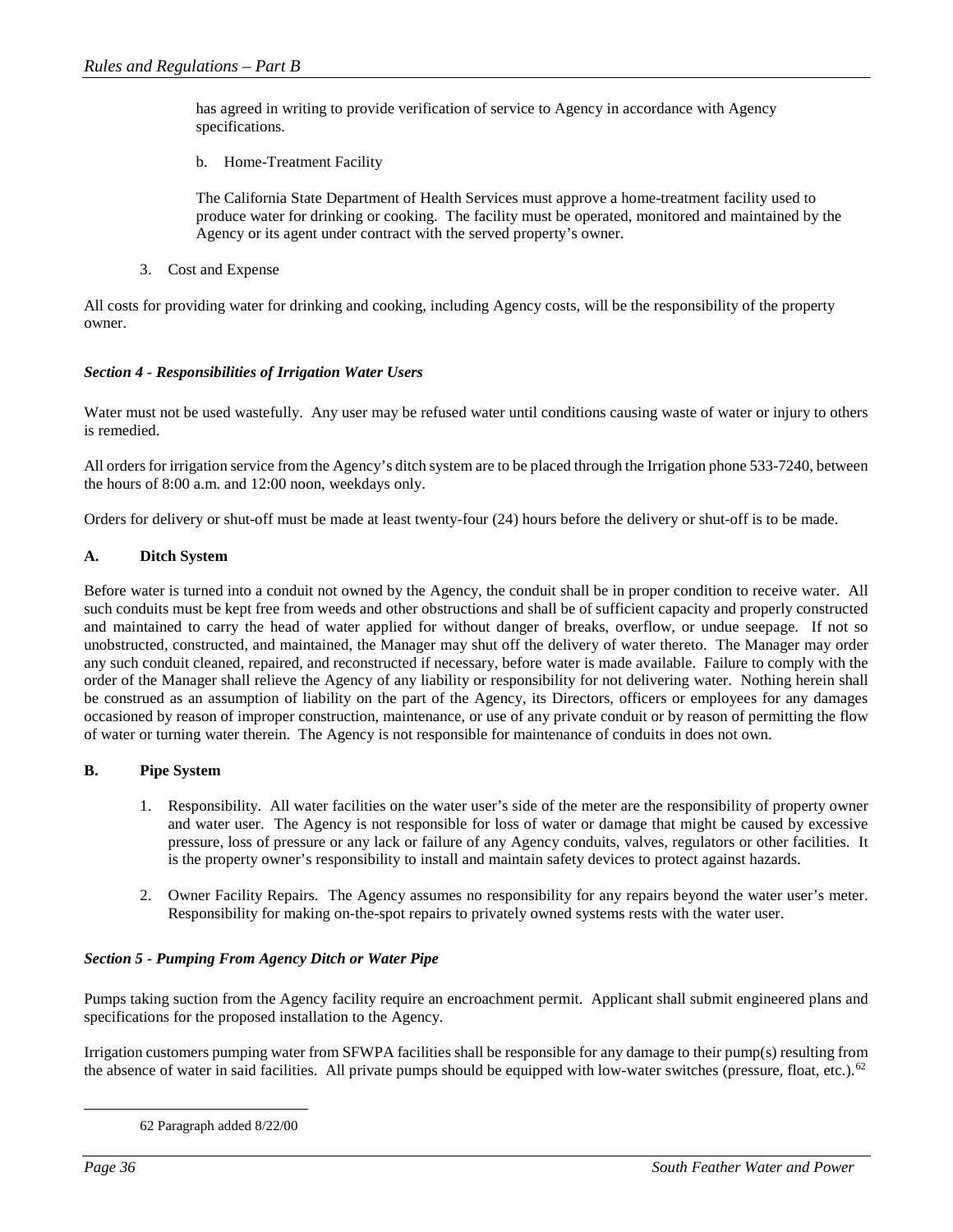has agreed in writing to provide verification of service to Agency in accordance with Agency specifications.

b. Home-Treatment Facility

The California State Department of Health Services must approve a home-treatment facility used to produce water for drinking or cooking. The facility must be operated, monitored and maintained by the Agency or its agent under contract with the served property's owner.

3. Cost and Expense

All costs for providing water for drinking and cooking, including Agency costs, will be the responsibility of the property owner.

## *Section 4 - Responsibilities of Irrigation Water Users*

Water must not be used wastefully. Any user may be refused water until conditions causing waste of water or injury to others is remedied.

All orders for irrigation service from the Agency's ditch system are to be placed through the Irrigation phone 533-7240, between the hours of 8:00 a.m. and 12:00 noon, weekdays only.

Orders for delivery or shut-off must be made at least twenty-four (24) hours before the delivery or shut-off is to be made.

## **A. Ditch System**

Before water is turned into a conduit not owned by the Agency, the conduit shall be in proper condition to receive water. All such conduits must be kept free from weeds and other obstructions and shall be of sufficient capacity and properly constructed and maintained to carry the head of water applied for without danger of breaks, overflow, or undue seepage. If not so unobstructed, constructed, and maintained, the Manager may shut off the delivery of water thereto. The Manager may order any such conduit cleaned, repaired, and reconstructed if necessary, before water is made available. Failure to comply with the order of the Manager shall relieve the Agency of any liability or responsibility for not delivering water. Nothing herein shall be construed as an assumption of liability on the part of the Agency, its Directors, officers or employees for any damages occasioned by reason of improper construction, maintenance, or use of any private conduit or by reason of permitting the flow of water or turning water therein. The Agency is not responsible for maintenance of conduits in does not own.

## **B. Pipe System**

- 1. Responsibility. All water facilities on the water user's side of the meter are the responsibility of property owner and water user. The Agency is not responsible for loss of water or damage that might be caused by excessive pressure, loss of pressure or any lack or failure of any Agency conduits, valves, regulators or other facilities. It is the property owner's responsibility to install and maintain safety devices to protect against hazards.
- 2. Owner Facility Repairs. The Agency assumes no responsibility for any repairs beyond the water user's meter. Responsibility for making on-the-spot repairs to privately owned systems rests with the water user.

## *Section 5 - Pumping From Agency Ditch or Water Pipe*

Pumps taking suction from the Agency facility require an encroachment permit. Applicant shall submit engineered plans and specifications for the proposed installation to the Agency.

<span id="page-35-0"></span>Irrigation customers pumping water from SFWPA facilities shall be responsible for any damage to their pump(s) resulting from the absence of water in said facilities. All private pumps should be equipped with low-water switches (pressure, float, etc.).<sup>[62](#page-35-0)</sup>

 <sup>62</sup> Paragraph added 8/22/00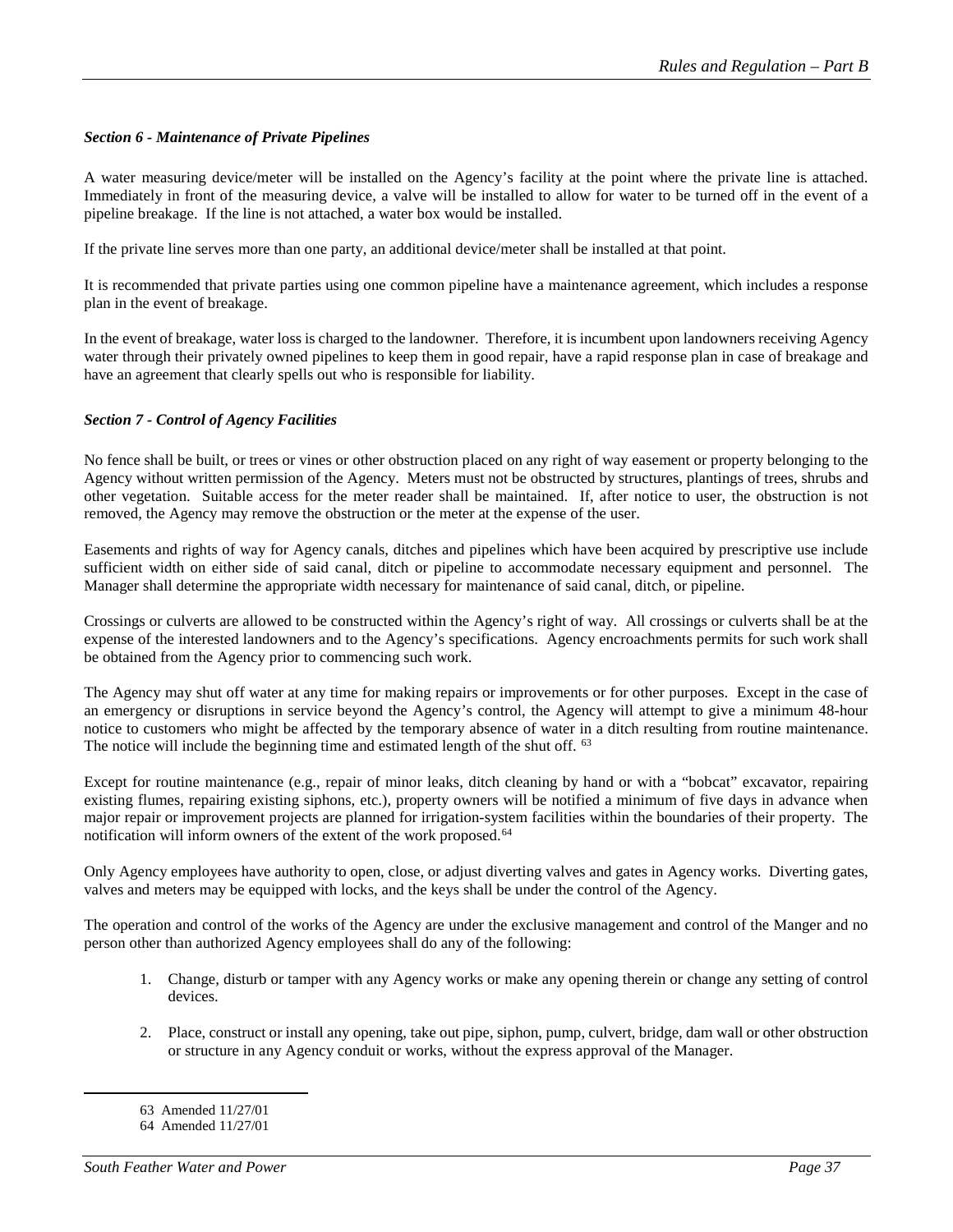## *Section 6 - Maintenance of Private Pipelines*

A water measuring device/meter will be installed on the Agency's facility at the point where the private line is attached. Immediately in front of the measuring device, a valve will be installed to allow for water to be turned off in the event of a pipeline breakage. If the line is not attached, a water box would be installed.

If the private line serves more than one party, an additional device/meter shall be installed at that point.

It is recommended that private parties using one common pipeline have a maintenance agreement, which includes a response plan in the event of breakage.

In the event of breakage, water loss is charged to the landowner. Therefore, it is incumbent upon landowners receiving Agency water through their privately owned pipelines to keep them in good repair, have a rapid response plan in case of breakage and have an agreement that clearly spells out who is responsible for liability.

## *Section 7 - Control of Agency Facilities*

No fence shall be built, or trees or vines or other obstruction placed on any right of way easement or property belonging to the Agency without written permission of the Agency. Meters must not be obstructed by structures, plantings of trees, shrubs and other vegetation. Suitable access for the meter reader shall be maintained. If, after notice to user, the obstruction is not removed, the Agency may remove the obstruction or the meter at the expense of the user.

Easements and rights of way for Agency canals, ditches and pipelines which have been acquired by prescriptive use include sufficient width on either side of said canal, ditch or pipeline to accommodate necessary equipment and personnel. The Manager shall determine the appropriate width necessary for maintenance of said canal, ditch, or pipeline.

Crossings or culverts are allowed to be constructed within the Agency's right of way. All crossings or culverts shall be at the expense of the interested landowners and to the Agency's specifications. Agency encroachments permits for such work shall be obtained from the Agency prior to commencing such work.

The Agency may shut off water at any time for making repairs or improvements or for other purposes. Except in the case of an emergency or disruptions in service beyond the Agency's control, the Agency will attempt to give a minimum 48-hour notice to customers who might be affected by the temporary absence of water in a ditch resulting from routine maintenance. The notice will include the beginning time and estimated length of the shut off. [63](#page-36-0)

Except for routine maintenance (e.g., repair of minor leaks, ditch cleaning by hand or with a "bobcat" excavator, repairing existing flumes, repairing existing siphons, etc.), property owners will be notified a minimum of five days in advance when major repair or improvement projects are planned for irrigation-system facilities within the boundaries of their property. The notification will inform owners of the extent of the work proposed.<sup>[64](#page-36-1)</sup>

Only Agency employees have authority to open, close, or adjust diverting valves and gates in Agency works. Diverting gates, valves and meters may be equipped with locks, and the keys shall be under the control of the Agency.

The operation and control of the works of the Agency are under the exclusive management and control of the Manger and no person other than authorized Agency employees shall do any of the following:

- 1. Change, disturb or tamper with any Agency works or make any opening therein or change any setting of control devices.
- 2. Place, construct or install any opening, take out pipe, siphon, pump, culvert, bridge, dam wall or other obstruction or structure in any Agency conduit or works, without the express approval of the Manager.

 <sup>63</sup> Amended 11/27/01

<span id="page-36-1"></span><span id="page-36-0"></span><sup>64</sup> Amended 11/27/01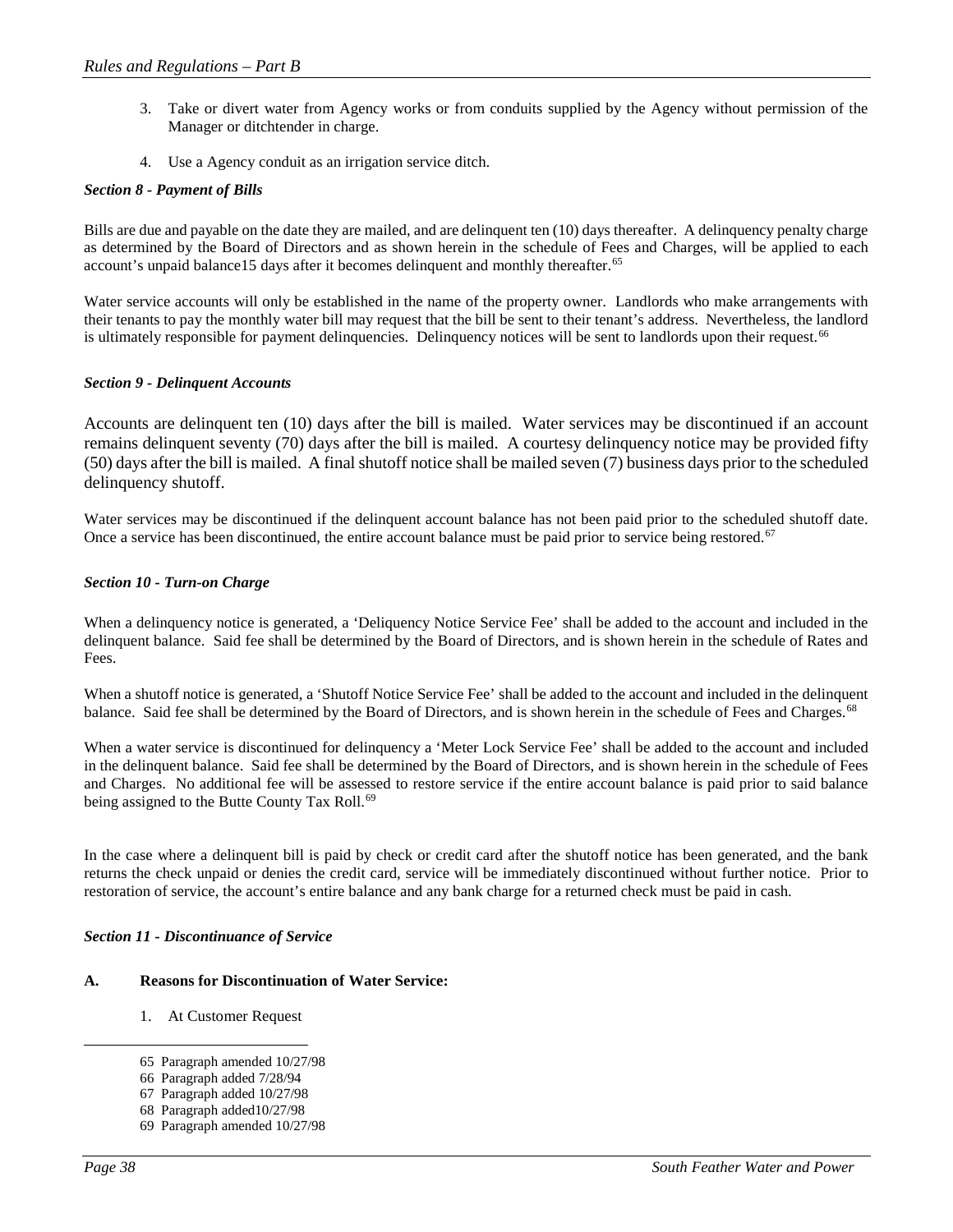- 3. Take or divert water from Agency works or from conduits supplied by the Agency without permission of the Manager or ditchtender in charge.
- 4. Use a Agency conduit as an irrigation service ditch.

## *Section 8 - Payment of Bills*

Bills are due and payable on the date they are mailed, and are delinquent ten (10) days thereafter. A delinquency penalty charge as determined by the Board of Directors and as shown herein in the schedule of Fees and Charges, will be applied to each account's unpaid balance15 days after it becomes delinquent and monthly thereafter.<sup>[65](#page-37-0)</sup>

Water service accounts will only be established in the name of the property owner. Landlords who make arrangements with their tenants to pay the monthly water bill may request that the bill be sent to their tenant's address. Nevertheless, the landlord is ultimately responsible for payment delinquencies. Delinquency notices will be sent to landlords upon their request.<sup>[66](#page-37-1)</sup>

## *Section 9 - Delinquent Accounts*

Accounts are delinquent ten (10) days after the bill is mailed. Water services may be discontinued if an account remains delinquent seventy (70) days after the bill is mailed. A courtesy delinquency notice may be provided fifty (50) days after the bill is mailed. A final shutoff notice shall be mailed seven (7) business days prior to the scheduled delinquency shutoff.

Water services may be discontinued if the delinquent account balance has not been paid prior to the scheduled shutoff date. Once a service has been discontinued, the entire account balance must be paid prior to service being restored.<sup>[67](#page-37-2)</sup>

## *Section 10 - Turn-on Charge*

When a delinquency notice is generated, a 'Deliquency Notice Service Fee' shall be added to the account and included in the delinquent balance. Said fee shall be determined by the Board of Directors, and is shown herein in the schedule of Rates and Fees.

When a shutoff notice is generated, a 'Shutoff Notice Service Fee' shall be added to the account and included in the delinquent balance. Said fee shall be determined by the Board of Directors, and is shown herein in the schedule of Fees and Charges.<sup>68</sup>

When a water service is discontinued for delinquency a 'Meter Lock Service Fee' shall be added to the account and included in the delinquent balance. Said fee shall be determined by the Board of Directors, and is shown herein in the schedule of Fees and Charges. No additional fee will be assessed to restore service if the entire account balance is paid prior to said balance being assigned to the Butte County Tax Roll.<sup>[69](#page-37-4)</sup>

In the case where a delinquent bill is paid by check or credit card after the shutoff notice has been generated, and the bank returns the check unpaid or denies the credit card, service will be immediately discontinued without further notice. Prior to restoration of service, the account's entire balance and any bank charge for a returned check must be paid in cash.

## *Section 11 - Discontinuance of Service*

#### <span id="page-37-1"></span><span id="page-37-0"></span>**A. Reasons for Discontinuation of Water Service:**

- 1. At Customer Request
- 65 Paragraph amended 10/27/98
- 66 Paragraph added 7/28/94
- <span id="page-37-2"></span>67 Paragraph added 10/27/98
- <span id="page-37-3"></span>68 Paragraph added10/27/98
- <span id="page-37-4"></span>69 Paragraph amended 10/27/98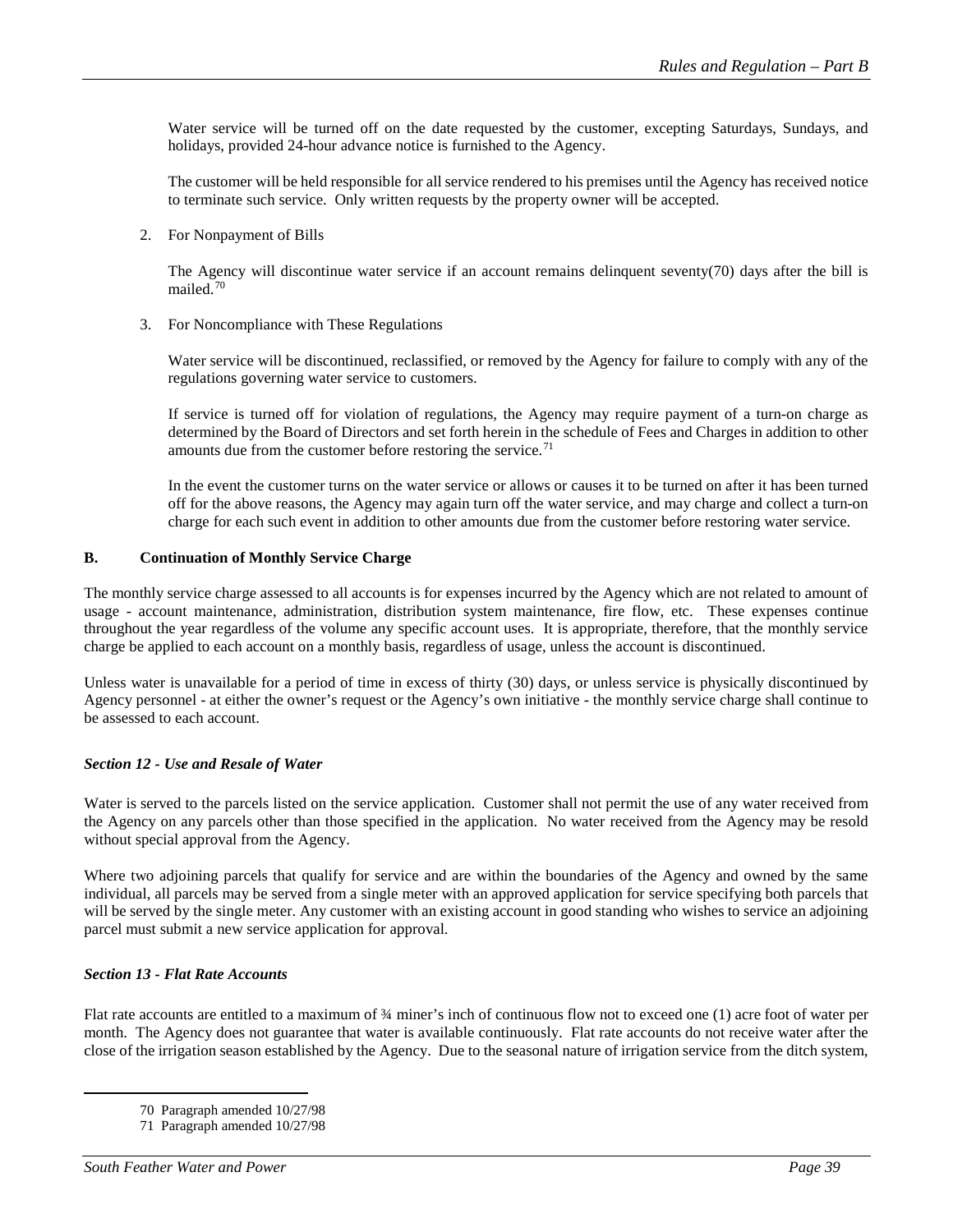Water service will be turned off on the date requested by the customer, excepting Saturdays, Sundays, and holidays, provided 24-hour advance notice is furnished to the Agency.

The customer will be held responsible for all service rendered to his premises until the Agency has received notice to terminate such service. Only written requests by the property owner will be accepted.

2. For Nonpayment of Bills

The Agency will discontinue water service if an account remains delinquent seventy(70) days after the bill is mailed.[70](#page-38-0)

3. For Noncompliance with These Regulations

Water service will be discontinued, reclassified, or removed by the Agency for failure to comply with any of the regulations governing water service to customers.

If service is turned off for violation of regulations, the Agency may require payment of a turn-on charge as determined by the Board of Directors and set forth herein in the schedule of Fees and Charges in addition to other amounts due from the customer before restoring the service. $71$ 

In the event the customer turns on the water service or allows or causes it to be turned on after it has been turned off for the above reasons, the Agency may again turn off the water service, and may charge and collect a turn-on charge for each such event in addition to other amounts due from the customer before restoring water service.

## **B. Continuation of Monthly Service Charge**

The monthly service charge assessed to all accounts is for expenses incurred by the Agency which are not related to amount of usage - account maintenance, administration, distribution system maintenance, fire flow, etc. These expenses continue throughout the year regardless of the volume any specific account uses. It is appropriate, therefore, that the monthly service charge be applied to each account on a monthly basis, regardless of usage, unless the account is discontinued.

Unless water is unavailable for a period of time in excess of thirty (30) days, or unless service is physically discontinued by Agency personnel - at either the owner's request or the Agency's own initiative - the monthly service charge shall continue to be assessed to each account.

## *Section 12 - Use and Resale of Water*

Water is served to the parcels listed on the service application. Customer shall not permit the use of any water received from the Agency on any parcels other than those specified in the application. No water received from the Agency may be resold without special approval from the Agency.

Where two adjoining parcels that qualify for service and are within the boundaries of the Agency and owned by the same individual, all parcels may be served from a single meter with an approved application for service specifying both parcels that will be served by the single meter. Any customer with an existing account in good standing who wishes to service an adjoining parcel must submit a new service application for approval.

## *Section 13 - Flat Rate Accounts*

<span id="page-38-0"></span>Flat rate accounts are entitled to a maximum of ¾ miner's inch of continuous flow not to exceed one (1) acre foot of water per month. The Agency does not guarantee that water is available continuously. Flat rate accounts do not receive water after the close of the irrigation season established by the Agency. Due to the seasonal nature of irrigation service from the ditch system,

 <sup>70</sup> Paragraph amended 10/27/98

<span id="page-38-1"></span><sup>71</sup> Paragraph amended 10/27/98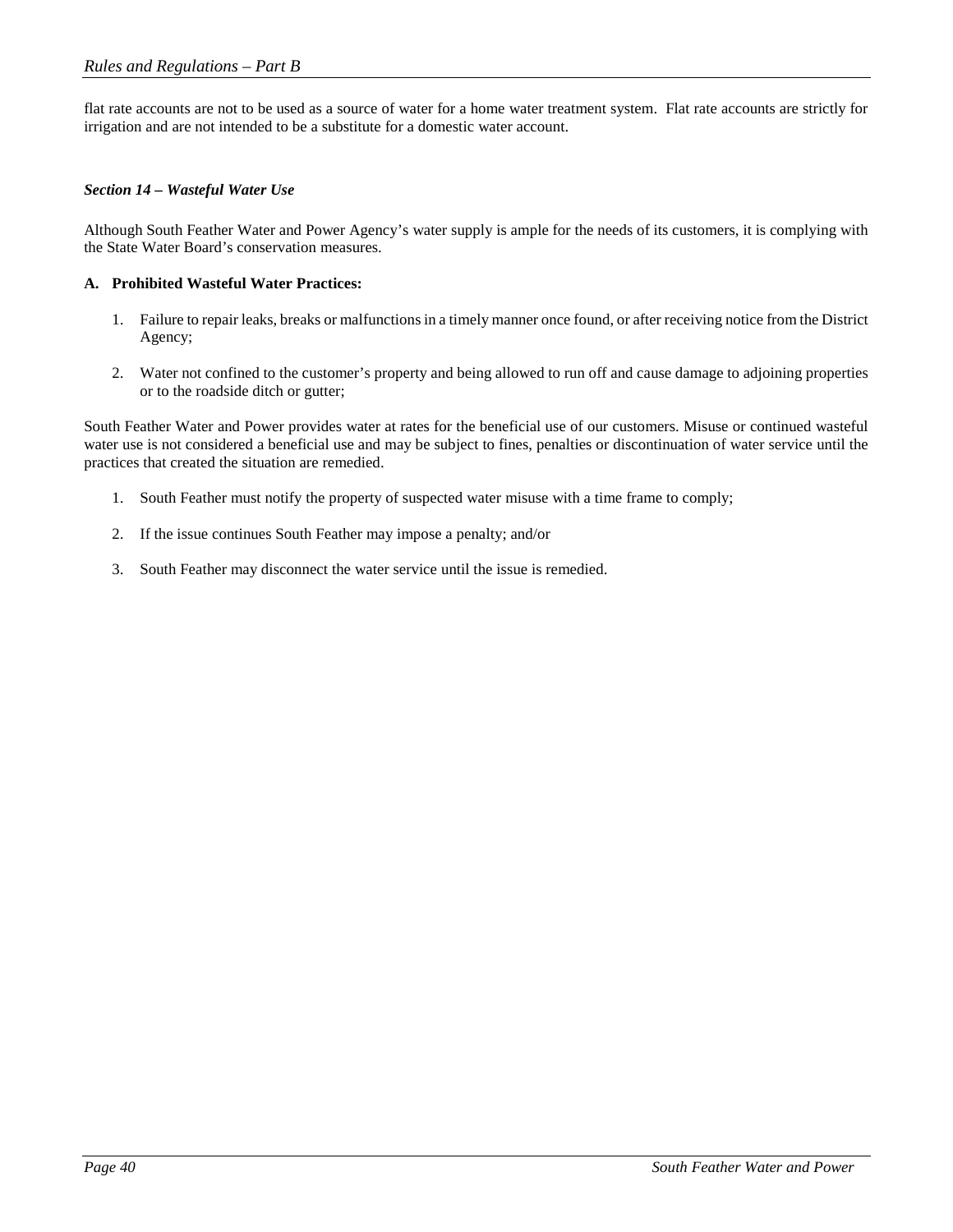flat rate accounts are not to be used as a source of water for a home water treatment system. Flat rate accounts are strictly for irrigation and are not intended to be a substitute for a domestic water account.

## *Section 14 – Wasteful Water Use*

Although South Feather Water and Power Agency's water supply is ample for the needs of its customers, it is complying with the State Water Board's conservation measures.

## **A. Prohibited Wasteful Water Practices:**

- 1. Failure to repair leaks, breaks or malfunctions in a timely manner once found, or after receiving notice from the District Agency;
- 2. Water not confined to the customer's property and being allowed to run off and cause damage to adjoining properties or to the roadside ditch or gutter;

South Feather Water and Power provides water at rates for the beneficial use of our customers. Misuse or continued wasteful water use is not considered a beneficial use and may be subject to fines, penalties or discontinuation of water service until the practices that created the situation are remedied.

- 1. South Feather must notify the property of suspected water misuse with a time frame to comply;
- 2. If the issue continues South Feather may impose a penalty; and/or
- 3. South Feather may disconnect the water service until the issue is remedied.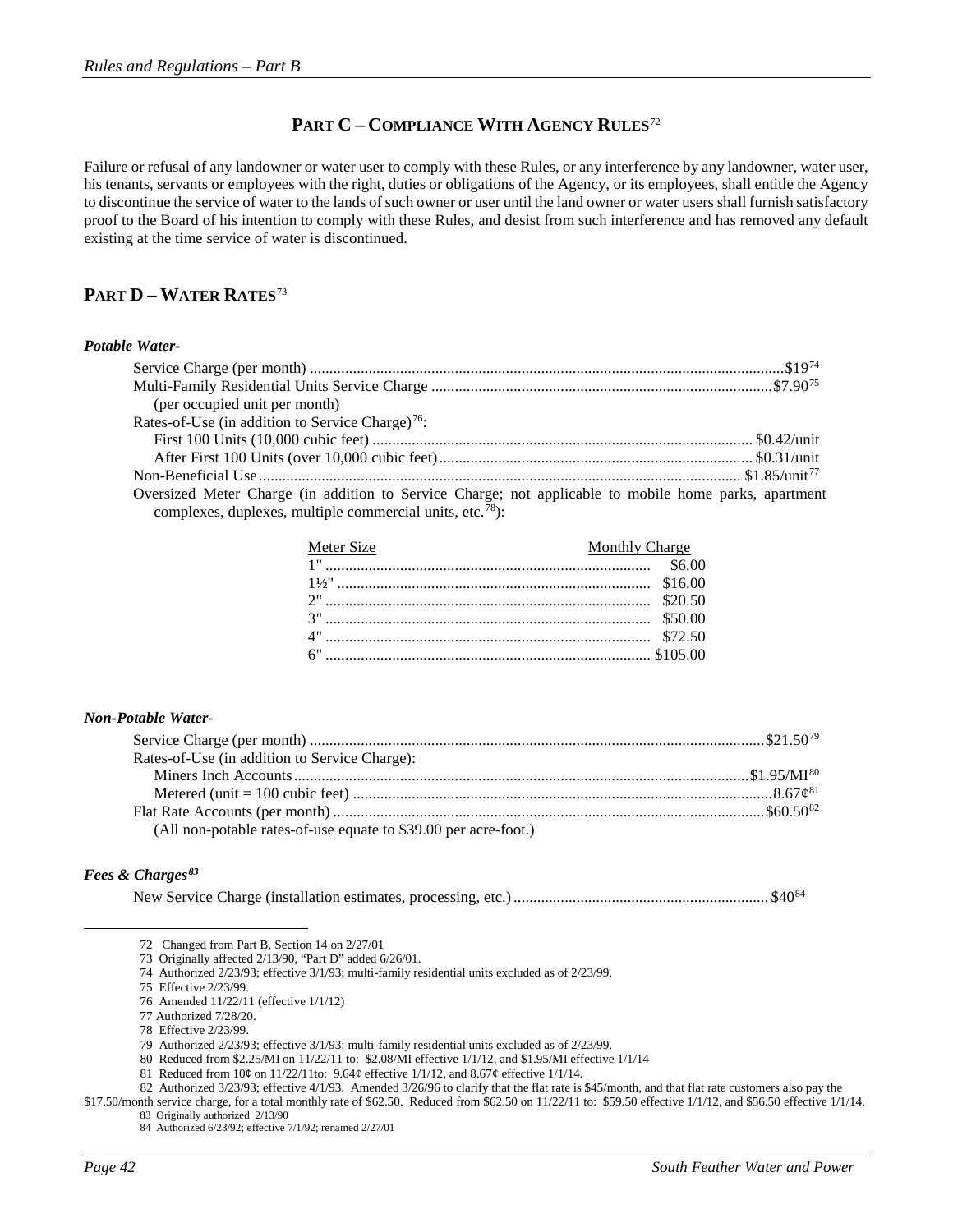## **PART C – COMPLIANCE WITH AGENCY RULES**[72](#page-41-0)

Failure or refusal of any landowner or water user to comply with these Rules, or any interference by any landowner, water user, his tenants, servants or employees with the right, duties or obligations of the Agency, or its employees, shall entitle the Agency to discontinue the service of water to the lands of such owner or user until the land owner or water users shall furnish satisfactory proof to the Board of his intention to comply with these Rules, and desist from such interference and has removed any default existing at the time service of water is discontinued.

## **PART D – WATER RATES**[73](#page-41-1)

#### *Potable Water-*

| (per occupied unit per month)                                                                         |  |
|-------------------------------------------------------------------------------------------------------|--|
| Rates-of-Use (in addition to Service Charge) <sup>76</sup> :                                          |  |
|                                                                                                       |  |
|                                                                                                       |  |
|                                                                                                       |  |
| Oversized Meter Charge (in addition to Service Charge; not applicable to mobile home parks, apartment |  |

complexes, duplexes, multiple commercial units, etc.<sup>[78](#page-41-6)</sup>):

| Meter Size | <b>Monthly Charge</b> |
|------------|-----------------------|
|            |                       |
|            |                       |
|            |                       |
|            |                       |
|            |                       |
|            |                       |

#### *Non-Potable Water-*

| Rates-of-Use (in addition to Service Charge):                   |  |
|-----------------------------------------------------------------|--|
|                                                                 |  |
|                                                                 |  |
|                                                                 |  |
| (All non-potable rates-of-use equate to \$39.00 per acre-foot.) |  |

## <span id="page-41-3"></span><span id="page-41-2"></span><span id="page-41-1"></span><span id="page-41-0"></span>*Fees & Charges[83](#page-41-11)*

New Service Charge (installation estimates, processing, etc.)................................................................. \$40[84](#page-41-12)

75 Effective 2/23/99.

 <sup>72</sup> Changed from Part B, Section 14 on 2/27/01

<sup>73</sup> Originally affected 2/13/90, "Part D" added 6/26/01.

<sup>74</sup> Authorized 2/23/93; effective 3/1/93; multi-family residential units excluded as of 2/23/99.

<sup>76</sup> Amended 11/22/11 (effective 1/1/12)

<sup>77</sup> Authorized 7/28/20.

<sup>78</sup> Effective 2/23/99.

<sup>79</sup> Authorized 2/23/93; effective 3/1/93; multi-family residential units excluded as of 2/23/99.

<sup>80</sup> Reduced from \$2.25/MI on 11/22/11 to: \$2.08/MI effective 1/1/12, and \$1.95/MI effective 1/1/14

<sup>81</sup> Reduced from 10¢ on 11/22/11to: 9.64¢ effective 1/1/12, and 8.67¢ effective 1/1/14.

<sup>82</sup> Authorized 3/23/93; effective 4/1/93. Amended 3/26/96 to clarify that the flat rate is \$45/month, and that flat rate customers also pay the

<span id="page-41-12"></span><span id="page-41-11"></span><span id="page-41-10"></span><span id="page-41-9"></span><span id="page-41-8"></span><span id="page-41-7"></span><span id="page-41-6"></span><span id="page-41-5"></span><span id="page-41-4"></span><sup>\$17.50/</sup>month service charge, for a total monthly rate of \$62.50. Reduced from \$62.50 on 11/22/11 to: \$59.50 effective 1/1/12, and \$56.50 effective 1/1/14. 83 Originally authorized 2/13/90

<sup>84</sup> Authorized 6/23/92; effective 7/1/92; renamed 2/27/01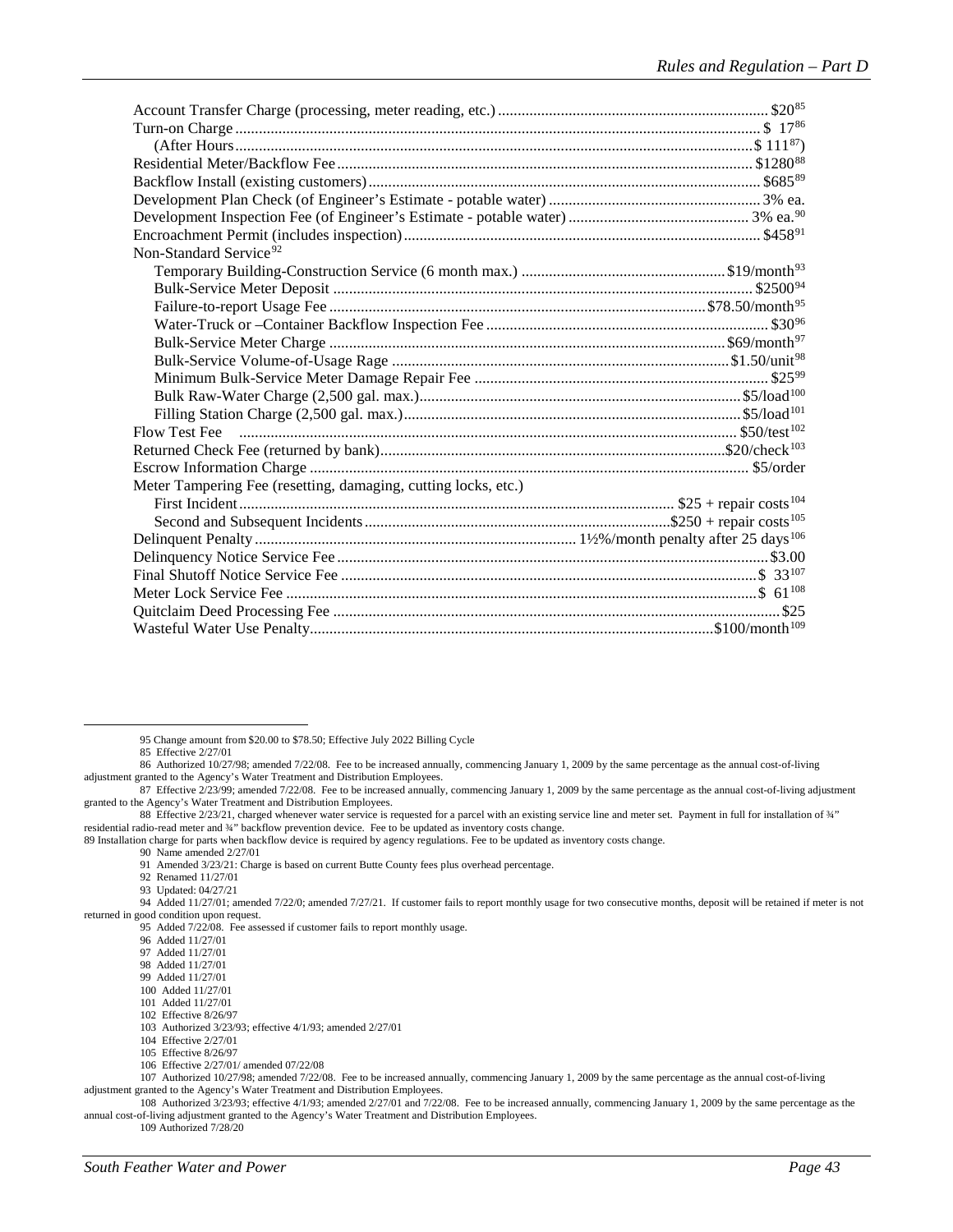| Non-Standard Service <sup>92</sup>                             |  |
|----------------------------------------------------------------|--|
|                                                                |  |
|                                                                |  |
|                                                                |  |
|                                                                |  |
|                                                                |  |
|                                                                |  |
|                                                                |  |
|                                                                |  |
|                                                                |  |
|                                                                |  |
|                                                                |  |
|                                                                |  |
| Meter Tampering Fee (resetting, damaging, cutting locks, etc.) |  |
|                                                                |  |
|                                                                |  |
|                                                                |  |
|                                                                |  |
|                                                                |  |
|                                                                |  |
|                                                                |  |
|                                                                |  |

85 Effective 2/27/01

92 Renamed 11/27/01

93 Updated: 04/27/21

<span id="page-42-15"></span><span id="page-42-14"></span><span id="page-42-13"></span><span id="page-42-12"></span><span id="page-42-11"></span><span id="page-42-10"></span><span id="page-42-9"></span><span id="page-42-8"></span><span id="page-42-7"></span>94 Added 11/27/01; amended 7/22/0; amended 7/27/21. If customer fails to report monthly usage for two consecutive months, deposit will be retained if meter is not returned in good condition upon request.

109 Authorized 7/28/20

 <sup>95</sup> Change amount from \$20.00 to \$78.50; Effective July 2022 Billing Cycle

<span id="page-42-1"></span><span id="page-42-0"></span><sup>86</sup> Authorized 10/27/98; amended 7/22/08. Fee to be increased annually, commencing January 1, 2009 by the same percentage as the annual cost-of-living adjustment granted to the Agency's Water Treatment and Distribution Employees.

<span id="page-42-2"></span><sup>87</sup> Effective 2/23/99; amended 7/22/08. Fee to be increased annually, commencing January 1, 2009 by the same percentage as the annual cost-of-living adjustment granted to the Agency's Water Treatment and Distribution Employees.

<span id="page-42-3"></span><sup>88</sup> Effective 2/23/21, charged whenever water service is requested for a parcel with an existing service line and meter set. Payment in full for installation of ¾" residential radio-read meter and ¾" backflow prevention device. Fee to be updated as inventory costs change.

<span id="page-42-6"></span><span id="page-42-5"></span><span id="page-42-4"></span><sup>89</sup> Installation charge for parts when backflow device is required by agency regulations. Fee to be updated as inventory costs change.

<sup>90</sup> Name amended 2/27/01

<sup>91</sup> Amended 3/23/21: Charge is based on current Butte County fees plus overhead percentage.

<sup>95</sup> Added 7/22/08. Fee assessed if customer fails to report monthly usage.

<sup>96</sup> Added 11/27/01

<sup>97</sup> Added 11/27/01

<sup>98</sup> Added 11/27/01

<sup>99</sup> Added 11/27/01

<sup>100</sup> Added 11/27/01 101 Added 11/27/01

<sup>102</sup> Effective 8/26/97

<sup>103</sup> Authorized 3/23/93; effective 4/1/93; amended 2/27/01

<sup>104</sup> Effective 2/27/01

<sup>105</sup> Effective 8/26/97

<sup>106</sup> Effective 2/27/01/ amended 07/22/08

<span id="page-42-22"></span><span id="page-42-21"></span><span id="page-42-20"></span><span id="page-42-19"></span><span id="page-42-18"></span><span id="page-42-17"></span><span id="page-42-16"></span><sup>107</sup> Authorized 10/27/98; amended 7/22/08. Fee to be increased annually, commencing January 1, 2009 by the same percentage as the annual cost-of-living adjustment granted to the Agency's Water Treatment and Distribution Employees.

<span id="page-42-24"></span><span id="page-42-23"></span><sup>108</sup> Authorized 3/23/93; effective 4/1/93; amended 2/27/01 and 7/22/08. Fee to be increased annually, commencing January 1, 2009 by the same percentage as the annual cost-of-living adjustment granted to the Agency's Water Treatment and Distribution Employees.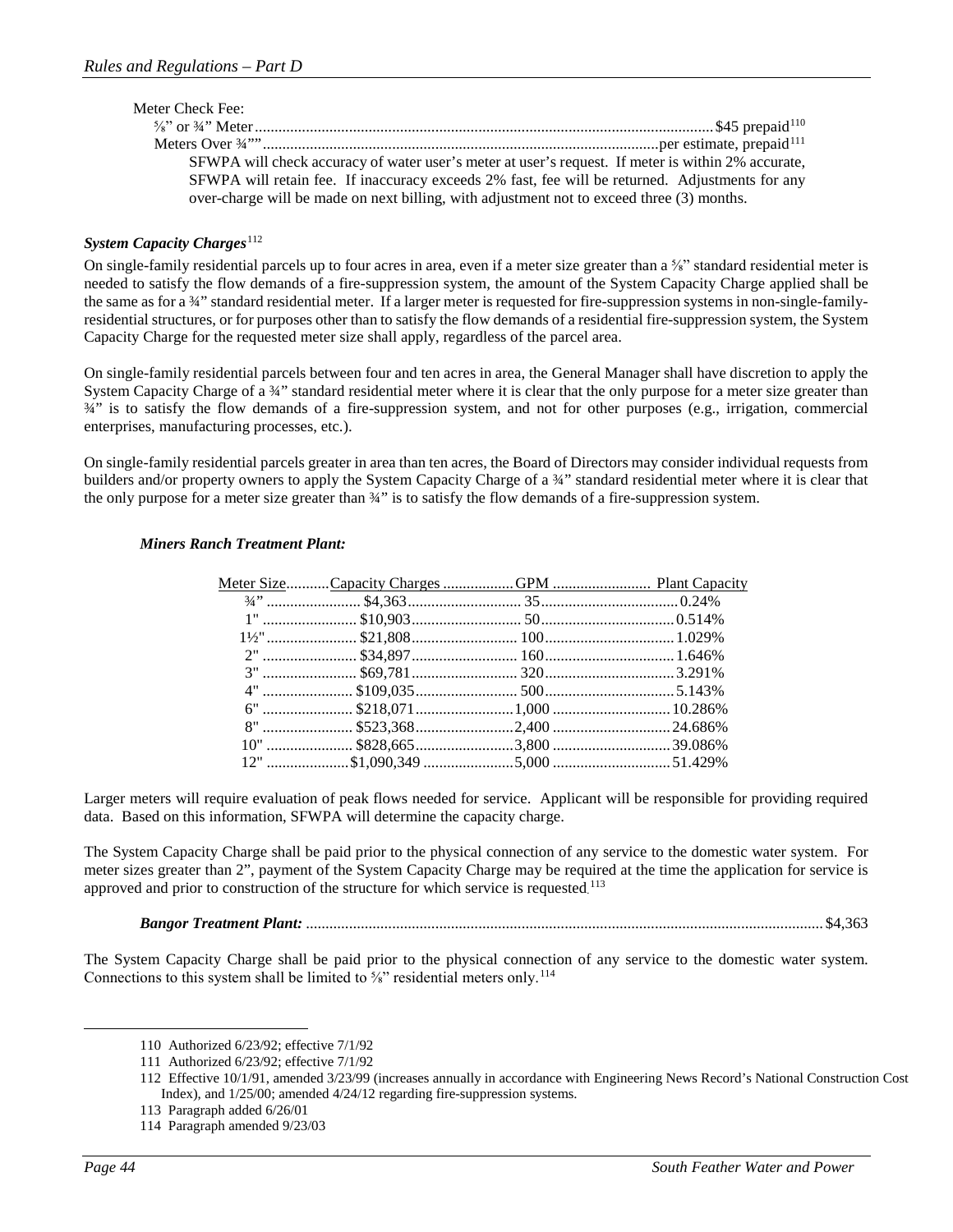| SFWPA will check accuracy of water user's meter at user's request. If meter is within 2% accurate, |                  |
|----------------------------------------------------------------------------------------------------|------------------|
| SFWPA will retain fee. If inaccuracy exceeds 2% fast, fee will be returned. Adjustments for any    |                  |
| over-charge will be made on next billing, with adjustment not to exceed three (3) months.          |                  |
|                                                                                                    | Meter Check Fee: |

## **System Capacity Charges**<sup>[112](#page-43-2)</sup>

On single-family residential parcels up to four acres in area, even if a meter size greater than  $a\frac{f}{s}$ " standard residential meter is needed to satisfy the flow demands of a fire-suppression system, the amount of the System Capacity Charge applied shall be the same as for a 34" standard residential meter. If a larger meter is requested for fire-suppression systems in non-single-familyresidential structures, or for purposes other than to satisfy the flow demands of a residential fire-suppression system, the System Capacity Charge for the requested meter size shall apply, regardless of the parcel area.

On single-family residential parcels between four and ten acres in area, the General Manager shall have discretion to apply the System Capacity Charge of a 34" standard residential meter where it is clear that the only purpose for a meter size greater than ¾" is to satisfy the flow demands of a fire-suppression system, and not for other purposes (e.g., irrigation, commercial enterprises, manufacturing processes, etc.).

On single-family residential parcels greater in area than ten acres, the Board of Directors may consider individual requests from builders and/or property owners to apply the System Capacity Charge of a ¾" standard residential meter where it is clear that the only purpose for a meter size greater than ¾" is to satisfy the flow demands of a fire-suppression system.

#### *Miners Ranch Treatment Plant:*

Larger meters will require evaluation of peak flows needed for service. Applicant will be responsible for providing required data. Based on this information, SFWPA will determine the capacity charge.

The System Capacity Charge shall be paid prior to the physical connection of any service to the domestic water system. For meter sizes greater than 2", payment of the System Capacity Charge may be required at the time the application for service is approved and prior to construction of the structure for which service is requested.<sup>[113](#page-43-3)</sup>

*Bangor Treatment Plant:* .................................................................................................................................... \$4,363

<span id="page-43-1"></span><span id="page-43-0"></span>The System Capacity Charge shall be paid prior to the physical connection of any service to the domestic water system. Connections to this system shall be limited to %" residential meters only.<sup>[114](#page-43-4)</sup>

<span id="page-43-3"></span>113 Paragraph added 6/26/01

 <sup>110</sup> Authorized 6/23/92; effective 7/1/92

<sup>111</sup> Authorized 6/23/92; effective 7/1/92

<span id="page-43-2"></span><sup>112</sup> Effective 10/1/91, amended 3/23/99 (increases annually in accordance with Engineering News Record's National Construction Cost Index), and 1/25/00; amended 4/24/12 regarding fire-suppression systems.

<span id="page-43-4"></span><sup>114</sup> Paragraph amended 9/23/03